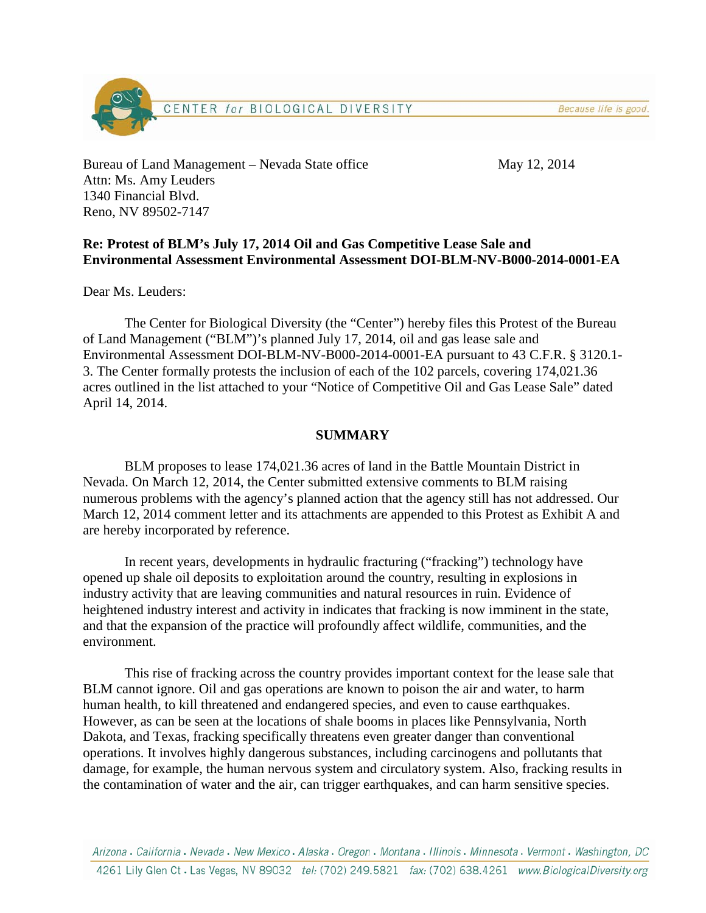Because life is good.



Bureau of Land Management – Nevada State office May 12, 2014 Attn: Ms. Amy Leuders 1340 Financial Blvd. Reno, NV 89502-7147

### **Re: Protest of BLM's July 17, 2014 Oil and Gas Competitive Lease Sale and Environmental Assessment Environmental Assessment DOI-BLM-NV-B000-2014-0001-EA**

Dear Ms. Leuders:

The Center for Biological Diversity (the "Center") hereby files this Protest of the Bureau of Land Management ("BLM")'s planned July 17, 2014, oil and gas lease sale and Environmental Assessment DOI-BLM-NV-B000-2014-0001-EA pursuant to 43 C.F.R. § 3120.1- 3. The Center formally protests the inclusion of each of the 102 parcels, covering 174,021.36 acres outlined in the list attached to your "Notice of Competitive Oil and Gas Lease Sale" dated April 14, 2014.

### **SUMMARY**

BLM proposes to lease 174,021.36 acres of land in the Battle Mountain District in Nevada. On March 12, 2014, the Center submitted extensive comments to BLM raising numerous problems with the agency's planned action that the agency still has not addressed. Our March 12, 2014 comment letter and its attachments are appended to this Protest as Exhibit A and are hereby incorporated by reference.

In recent years, developments in hydraulic fracturing ("fracking") technology have opened up shale oil deposits to exploitation around the country, resulting in explosions in industry activity that are leaving communities and natural resources in ruin. Evidence of heightened industry interest and activity in indicates that fracking is now imminent in the state, and that the expansion of the practice will profoundly affect wildlife, communities, and the environment.

This rise of fracking across the country provides important context for the lease sale that BLM cannot ignore. Oil and gas operations are known to poison the air and water, to harm human health, to kill threatened and endangered species, and even to cause earthquakes. However, as can be seen at the locations of shale booms in places like Pennsylvania, North Dakota, and Texas, fracking specifically threatens even greater danger than conventional operations. It involves highly dangerous substances, including carcinogens and pollutants that damage, for example, the human nervous system and circulatory system. Also, fracking results in the contamination of water and the air, can trigger earthquakes, and can harm sensitive species.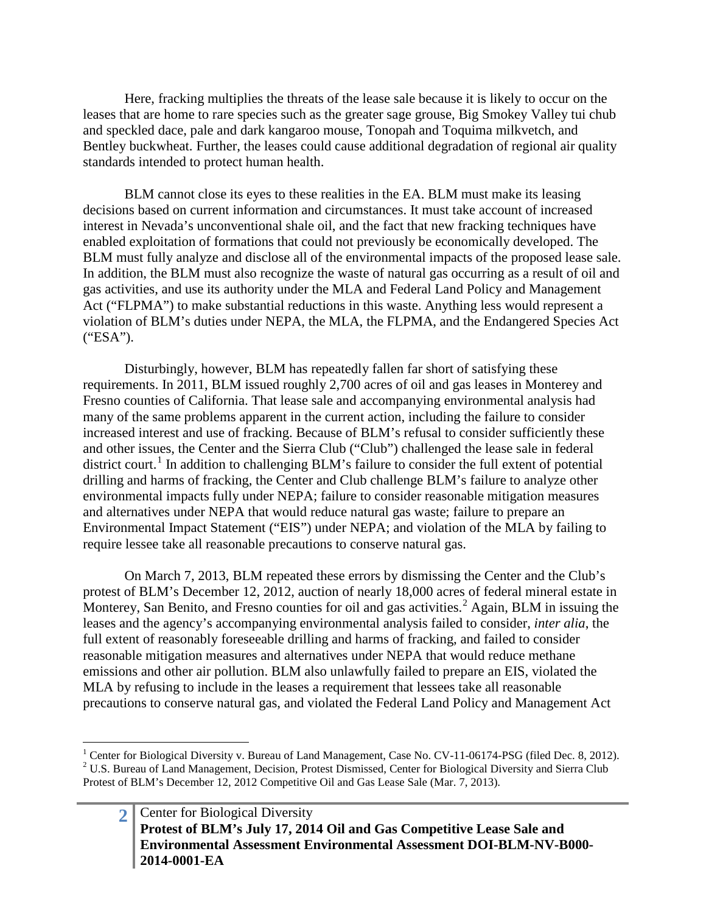Here, fracking multiplies the threats of the lease sale because it is likely to occur on the leases that are home to rare species such as the greater sage grouse, Big Smokey Valley tui chub and speckled dace, pale and dark kangaroo mouse, Tonopah and Toquima milkvetch, and Bentley buckwheat. Further, the leases could cause additional degradation of regional air quality standards intended to protect human health.

BLM cannot close its eyes to these realities in the EA. BLM must make its leasing decisions based on current information and circumstances. It must take account of increased interest in Nevada's unconventional shale oil, and the fact that new fracking techniques have enabled exploitation of formations that could not previously be economically developed. The BLM must fully analyze and disclose all of the environmental impacts of the proposed lease sale. In addition, the BLM must also recognize the waste of natural gas occurring as a result of oil and gas activities, and use its authority under the MLA and Federal Land Policy and Management Act ("FLPMA") to make substantial reductions in this waste. Anything less would represent a violation of BLM's duties under NEPA, the MLA, the FLPMA, and the Endangered Species Act ("ESA").

Disturbingly, however, BLM has repeatedly fallen far short of satisfying these requirements. In 2011, BLM issued roughly 2,700 acres of oil and gas leases in Monterey and Fresno counties of California. That lease sale and accompanying environmental analysis had many of the same problems apparent in the current action, including the failure to consider increased interest and use of fracking. Because of BLM's refusal to consider sufficiently these and other issues, the Center and the Sierra Club ("Club") challenged the lease sale in federal district court.<sup>[1](#page-1-0)</sup> In addition to challenging BLM's failure to consider the full extent of potential drilling and harms of fracking, the Center and Club challenge BLM's failure to analyze other environmental impacts fully under NEPA; failure to consider reasonable mitigation measures and alternatives under NEPA that would reduce natural gas waste; failure to prepare an Environmental Impact Statement ("EIS") under NEPA; and violation of the MLA by failing to require lessee take all reasonable precautions to conserve natural gas.

On March 7, 2013, BLM repeated these errors by dismissing the Center and the Club's protest of BLM's December 12, 2012, auction of nearly 18,000 acres of federal mineral estate in Monterey, San Benito, and Fresno counties for oil and gas activities.<sup>[2](#page-1-1)</sup> Again, BLM in issuing the leases and the agency's accompanying environmental analysis failed to consider, *inter alia*, the full extent of reasonably foreseeable drilling and harms of fracking, and failed to consider reasonable mitigation measures and alternatives under NEPA that would reduce methane emissions and other air pollution. BLM also unlawfully failed to prepare an EIS, violated the MLA by refusing to include in the leases a requirement that lessees take all reasonable precautions to conserve natural gas, and violated the Federal Land Policy and Management Act

<span id="page-1-1"></span><span id="page-1-0"></span><sup>&</sup>lt;sup>1</sup> Center for Biological Diversity v. Bureau of Land Management, Case No. CV-11-06174-PSG (filed Dec. 8, 2012). <sup>2</sup> U.S. Bureau of Land Management, Decision, Protest Dismissed, Center for Biological Diversity and Sierra Club Protest of BLM's December 12, 2012 Competitive Oil and Gas Lease Sale (Mar. 7, 2013).

<sup>2</sup> Center for Biological Diversity **Protest of BLM's July 17, 2014 Oil and Gas Competitive Lease Sale and Environmental Assessment Environmental Assessment DOI-BLM-NV-B000- 2014-0001-EA**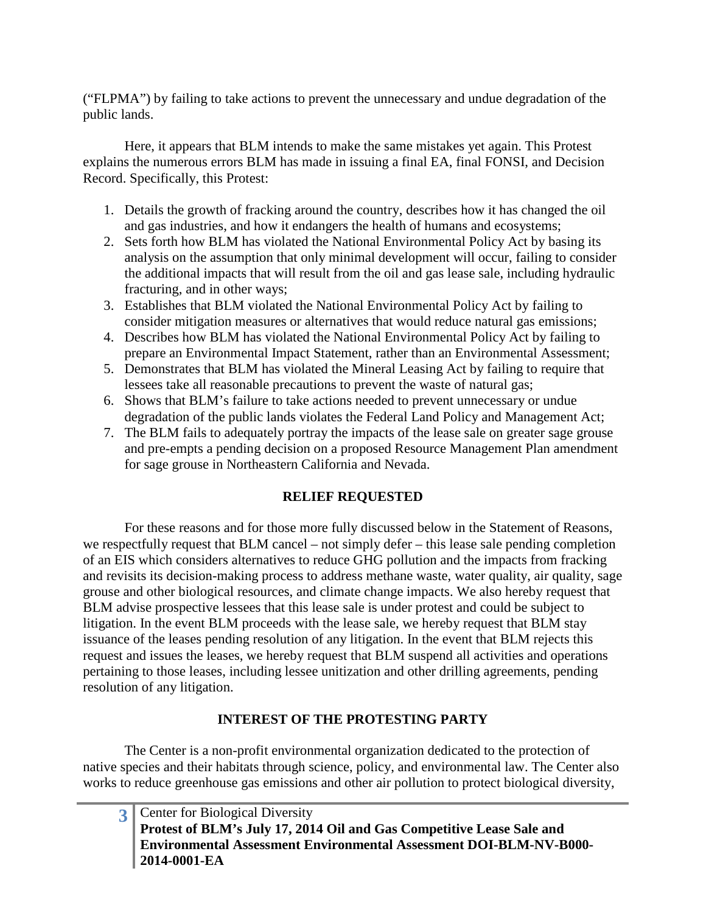("FLPMA") by failing to take actions to prevent the unnecessary and undue degradation of the public lands.

Here, it appears that BLM intends to make the same mistakes yet again. This Protest explains the numerous errors BLM has made in issuing a final EA, final FONSI, and Decision Record. Specifically, this Protest:

- 1. Details the growth of fracking around the country, describes how it has changed the oil and gas industries, and how it endangers the health of humans and ecosystems;
- 2. Sets forth how BLM has violated the National Environmental Policy Act by basing its analysis on the assumption that only minimal development will occur, failing to consider the additional impacts that will result from the oil and gas lease sale, including hydraulic fracturing, and in other ways;
- 3. Establishes that BLM violated the National Environmental Policy Act by failing to consider mitigation measures or alternatives that would reduce natural gas emissions;
- 4. Describes how BLM has violated the National Environmental Policy Act by failing to prepare an Environmental Impact Statement, rather than an Environmental Assessment;
- 5. Demonstrates that BLM has violated the Mineral Leasing Act by failing to require that lessees take all reasonable precautions to prevent the waste of natural gas;
- 6. Shows that BLM's failure to take actions needed to prevent unnecessary or undue degradation of the public lands violates the Federal Land Policy and Management Act;
- 7. The BLM fails to adequately portray the impacts of the lease sale on greater sage grouse and pre-empts a pending decision on a proposed Resource Management Plan amendment for sage grouse in Northeastern California and Nevada.

# **RELIEF REQUESTED**

For these reasons and for those more fully discussed below in the Statement of Reasons, we respectfully request that BLM cancel – not simply defer – this lease sale pending completion of an EIS which considers alternatives to reduce GHG pollution and the impacts from fracking and revisits its decision-making process to address methane waste, water quality, air quality, sage grouse and other biological resources, and climate change impacts. We also hereby request that BLM advise prospective lessees that this lease sale is under protest and could be subject to litigation. In the event BLM proceeds with the lease sale, we hereby request that BLM stay issuance of the leases pending resolution of any litigation. In the event that BLM rejects this request and issues the leases, we hereby request that BLM suspend all activities and operations pertaining to those leases, including lessee unitization and other drilling agreements, pending resolution of any litigation.

# **INTEREST OF THE PROTESTING PARTY**

The Center is a non-profit environmental organization dedicated to the protection of native species and their habitats through science, policy, and environmental law. The Center also works to reduce greenhouse gas emissions and other air pollution to protect biological diversity,

| <b>3</b> Center for Biological Diversity                                  |
|---------------------------------------------------------------------------|
| Protest of BLM's July 17, 2014 Oil and Gas Competitive Lease Sale and     |
| <b>Environmental Assessment Environmental Assessment DOI-BLM-NV-B000-</b> |
| 2014-0001-EA                                                              |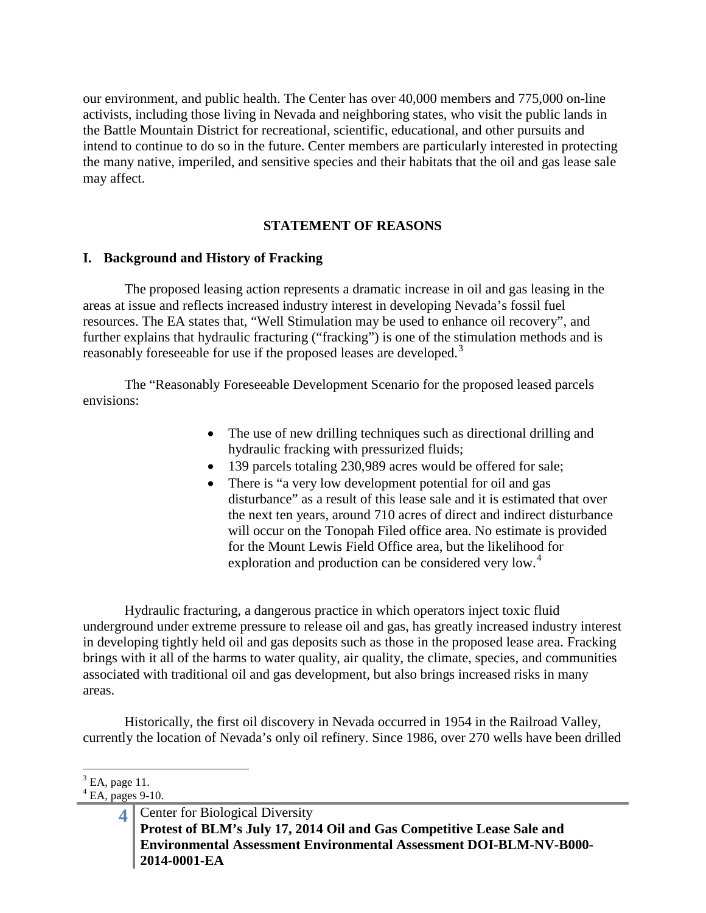our environment, and public health. The Center has over 40,000 members and 775,000 on-line activists, including those living in Nevada and neighboring states, who visit the public lands in the Battle Mountain District for recreational, scientific, educational, and other pursuits and intend to continue to do so in the future. Center members are particularly interested in protecting the many native, imperiled, and sensitive species and their habitats that the oil and gas lease sale may affect.

### **STATEMENT OF REASONS**

#### **I. Background and History of Fracking**

The proposed leasing action represents a dramatic increase in oil and gas leasing in the areas at issue and reflects increased industry interest in developing Nevada's fossil fuel resources. The EA states that, "Well Stimulation may be used to enhance oil recovery", and further explains that hydraulic fracturing ("fracking") is one of the stimulation methods and is reasonably foreseeable for use if the proposed leases are developed.<sup>[3](#page-3-0)</sup>

The "Reasonably Foreseeable Development Scenario for the proposed leased parcels envisions:

- The use of new drilling techniques such as directional drilling and hydraulic fracking with pressurized fluids;
- 139 parcels totaling 230,989 acres would be offered for sale;
- There is "a very low development potential for oil and gas disturbance" as a result of this lease sale and it is estimated that over the next ten years, around 710 acres of direct and indirect disturbance will occur on the Tonopah Filed office area. No estimate is provided for the Mount Lewis Field Office area, but the likelihood for exploration and production can be considered very low.<sup>[4](#page-3-1)</sup>

Hydraulic fracturing, a dangerous practice in which operators inject toxic fluid underground under extreme pressure to release oil and gas, has greatly increased industry interest in developing tightly held oil and gas deposits such as those in the proposed lease area. Fracking brings with it all of the harms to water quality, air quality, the climate, species, and communities associated with traditional oil and gas development, but also brings increased risks in many areas.

Historically, the first oil discovery in Nevada occurred in 1954 in the Railroad Valley, currently the location of Nevada's only oil refinery. Since 1986, over 270 wells have been drilled

<span id="page-3-0"></span> $3$  EA, page 11.

<span id="page-3-1"></span> $<sup>4</sup>$  EA, pages 9-10.</sup>

**<sup>4</sup>** Center for Biological Diversity **Protest of BLM's July 17, 2014 Oil and Gas Competitive Lease Sale and Environmental Assessment Environmental Assessment DOI-BLM-NV-B000- 2014-0001-EA**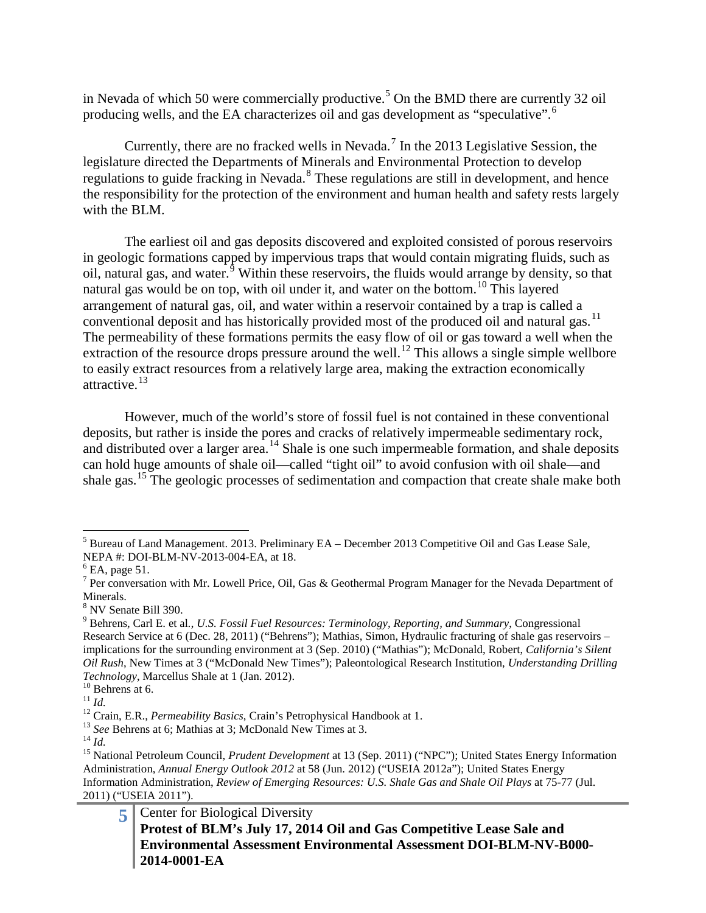in Nevada of which [5](#page-4-0)0 were commercially productive.<sup>5</sup> On the BMD there are currently 32 oil producing wells, and the EA characterizes oil and gas development as "speculative".[6](#page-4-1)

Currently, there are no fracked wells in Nevada.<sup>[7](#page-4-2)</sup> In the 2013 Legislative Session, the legislature directed the Departments of Minerals and Environmental Protection to develop regulations to guide fracking in Nevada.[8](#page-4-3) These regulations are still in development, and hence the responsibility for the protection of the environment and human health and safety rests largely with the BLM.

The earliest oil and gas deposits discovered and exploited consisted of porous reservoirs in geologic formations capped by impervious traps that would contain migrating fluids, such as oil, natural gas, and water. $9$  Within these reservoirs, the fluids would arrange by density, so that natural gas would be on top, with oil under it, and water on the bottom.<sup>[10](#page-4-5)</sup> This layered arrangement of natural gas, oil, and water within a reservoir contained by a trap is called a conventional deposit and has historically provided most of the produced oil and natural gas.<sup>[11](#page-4-6)</sup> The permeability of these formations permits the easy flow of oil or gas toward a well when the extraction of the resource drops pressure around the well.<sup>[12](#page-4-7)</sup> This allows a single simple wellbore to easily extract resources from a relatively large area, making the extraction economically attractive.[13](#page-4-8)

However, much of the world's store of fossil fuel is not contained in these conventional deposits, but rather is inside the pores and cracks of relatively impermeable sedimentary rock, and distributed over a larger area.<sup>[14](#page-4-9)</sup> Shale is one such impermeable formation, and shale deposits can hold huge amounts of shale oil—called "tight oil" to avoid confusion with oil shale—and shale gas.<sup>[15](#page-4-10)</sup> The geologic processes of sedimentation and compaction that create shale make both

<span id="page-4-0"></span> $<sup>5</sup>$  Bureau of Land Management. 2013. Preliminary EA – December 2013 Competitive Oil and Gas Lease Sale,</sup> NEPA #: DOI-BLM-NV-2013-004-EA, at 18.

<span id="page-4-1"></span> $<sup>6</sup>$  EA, page 51.</sup>

<span id="page-4-2"></span><sup>&</sup>lt;sup>7</sup> Per conversation with Mr. Lowell Price, Oil, Gas & Geothermal Program Manager for the Nevada Department of Minerals.

<span id="page-4-3"></span><sup>8</sup> NV Senate Bill 390.

<span id="page-4-4"></span><sup>9</sup> Behrens, Carl E. et al*.*, *U.S. Fossil Fuel Resources: Terminology, Reporting, and Summary*, Congressional Research Service at 6 (Dec. 28, 2011) ("Behrens"); Mathias, Simon, Hydraulic fracturing of shale gas reservoirs – implications for the surrounding environment at 3 (Sep. 2010) ("Mathias"); McDonald, Robert, *California's Silent Oil Rush*, New Times at 3 ("McDonald New Times"); Paleontological Research Institution, *Understanding Drilling* 

<span id="page-4-7"></span>

<span id="page-4-8"></span>

<span id="page-4-10"></span><span id="page-4-9"></span>

<span id="page-4-6"></span><span id="page-4-5"></span><sup>&</sup>lt;sup>10</sup> Behrens at 6.<br>
<sup>11</sup> *Id.*<br>
<sup>12</sup> Crain, E.R., *Permeability Basics*, Crain's Petrophysical Handbook at 1.<br>
<sup>13</sup> *See* Behrens at 6; Mathias at 3; McDonald New Times at 3.<br>
<sup>14</sup> *Id.*<br>
<sup>15</sup> National Petroleum Council, Administration, *Annual Energy Outlook 2012* at 58 (Jun. 2012) ("USEIA 2012a"); United States Energy Information Administration, *Review of Emerging Resources: U.S. Shale Gas and Shale Oil Plays* at 75-77 (Jul. 2011) ("USEIA 2011").

**<sup>5</sup>** Center for Biological Diversity **Protest of BLM's July 17, 2014 Oil and Gas Competitive Lease Sale and Environmental Assessment Environmental Assessment DOI-BLM-NV-B000- 2014-0001-EA**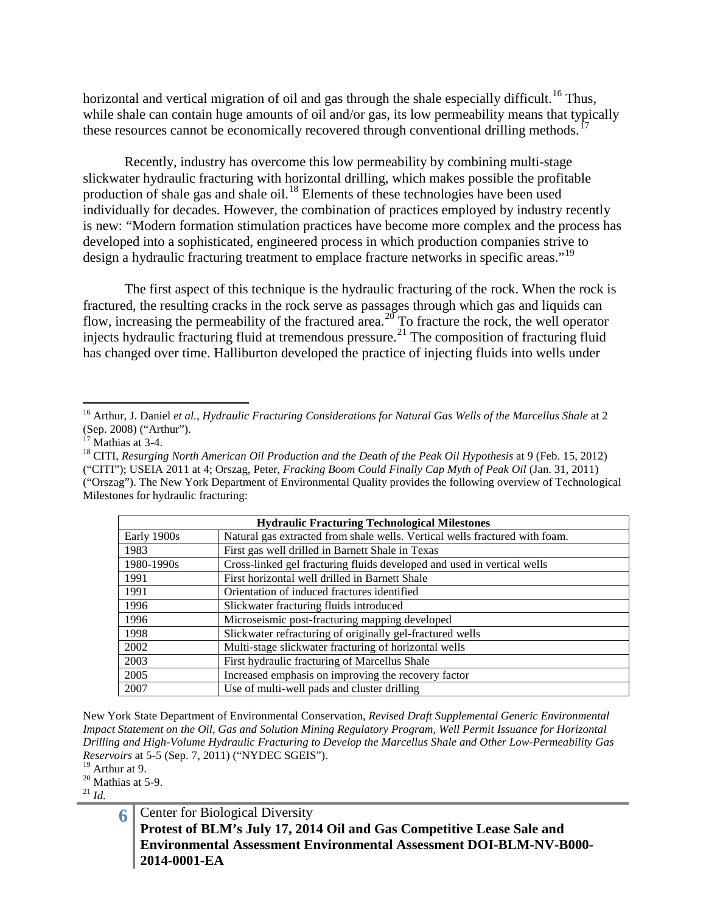horizontal and vertical migration of oil and gas through the shale especially difficult.<sup>[16](#page-5-0)</sup> Thus, while shale can contain huge amounts of oil and/or gas, its low permeability means that typically these resources cannot be economically recovered through conventional drilling methods.<sup>1</sup>

Recently, industry has overcome this low permeability by combining multi-stage slickwater hydraulic fracturing with horizontal drilling, which makes possible the profitable production of shale gas and shale oil.<sup>[18](#page-5-2)</sup> Elements of these technologies have been used individually for decades. However, the combination of practices employed by industry recently is new: "Modern formation stimulation practices have become more complex and the process has developed into a sophisticated, engineered process in which production companies strive to design a hydraulic fracturing treatment to emplace fracture networks in specific areas."<sup>[19](#page-5-3)</sup>

The first aspect of this technique is the hydraulic fracturing of the rock. When the rock is fractured, the resulting cracks in the rock serve as passages through which gas and liquids can flow, increasing the permeability of the fractured area.<sup>[20](#page-5-4)</sup> To fracture the rock, the well operator injects hydraulic fracturing fluid at tremendous pressure.<sup>[21](#page-5-5)</sup> The composition of fracturing fluid has changed over time. Halliburton developed the practice of injecting fluids into wells under

<span id="page-5-2"></span><sup>&</sup>lt;sup>18</sup> CITI, *Resurging North American Oil Production and the Death of the Peak Oil Hypothesis* at 9 (Feb. 15, 2012) ("CITI"); USEIA 2011 at 4; Orszag, Peter, *Fracking Boom Could Finally Cap Myth of Peak Oil* (Jan. 31, 2011) ("Orszag"). The New York Department of Environmental Quality provides the following overview of Technological Milestones for hydraulic fracturing:

| <b>Hydraulic Fracturing Technological Milestones</b> |                                                                             |  |  |  |
|------------------------------------------------------|-----------------------------------------------------------------------------|--|--|--|
| Early 1900s                                          | Natural gas extracted from shale wells. Vertical wells fractured with foam. |  |  |  |
| 1983                                                 | First gas well drilled in Barnett Shale in Texas                            |  |  |  |
| 1980-1990s                                           | Cross-linked gel fracturing fluids developed and used in vertical wells     |  |  |  |
| 1991                                                 | First horizontal well drilled in Barnett Shale                              |  |  |  |
| 1991                                                 | Orientation of induced fractures identified                                 |  |  |  |
| 1996                                                 | Slickwater fracturing fluids introduced                                     |  |  |  |
| 1996                                                 | Microseismic post-fracturing mapping developed                              |  |  |  |
| 1998                                                 | Slickwater refracturing of originally gel-fractured wells                   |  |  |  |
| 2002                                                 | Multi-stage slickwater fracturing of horizontal wells                       |  |  |  |
| 2003                                                 | First hydraulic fracturing of Marcellus Shale                               |  |  |  |
| 2005                                                 | Increased emphasis on improving the recovery factor                         |  |  |  |
| 2007                                                 | Use of multi-well pads and cluster drilling                                 |  |  |  |

New York State Department of Environmental Conservation, *Revised Draft Supplemental Generic Environmental Impact Statement on the Oil, Gas and Solution Mining Regulatory Program, Well Permit Issuance for Horizontal Drilling and High-Volume Hydraulic Fracturing to Develop the Marcellus Shale and Other Low-Permeability Gas Reservoirs* at 5-5 (Sep. 7, 2011) ("NYDEC SGEIS").<br><sup>19</sup> Arthur at 9.

<span id="page-5-3"></span>

<span id="page-5-4"></span> $\frac{^{20}}{^{21}}$  Mathias at 5-9.

<span id="page-5-5"></span>

**6** Center for Biological Diversity **Protest of BLM's July 17, 2014 Oil and Gas Competitive Lease Sale and Environmental Assessment Environmental Assessment DOI-BLM-NV-B000- 2014-0001-EA**

<span id="page-5-0"></span><sup>&</sup>lt;sup>16</sup> Arthur, J. Daniel *et al., Hydraulic Fracturing Considerations for Natural Gas Wells of the Marcellus Shale at 2* (Sep. 2008) ("Arthur").<br><sup>17</sup> Mathias at 3-4.

<span id="page-5-1"></span>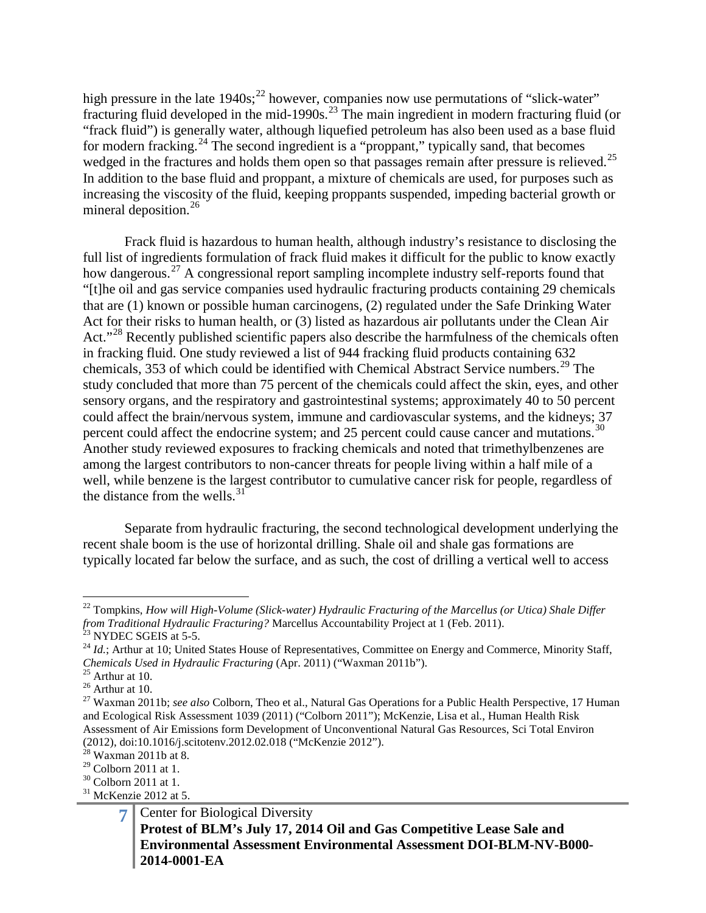high pressure in the late  $1940s$ ;<sup>[22](#page-6-0)</sup> however, companies now use permutations of "slick-water" fracturing fluid developed in the mid-1990s.<sup>[23](#page-6-1)</sup> The main ingredient in modern fracturing fluid (or "frack fluid") is generally water, although liquefied petroleum has also been used as a base fluid for modern fracking.<sup>[24](#page-6-2)</sup> The second ingredient is a "proppant," typically sand, that becomes wedged in the fractures and holds them open so that passages remain after pressure is relieved.<sup>[25](#page-6-3)</sup> In addition to the base fluid and proppant, a mixture of chemicals are used, for purposes such as increasing the viscosity of the fluid, keeping proppants suspended, impeding bacterial growth or mineral deposition.<sup>[26](#page-6-4)</sup>

Frack fluid is hazardous to human health, although industry's resistance to disclosing the full list of ingredients formulation of frack fluid makes it difficult for the public to know exactly how dangerous.<sup>[27](#page-6-5)</sup> A congressional report sampling incomplete industry self-reports found that "[t]he oil and gas service companies used hydraulic fracturing products containing 29 chemicals that are (1) known or possible human carcinogens, (2) regulated under the Safe Drinking Water Act for their risks to human health, or (3) listed as hazardous air pollutants under the Clean Air Act."<sup>[28](#page-6-6)</sup> Recently published scientific papers also describe the harmfulness of the chemicals often in fracking fluid. One study reviewed a list of 944 fracking fluid products containing 632 chemicals, 353 of which could be identified with Chemical Abstract Service numbers.<sup>[29](#page-6-7)</sup> The study concluded that more than 75 percent of the chemicals could affect the skin, eyes, and other sensory organs, and the respiratory and gastrointestinal systems; approximately 40 to 50 percent could affect the brain/nervous system, immune and cardiovascular systems, and the kidneys; 37 percent could affect the endocrine system; and 25 percent could cause cancer and mutations.<sup>[30](#page-6-8)</sup> Another study reviewed exposures to fracking chemicals and noted that trimethylbenzenes are among the largest contributors to non-cancer threats for people living within a half mile of a well, while benzene is the largest contributor to cumulative cancer risk for people, regardless of the distance from the wells. $31$ 

Separate from hydraulic fracturing, the second technological development underlying the recent shale boom is the use of horizontal drilling. Shale oil and shale gas formations are typically located far below the surface, and as such, the cost of drilling a vertical well to access

<span id="page-6-0"></span><sup>&</sup>lt;sup>22</sup> Tompkins, *How will High-Volume (Slick-water) Hydraulic Fracturing of the Marcellus (or Utica) Shale Differ* From Traditional Hydraulic Fracturing? Marcellus Accountability Project at 1 (Feb. 2011).<br>
<sup>23</sup> NYDEC SGEIS at 5-5.<br>
<sup>24</sup> *Id.*; Arthur at 10; United States House of Representatives, Committee on Energy and Commerce, Minor

<span id="page-6-2"></span><span id="page-6-1"></span>*Chemicals Used in Hydraulic Fracturing* (Apr. 2011) ("Waxman 2011b").<br>
<sup>25</sup> Arthur at 10.<br>
<sup>26</sup> Arthur at 10.<br>
<sup>27</sup> Waxman 2011b; *see also* Colborn, Theo et al., Natural Gas Operations for a Public Health Perspective, 17

<span id="page-6-3"></span>

<span id="page-6-5"></span><span id="page-6-4"></span>and Ecological Risk Assessment 1039 (2011) ("Colborn 2011"); McKenzie, Lisa et al., Human Health Risk Assessment of Air Emissions form Development of Unconventional Natural Gas Resources, Sci Total Environ (2012), doi:10.1016/j.scitotenv.2012.02.018 ("McKenzie 2012").<br><sup>28</sup> Waxman 2011b at 8.<br><sup>29</sup> Colborn 2011 at 1.

<span id="page-6-6"></span>

<span id="page-6-8"></span><span id="page-6-7"></span> $\frac{30}{31}$  Colborn 2011 at 1.<br> $\frac{31}{31}$  McKenzie 2012 at 5.

<span id="page-6-9"></span>

**<sup>7</sup>** Center for Biological Diversity **Protest of BLM's July 17, 2014 Oil and Gas Competitive Lease Sale and Environmental Assessment Environmental Assessment DOI-BLM-NV-B000- 2014-0001-EA**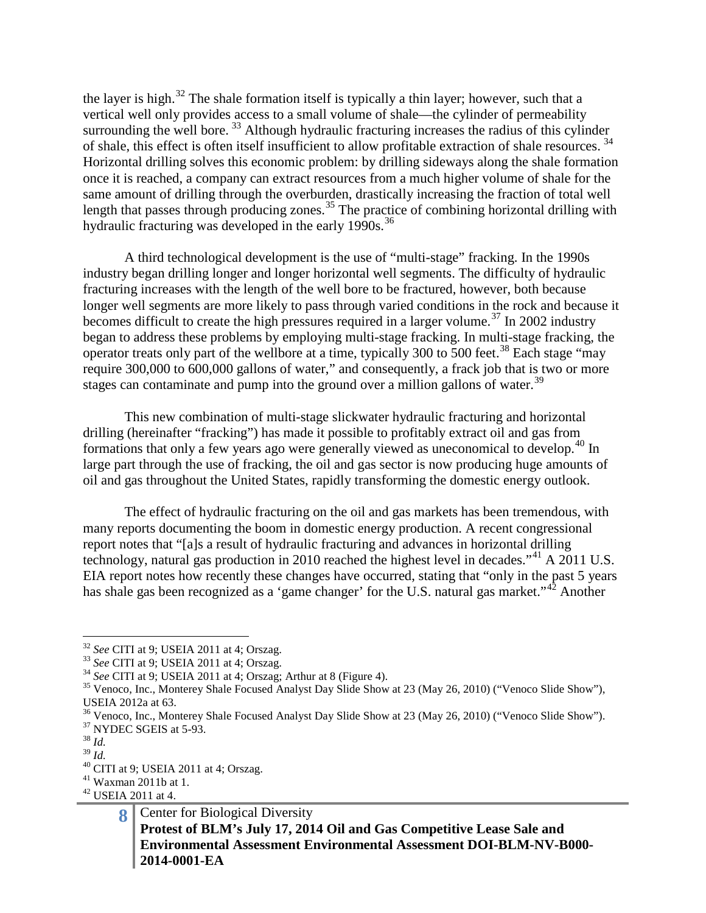the layer is high.<sup>[32](#page-7-0)</sup> The shale formation itself is typically a thin layer; however, such that a vertical well only provides access to a small volume of shale—the cylinder of permeability surrounding the well bore.  $33$  Although hydraulic fracturing increases the radius of this cylinder of shale, this effect is often itself insufficient to allow profitable extraction of shale resources. [34](#page-7-2) Horizontal drilling solves this economic problem: by drilling sideways along the shale formation once it is reached, a company can extract resources from a much higher volume of shale for the same amount of drilling through the overburden, drastically increasing the fraction of total well length that passes through producing zones.<sup>[35](#page-7-3)</sup> The practice of combining horizontal drilling with hydraulic fracturing was developed in the early 1990s.<sup>[36](#page-7-4)</sup>

A third technological development is the use of "multi-stage" fracking. In the 1990s industry began drilling longer and longer horizontal well segments. The difficulty of hydraulic fracturing increases with the length of the well bore to be fractured, however, both because longer well segments are more likely to pass through varied conditions in the rock and because it becomes difficult to create the high pressures required in a larger volume.<sup>[37](#page-7-5)</sup> In 2002 industry began to address these problems by employing multi-stage fracking. In multi-stage fracking, the operator treats only part of the wellbore at a time, typically 300 to 500 feet.[38](#page-7-6) Each stage "may require 300,000 to 600,000 gallons of water," and consequently, a frack job that is two or more stages can contaminate and pump into the ground over a million gallons of water.<sup>[39](#page-7-7)</sup>

This new combination of multi-stage slickwater hydraulic fracturing and horizontal drilling (hereinafter "fracking") has made it possible to profitably extract oil and gas from formations that only a few years ago were generally viewed as uneconomical to develop.<sup>[40](#page-7-8)</sup> In large part through the use of fracking, the oil and gas sector is now producing huge amounts of oil and gas throughout the United States, rapidly transforming the domestic energy outlook.

The effect of hydraulic fracturing on the oil and gas markets has been tremendous, with many reports documenting the boom in domestic energy production. A recent congressional report notes that "[a]s a result of hydraulic fracturing and advances in horizontal drilling technology, natural gas production in 2010 reached the highest level in decades."<sup>[41](#page-7-9)</sup> A 2011 U.S. EIA report notes how recently these changes have occurred, stating that "only in the past 5 years has shale gas been recognized as a 'game changer' for the U.S. natural gas market."<sup>[42](#page-7-10)</sup> Another

 <sup>32</sup> *See* CITI at 9; USEIA 2011 at 4; Orszag.

<span id="page-7-3"></span>

<span id="page-7-2"></span><span id="page-7-1"></span><span id="page-7-0"></span><sup>&</sup>lt;sup>33</sup> See CITI at 9; USEIA 2011 at 4; Orszag.<br><sup>34</sup> See CITI at 9; USEIA 2011 at 4; Orszag; Arthur at 8 (Figure 4).<br><sup>35</sup> Venoco, Inc., Monterey Shale Focused Analyst Day Slide Show at 23 (May 26, 2010) ("Venoco Slide Show"), USEIA 2012a at 63.

<span id="page-7-5"></span><span id="page-7-4"></span><sup>&</sup>lt;sup>36</sup> Venoco, Inc., Monterey Shale Focused Analyst Day Slide Show at 23 (May 26, 2010) ("Venoco Slide Show").<br><sup>37</sup> NYDEC SGEIS at 5-93.<br><sup>38</sup> *Id.*<br><sup>39</sup> *Id*.

<span id="page-7-6"></span>

<span id="page-7-8"></span><span id="page-7-7"></span><sup>&</sup>lt;sup>40</sup> CITI at 9; USEIA 2011 at 4; Orszag.<br><sup>41</sup> Waxman 2011b at 1.<br><sup>42</sup> USEIA 2011 at 4.

<span id="page-7-9"></span>

<span id="page-7-10"></span>

**<sup>8</sup>** Center for Biological Diversity **Protest of BLM's July 17, 2014 Oil and Gas Competitive Lease Sale and Environmental Assessment Environmental Assessment DOI-BLM-NV-B000- 2014-0001-EA**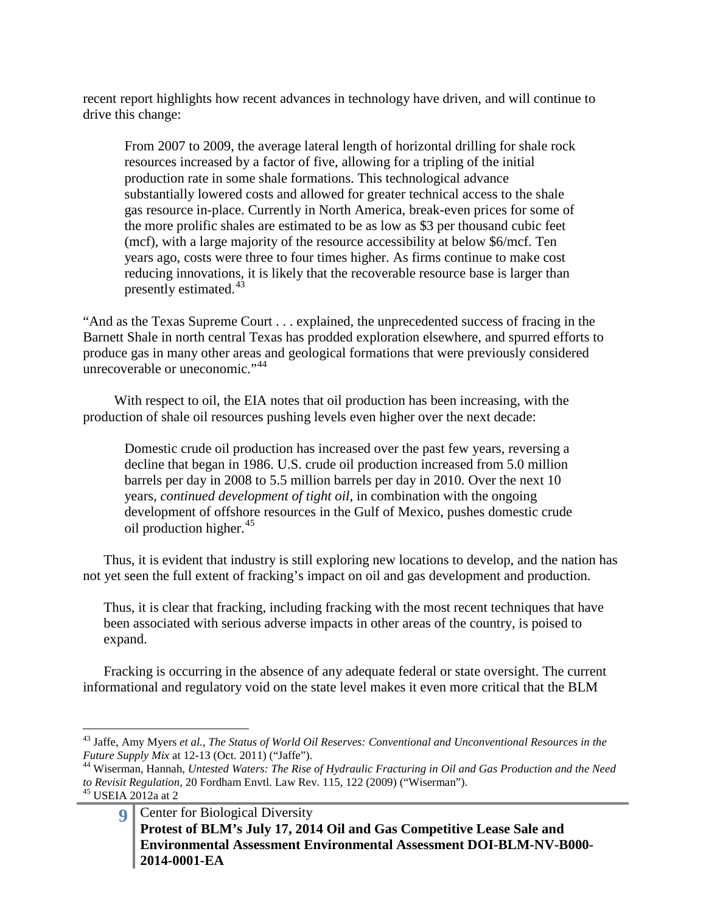recent report highlights how recent advances in technology have driven, and will continue to drive this change:

From 2007 to 2009, the average lateral length of horizontal drilling for shale rock resources increased by a factor of five, allowing for a tripling of the initial production rate in some shale formations. This technological advance substantially lowered costs and allowed for greater technical access to the shale gas resource in-place. Currently in North America, break-even prices for some of the more prolific shales are estimated to be as low as \$3 per thousand cubic feet (mcf), with a large majority of the resource accessibility at below \$6/mcf. Ten years ago, costs were three to four times higher. As firms continue to make cost reducing innovations, it is likely that the recoverable resource base is larger than presently estimated. $43$ 

"And as the Texas Supreme Court . . . explained, the unprecedented success of fracing in the Barnett Shale in north central Texas has prodded exploration elsewhere, and spurred efforts to produce gas in many other areas and geological formations that were previously considered unrecoverable or uneconomic."<sup>[44](#page-8-1)</sup>

With respect to oil, the EIA notes that oil production has been increasing, with the production of shale oil resources pushing levels even higher over the next decade:

Domestic crude oil production has increased over the past few years, reversing a decline that began in 1986. U.S. crude oil production increased from 5.0 million barrels per day in 2008 to 5.5 million barrels per day in 2010. Over the next 10 years, *continued development of tight oil*, in combination with the ongoing development of offshore resources in the Gulf of Mexico, pushes domestic crude oil production higher. $45$ 

Thus, it is evident that industry is still exploring new locations to develop, and the nation has not yet seen the full extent of fracking's impact on oil and gas development and production.

Thus, it is clear that fracking, including fracking with the most recent techniques that have been associated with serious adverse impacts in other areas of the country, is poised to expand.

Fracking is occurring in the absence of any adequate federal or state oversight. The current informational and regulatory void on the state level makes it even more critical that the BLM

<span id="page-8-0"></span><sup>&</sup>lt;sup>43</sup> Jaffe, Amy Myers *et al., The Status of World Oil Reserves: Conventional and Unconventional Resources in the Future Supply Mix at 12-13 (Oct. 2011) ("Jaffe").* 

<span id="page-8-1"></span><sup>&</sup>lt;sup>44</sup> Wiserman, Hannah, *Untested Waters: The Rise of Hydraulic Fracturing in Oil and Gas Production and the Need to Revisit Regulation*, 20 Fordham Envtl. Law Rev. 115, 122 (2009) ("Wiserman"). <sup>45</sup> USEIA 2012a at 2

<span id="page-8-2"></span>

**<sup>9</sup>** Center for Biological Diversity **Protest of BLM's July 17, 2014 Oil and Gas Competitive Lease Sale and Environmental Assessment Environmental Assessment DOI-BLM-NV-B000- 2014-0001-EA**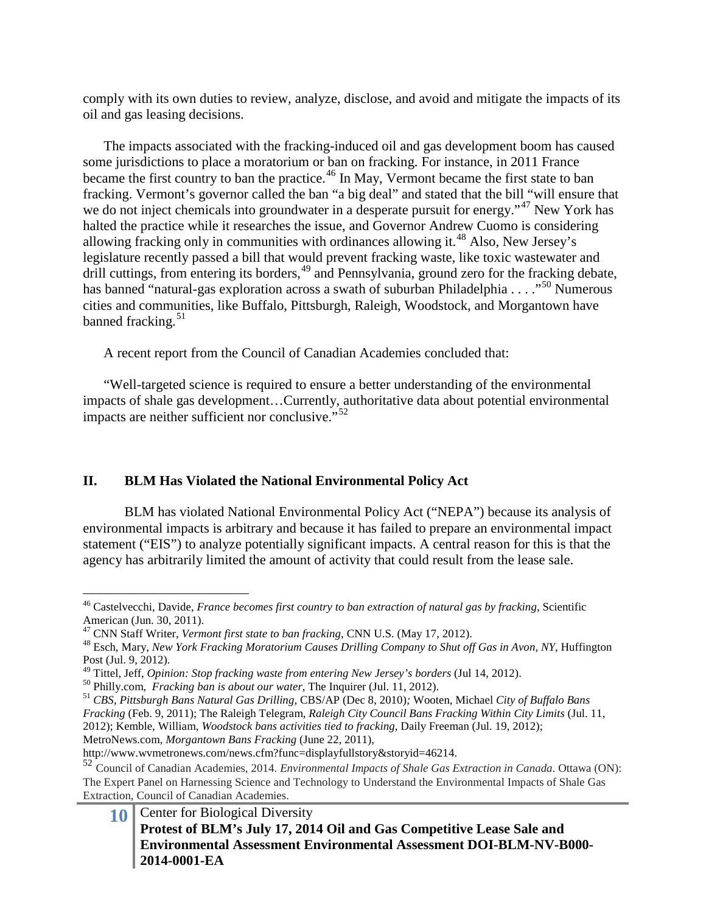comply with its own duties to review, analyze, disclose, and avoid and mitigate the impacts of its oil and gas leasing decisions.

The impacts associated with the fracking-induced oil and gas development boom has caused some jurisdictions to place a moratorium or ban on fracking. For instance, in 2011 France became the first country to ban the practice.<sup>[46](#page-9-0)</sup> In May, Vermont became the first state to ban fracking. Vermont's governor called the ban "a big deal" and stated that the bill "will ensure that we do not inject chemicals into groundwater in a desperate pursuit for energy."<sup>[47](#page-9-1)</sup> New York has halted the practice while it researches the issue, and Governor Andrew Cuomo is considering allowing fracking only in communities with ordinances allowing it.<sup>[48](#page-9-2)</sup> Also, New Jersey's legislature recently passed a bill that would prevent fracking waste, like toxic wastewater and drill cuttings, from entering its borders,<sup>[49](#page-9-3)</sup> and Pennsylvania, ground zero for the fracking debate, has banned "natural-gas exploration across a swath of suburban Philadelphia  $\ldots$ ."<sup>[50](#page-9-4)</sup> Numerous cities and communities, like Buffalo, Pittsburgh, Raleigh, Woodstock, and Morgantown have banned fracking. $51$ 

A recent report from the Council of Canadian Academies concluded that:

"Well-targeted science is required to ensure a better understanding of the environmental impacts of shale gas development…Currently, authoritative data about potential environmental impacts are neither sufficient nor conclusive."<sup>[52](#page-9-6)</sup>

### **II. BLM Has Violated the National Environmental Policy Act**

BLM has violated National Environmental Policy Act ("NEPA") because its analysis of environmental impacts is arbitrary and because it has failed to prepare an environmental impact statement ("EIS") to analyze potentially significant impacts. A central reason for this is that the agency has arbitrarily limited the amount of activity that could result from the lease sale.

MetroNews.com, *Morgantown Bans Fracking* (June 22, 2011),

<span id="page-9-0"></span> <sup>46</sup> Castelvecchi, Davide, *France becomes first country to ban extraction of natural gas by fracking*, Scientific American (Jun. 30, 2011).<br><sup>47</sup> CNN Staff Writer, *Vermont first state to ban fracking*, CNN U.S. (May 17, 2012).

<span id="page-9-2"></span><span id="page-9-1"></span><sup>&</sup>lt;sup>48</sup> Esch, Mary, *New York Fracking Moratorium Causes Drilling Company to Shut off Gas in Avon, NY*, Huffington Post (Jul. 9, 2012).<br><sup>49</sup> Tittel, Jeff, *Opinion: Stop fracking waste from entering New Jersey's borders* (Jul 14, 2012).

<span id="page-9-3"></span>

<span id="page-9-4"></span><sup>&</sup>lt;sup>50</sup> Philly.com, *Fracking ban is about our water*, The Inquirer (Jul. 11, 2012).<br><sup>51</sup> CBS, Pittsburgh Bans Natural Gas Drilling, CBS/AP (Dec 8, 2010); Wooten, Michael City of Buffalo Bans

<span id="page-9-5"></span>*Fracking* (Feb. 9, 2011); The Raleigh Telegram, *Raleigh City Council Bans Fracking Within City Limits* (Jul. 11, 2012); Kemble, William, *Woodstock bans activities tied to fracking*, Daily Freeman (Jul. 19, 2012);

http://www.wvmetronews.com/news.cfm?func=displayfullstory&storyid=46214.

<span id="page-9-6"></span><sup>52</sup> Council of Canadian Academies, 2014. *Environmental Impacts of Shale Gas Extraction in Canada*. Ottawa (ON): The Expert Panel on Harnessing Science and Technology to Understand the Environmental Impacts of Shale Gas Extraction, Council of Canadian Academies.

**<sup>10</sup>** Center for Biological Diversity **Protest of BLM's July 17, 2014 Oil and Gas Competitive Lease Sale and Environmental Assessment Environmental Assessment DOI-BLM-NV-B000- 2014-0001-EA**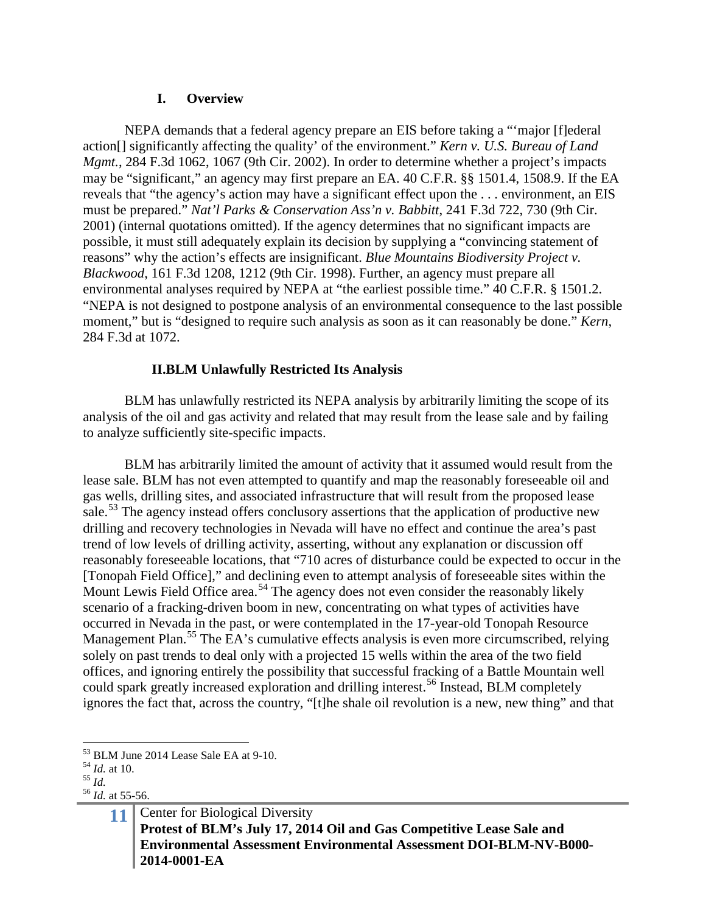#### **I. Overview**

NEPA demands that a federal agency prepare an EIS before taking a "'major [f]ederal action[] significantly affecting the quality' of the environment." *Kern v. U.S. Bureau of Land Mgmt.*, 284 F.3d 1062, 1067 (9th Cir. 2002). In order to determine whether a project's impacts may be "significant," an agency may first prepare an EA. 40 C.F.R. §§ 1501.4, 1508.9. If the EA reveals that "the agency's action may have a significant effect upon the . . . environment, an EIS must be prepared." *Nat'l Parks & Conservation Ass'n v. Babbitt*, 241 F.3d 722, 730 (9th Cir. 2001) (internal quotations omitted). If the agency determines that no significant impacts are possible, it must still adequately explain its decision by supplying a "convincing statement of reasons" why the action's effects are insignificant. *Blue Mountains Biodiversity Project v. Blackwood*, 161 F.3d 1208, 1212 (9th Cir. 1998). Further, an agency must prepare all environmental analyses required by NEPA at "the earliest possible time." 40 C.F.R. § 1501.2. "NEPA is not designed to postpone analysis of an environmental consequence to the last possible moment," but is "designed to require such analysis as soon as it can reasonably be done." *Kern*, 284 F.3d at 1072.

### **II.BLM Unlawfully Restricted Its Analysis**

BLM has unlawfully restricted its NEPA analysis by arbitrarily limiting the scope of its analysis of the oil and gas activity and related that may result from the lease sale and by failing to analyze sufficiently site-specific impacts.

BLM has arbitrarily limited the amount of activity that it assumed would result from the lease sale. BLM has not even attempted to quantify and map the reasonably foreseeable oil and gas wells, drilling sites, and associated infrastructure that will result from the proposed lease sale.<sup>[53](#page-10-0)</sup> The agency instead offers conclusory assertions that the application of productive new drilling and recovery technologies in Nevada will have no effect and continue the area's past trend of low levels of drilling activity, asserting, without any explanation or discussion off reasonably foreseeable locations, that "710 acres of disturbance could be expected to occur in the [Tonopah Field Office]," and declining even to attempt analysis of foreseeable sites within the Mount Lewis Field Office area.<sup>[54](#page-10-1)</sup> The agency does not even consider the reasonably likely scenario of a fracking-driven boom in new, concentrating on what types of activities have occurred in Nevada in the past, or were contemplated in the 17-year-old Tonopah Resource Management Plan.<sup>[55](#page-10-2)</sup> The EA's cumulative effects analysis is even more circumscribed, relying solely on past trends to deal only with a projected 15 wells within the area of the two field offices, and ignoring entirely the possibility that successful fracking of a Battle Mountain well could spark greatly increased exploration and drilling interest.<sup>[56](#page-10-3)</sup> Instead, BLM completely ignores the fact that, across the country, "[t]he shale oil revolution is a new, new thing" and that

 $53$  BLM June 2014 Lease Sale EA at 9-10.

<span id="page-10-3"></span>

<span id="page-10-2"></span><span id="page-10-1"></span><span id="page-10-0"></span><sup>54</sup> *Id.* at 10. <sup>55</sup> *Id.* <sup>56</sup> *Id.* at 55-56.

**<sup>11</sup>** Center for Biological Diversity **Protest of BLM's July 17, 2014 Oil and Gas Competitive Lease Sale and Environmental Assessment Environmental Assessment DOI-BLM-NV-B000- 2014-0001-EA**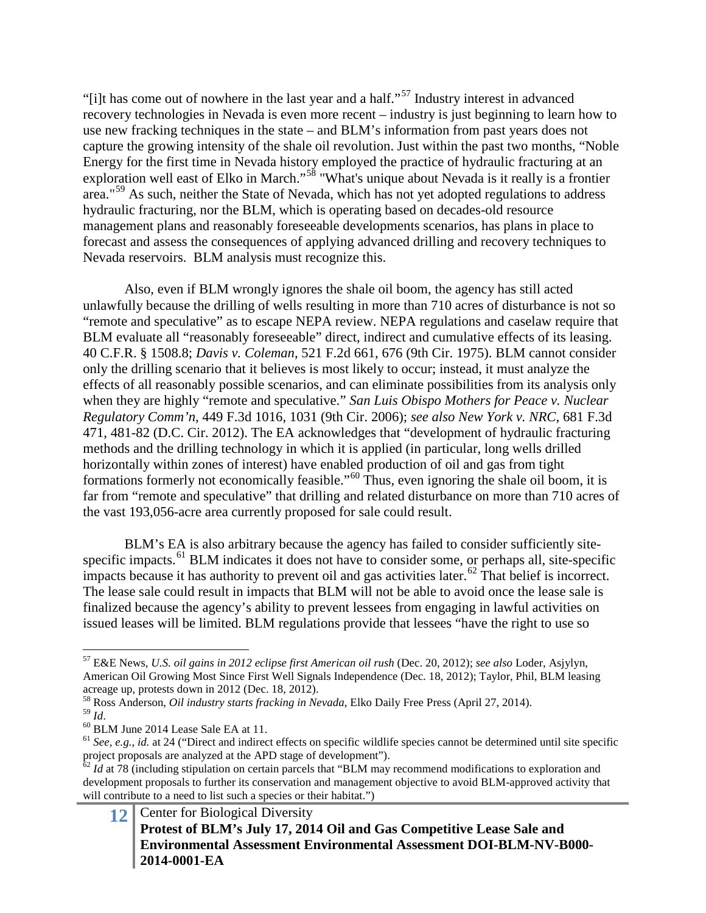"[i]t has come out of nowhere in the last year and a half."<sup>[57](#page-11-0)</sup> Industry interest in advanced recovery technologies in Nevada is even more recent – industry is just beginning to learn how to use new fracking techniques in the state – and BLM's information from past years does not capture the growing intensity of the shale oil revolution. Just within the past two months, "Noble Energy for the first time in Nevada history employed the practice of hydraulic fracturing at an exploration well east of Elko in March."[58](#page-11-1) "What's unique about Nevada is it really is a frontier area."<sup>[59](#page-11-2)</sup> As such, neither the State of Nevada, which has not yet adopted regulations to address hydraulic fracturing, nor the BLM, which is operating based on decades-old resource management plans and reasonably foreseeable developments scenarios, has plans in place to forecast and assess the consequences of applying advanced drilling and recovery techniques to Nevada reservoirs. BLM analysis must recognize this.

Also, even if BLM wrongly ignores the shale oil boom, the agency has still acted unlawfully because the drilling of wells resulting in more than 710 acres of disturbance is not so "remote and speculative" as to escape NEPA review. NEPA regulations and caselaw require that BLM evaluate all "reasonably foreseeable" direct, indirect and cumulative effects of its leasing. 40 C.F.R. § 1508.8; *Davis v. Coleman*, 521 F.2d 661, 676 (9th Cir. 1975). BLM cannot consider only the drilling scenario that it believes is most likely to occur; instead, it must analyze the effects of all reasonably possible scenarios, and can eliminate possibilities from its analysis only when they are highly "remote and speculative." *San Luis Obispo Mothers for Peace v. Nuclear Regulatory Comm'n*, 449 F.3d 1016, 1031 (9th Cir. 2006); *see also New York v. NRC*, 681 F.3d 471, 481-82 (D.C. Cir. 2012). The EA acknowledges that "development of hydraulic fracturing methods and the drilling technology in which it is applied (in particular, long wells drilled horizontally within zones of interest) have enabled production of oil and gas from tight formations formerly not economically feasible."[60](#page-11-3) Thus, even ignoring the shale oil boom, it is far from "remote and speculative" that drilling and related disturbance on more than 710 acres of the vast 193,056-acre area currently proposed for sale could result.

BLM's EA is also arbitrary because the agency has failed to consider sufficiently site-specific impacts.<sup>[61](#page-11-4)</sup> BLM indicates it does not have to consider some, or perhaps all, site-specific impacts because it has authority to prevent oil and gas activities later.<sup>[62](#page-11-5)</sup> That belief is incorrect. The lease sale could result in impacts that BLM will not be able to avoid once the lease sale is finalized because the agency's ability to prevent lessees from engaging in lawful activities on issued leases will be limited. BLM regulations provide that lessees "have the right to use so

<span id="page-11-0"></span> <sup>57</sup> E&E News, *U.S. oil gains in 2012 eclipse first American oil rush* (Dec. 20, 2012); *see also* Loder, Asjylyn, American Oil Growing Most Since First Well Signals Independence (Dec. 18, 2012); Taylor, Phil, BLM leasing acreage up, protests down in 2012 (Dec. 18, 2012).

<span id="page-11-1"></span><sup>&</sup>lt;sup>58</sup> Ross Anderson, *Oil industry starts fracking in Nevada*, Elko Daily Free Press (April 27, 2014).<br><sup>59</sup> Id

<span id="page-11-2"></span>

<span id="page-11-4"></span><span id="page-11-3"></span><sup>59</sup> *Id*. <sup>60</sup> BLM June 2014 Lease Sale EA at 11. <sup>61</sup> *See, e.g.*, *id.* at 24 ("Direct and indirect effects on specific wildlife species cannot be determined until site specific project proposals are analyzed at the APD stage of development").

<span id="page-11-5"></span><sup>&</sup>lt;sup>62</sup> *Id* at 78 (including stipulation on certain parcels that "BLM may recommend modifications to exploration and development proposals to further its conservation and management objective to avoid BLM-approved activity that will contribute to a need to list such a species or their habitat.")

**<sup>12</sup>** Center for Biological Diversity **Protest of BLM's July 17, 2014 Oil and Gas Competitive Lease Sale and Environmental Assessment Environmental Assessment DOI-BLM-NV-B000- 2014-0001-EA**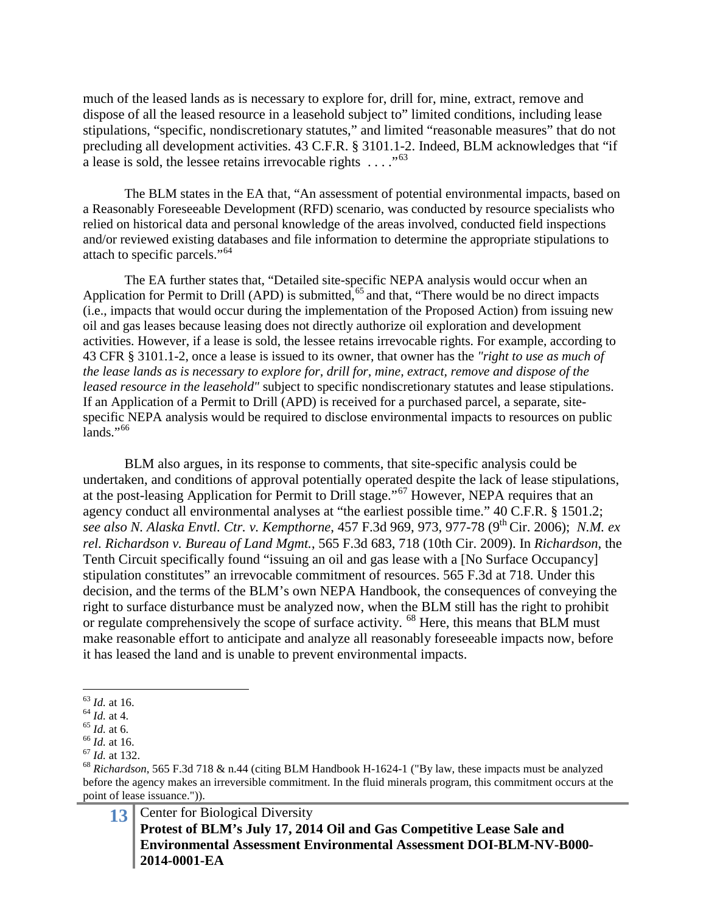much of the leased lands as is necessary to explore for, drill for, mine, extract, remove and dispose of all the leased resource in a leasehold subject to" limited conditions, including lease stipulations, "specific, nondiscretionary statutes," and limited "reasonable measures" that do not precluding all development activities. 43 C.F.R. § 3101.1-2. Indeed, BLM acknowledges that "if a lease is sold, the lessee retains irrevocable rights  $\dots$ ."<sup>[63](#page-12-0)</sup>

The BLM states in the EA that, "An assessment of potential environmental impacts, based on a Reasonably Foreseeable Development (RFD) scenario, was conducted by resource specialists who relied on historical data and personal knowledge of the areas involved, conducted field inspections and/or reviewed existing databases and file information to determine the appropriate stipulations to attach to specific parcels."[64](#page-12-1)

The EA further states that, "Detailed site-specific NEPA analysis would occur when an Application for Permit to Drill (APD) is submitted,  $65$  and that, "There would be no direct impacts (i.e., impacts that would occur during the implementation of the Proposed Action) from issuing new oil and gas leases because leasing does not directly authorize oil exploration and development activities. However, if a lease is sold, the lessee retains irrevocable rights. For example, according to 43 CFR § 3101.1-2, once a lease is issued to its owner, that owner has the *"right to use as much of the lease lands as is necessary to explore for, drill for, mine, extract, remove and dispose of the leased resource in the leasehold"* subject to specific nondiscretionary statutes and lease stipulations. If an Application of a Permit to Drill (APD) is received for a purchased parcel, a separate, sitespecific NEPA analysis would be required to disclose environmental impacts to resources on public  $lands.$ "<sup>[66](#page-12-3)</sup>

BLM also argues, in its response to comments, that site-specific analysis could be undertaken, and conditions of approval potentially operated despite the lack of lease stipulations, at the post-leasing Application for Permit to Drill stage."[67](#page-12-4) However, NEPA requires that an agency conduct all environmental analyses at "the earliest possible time." 40 C.F.R. § 1501.2; *see also N. Alaska Envtl. Ctr. v. Kempthorne*, 457 F.3d 969, 973, 977-78 (9th Cir. 2006); *N.M. ex rel. Richardson v. Bureau of Land Mgmt.*, 565 F.3d 683, 718 (10th Cir. 2009). In *Richardson*, the Tenth Circuit specifically found "issuing an oil and gas lease with a [No Surface Occupancy] stipulation constitutes" an irrevocable commitment of resources. 565 F.3d at 718. Under this decision, and the terms of the BLM's own NEPA Handbook, the consequences of conveying the right to surface disturbance must be analyzed now, when the BLM still has the right to prohibit or regulate comprehensively the scope of surface activity. <sup>[68](#page-12-5)</sup> Here, this means that BLM must make reasonable effort to anticipate and analyze all reasonably foreseeable impacts now, before it has leased the land and is unable to prevent environmental impacts.

**13** Center for Biological Diversity **Protest of BLM's July 17, 2014 Oil and Gas Competitive Lease Sale and Environmental Assessment Environmental Assessment DOI-BLM-NV-B000- 2014-0001-EA**

<span id="page-12-1"></span>

<span id="page-12-2"></span>

<span id="page-12-3"></span>

<span id="page-12-5"></span><span id="page-12-4"></span>

<span id="page-12-0"></span><sup>&</sup>lt;sup>63</sup> *Id.* at 16.<br>
<sup>64</sup> *Id.* at 4.<br>
<sup>65</sup> *Id.* at 6.<br>
<sup>66</sup> *Id.* at 16.<br>
<sup>67</sup> *Id.* at 132.<br>
<sup>68</sup> *Richardson*, 565 F.3d 718 & n.44 (citing BLM Handbook H-1624-1 ("By law, these impacts must be analyzed before the agency makes an irreversible commitment. In the fluid minerals program, this commitment occurs at the point of lease issuance.")).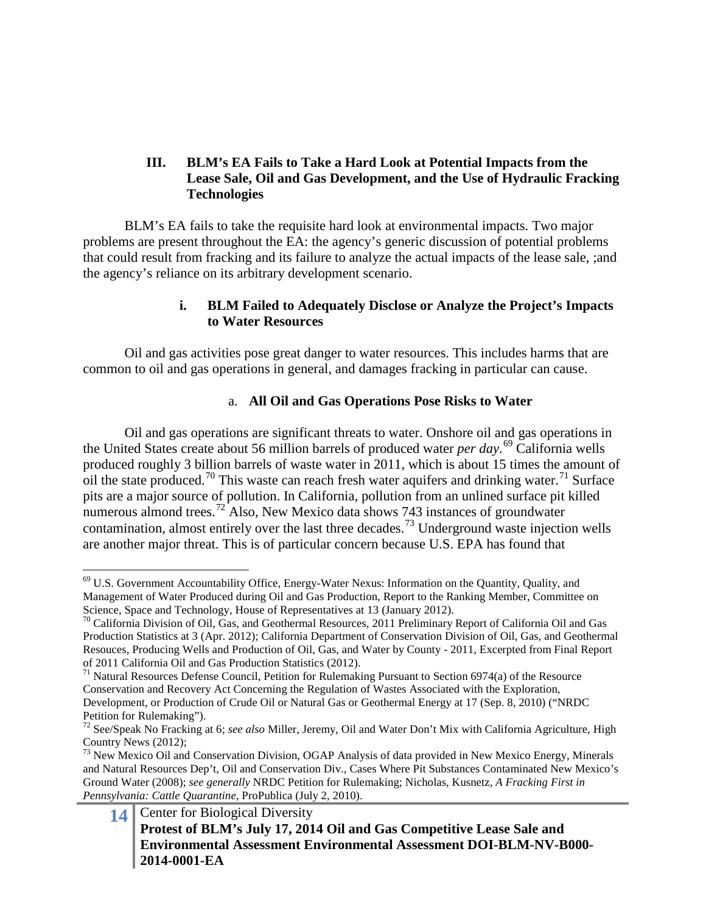# **III. BLM's EA Fails to Take a Hard Look at Potential Impacts from the Lease Sale, Oil and Gas Development, and the Use of Hydraulic Fracking Technologies**

BLM's EA fails to take the requisite hard look at environmental impacts. Two major problems are present throughout the EA: the agency's generic discussion of potential problems that could result from fracking and its failure to analyze the actual impacts of the lease sale, ;and the agency's reliance on its arbitrary development scenario.

### **i. BLM Failed to Adequately Disclose or Analyze the Project's Impacts to Water Resources**

Oil and gas activities pose great danger to water resources. This includes harms that are common to oil and gas operations in general, and damages fracking in particular can cause.

# a. **All Oil and Gas Operations Pose Risks to Water**

Oil and gas operations are significant threats to water. Onshore oil and gas operations in the United States create about 56 million barrels of produced water *per day*. [69](#page-13-0) California wells produced roughly 3 billion barrels of waste water in 2011, which is about 15 times the amount of oil the state produced.<sup>[70](#page-13-1)</sup> This waste can reach fresh water aquifers and drinking water.<sup>[71](#page-13-2)</sup> Surface pits are a major source of pollution. In California, pollution from an unlined surface pit killed numerous almond trees.<sup>[72](#page-13-3)</sup> Also, New Mexico data shows 743 instances of groundwater contamination, almost entirely over the last three decades.<sup>[73](#page-13-4)</sup> Underground waste injection wells are another major threat. This is of particular concern because U.S. EPA has found that

<span id="page-13-0"></span> <sup>69</sup> U.S. Government Accountability Office, Energy-Water Nexus: Information on the Quantity, Quality, and Management of Water Produced during Oil and Gas Production, Report to the Ranking Member, Committee on Science, Space and Technology, House of Representatives at 13 (January 2012).

<span id="page-13-1"></span><sup>&</sup>lt;sup>70</sup> California Division of Oil, Gas, and Geothermal Resources, 2011 Preliminary Report of California Oil and Gas Production Statistics at 3 (Apr. 2012); California Department of Conservation Division of Oil, Gas, and Geothermal Resouces, Producing Wells and Production of Oil, Gas, and Water by County - 2011, Excerpted from Final Report of 2011 California Oil and Gas Production Statistics (2012).

<span id="page-13-2"></span> $71$  Natural Resources Defense Council, Petition for Rulemaking Pursuant to Section 6974(a) of the Resource Conservation and Recovery Act Concerning the Regulation of Wastes Associated with the Exploration, Development, or Production of Crude Oil or Natural Gas or Geothermal Energy at 17 (Sep. 8, 2010) ("NRDC Petition for Rulemaking").

<span id="page-13-3"></span><sup>72</sup> See/Speak No Fracking at 6; *see also* Miller, Jeremy, Oil and Water Don't Mix with California Agriculture, High Country News (2012);

<span id="page-13-4"></span><sup>&</sup>lt;sup>73</sup> New Mexico Oil and Conservation Division, OGAP Analysis of data provided in New Mexico Energy, Minerals and Natural Resources Dep't, Oil and Conservation Div., Cases Where Pit Substances Contaminated New Mexico's Ground Water (2008); *see generally* NRDC Petition for Rulemaking; Nicholas, Kusnetz, *A Fracking First in Pennsylvania: Cattle Quarantine*, ProPublica (July 2, 2010).

**<sup>14</sup>** Center for Biological Diversity **Protest of BLM's July 17, 2014 Oil and Gas Competitive Lease Sale and Environmental Assessment Environmental Assessment DOI-BLM-NV-B000- 2014-0001-EA**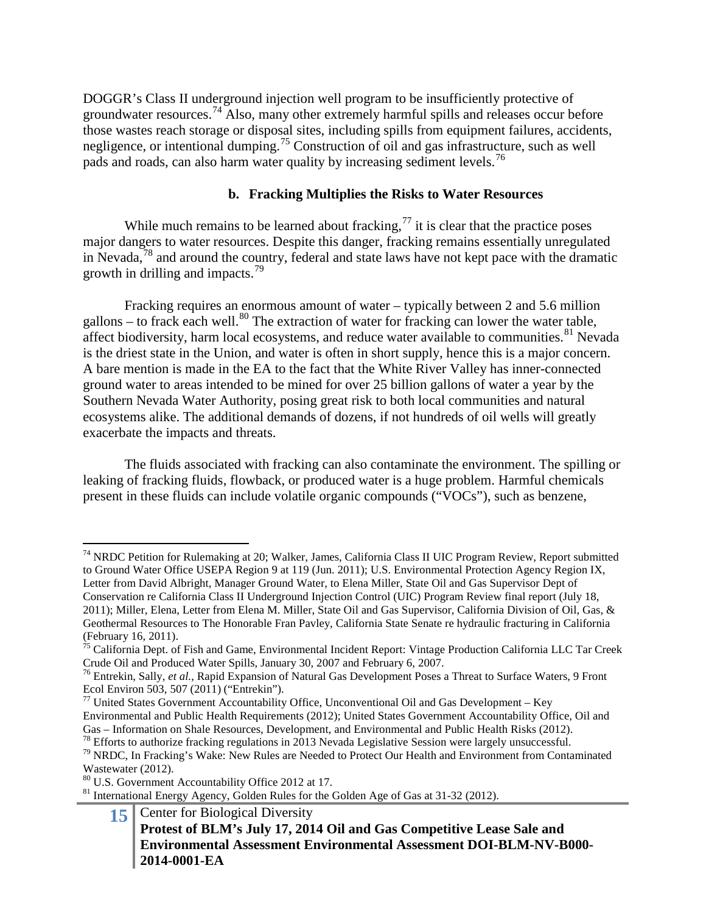DOGGR's Class II underground injection well program to be insufficiently protective of groundwater resources.[74](#page-14-0) Also, many other extremely harmful spills and releases occur before those wastes reach storage or disposal sites, including spills from equipment failures, accidents, negligence, or intentional dumping.[75](#page-14-1) Construction of oil and gas infrastructure, such as well pads and roads, can also harm water quality by increasing sediment levels.[76](#page-14-2)

### **b. Fracking Multiplies the Risks to Water Resources**

While much remains to be learned about fracking,  $^{77}$  $^{77}$  $^{77}$  it is clear that the practice poses major dangers to water resources. Despite this danger, fracking remains essentially unregulated in Nevada,[78](#page-14-4) and around the country, federal and state laws have not kept pace with the dramatic growth in drilling and impacts.<sup>[79](#page-14-5)</sup>

Fracking requires an enormous amount of water – typically between 2 and 5.6 million gallons – to frack each well.<sup>[80](#page-14-6)</sup> The extraction of water for fracking can lower the water table, affect biodiversity, harm local ecosystems, and reduce water available to communities. $81$  Nevada is the driest state in the Union, and water is often in short supply, hence this is a major concern. A bare mention is made in the EA to the fact that the White River Valley has inner-connected ground water to areas intended to be mined for over 25 billion gallons of water a year by the Southern Nevada Water Authority, posing great risk to both local communities and natural ecosystems alike. The additional demands of dozens, if not hundreds of oil wells will greatly exacerbate the impacts and threats.

The fluids associated with fracking can also contaminate the environment. The spilling or leaking of fracking fluids, flowback, or produced water is a huge problem. Harmful chemicals present in these fluids can include volatile organic compounds ("VOCs"), such as benzene,

<span id="page-14-0"></span><sup>&</sup>lt;sup>74</sup> NRDC Petition for Rulemaking at 20; Walker, James, California Class II UIC Program Review, Report submitted to Ground Water Office USEPA Region 9 at 119 (Jun. 2011); U.S. Environmental Protection Agency Region IX, Letter from David Albright, Manager Ground Water, to Elena Miller, State Oil and Gas Supervisor Dept of Conservation re California Class II Underground Injection Control (UIC) Program Review final report (July 18, 2011); Miller, Elena, Letter from Elena M. Miller, State Oil and Gas Supervisor, California Division of Oil, Gas, & Geothermal Resources to The Honorable Fran Pavley, California State Senate re hydraulic fracturing in California (February 16, 2011).

<span id="page-14-1"></span><sup>&</sup>lt;sup>75</sup> California Dept. of Fish and Game, Environmental Incident Report: Vintage Production California LLC Tar Creek Crude Oil and Produced Water Spills, January 30, 2007 and February 6, 2007. <sup>76</sup> Entrekin, Sally, *et al.*, Rapid Expansion of Natural Gas Development Poses a Threat to Surface Waters, 9 Front

<span id="page-14-2"></span>Ecol Environ 503, 507 (2011) ("Entrekin").

<span id="page-14-3"></span> $77$  United States Government Accountability Office, Unconventional Oil and Gas Development – Key Environmental and Public Health Requirements (2012); United States Government Accountability Office, Oil and

<span id="page-14-5"></span><span id="page-14-4"></span><sup>&</sup>lt;sup>78</sup> Efforts to authorize fracking regulations in 2013 Nevada Legislative Session were largely unsuccessful.<br><sup>79</sup> NRDC, In Fracking's Wake: New Rules are Needed to Protect Our Health and Environment from Contaminated Wastewater (2012).<br><sup>80</sup> U.S. Government Accountability Office 2012 at 17.

<span id="page-14-6"></span>

<span id="page-14-7"></span> $81$  International Energy Agency, Golden Rules for the Golden Age of Gas at 31-32 (2012).

**<sup>15</sup>** Center for Biological Diversity **Protest of BLM's July 17, 2014 Oil and Gas Competitive Lease Sale and Environmental Assessment Environmental Assessment DOI-BLM-NV-B000- 2014-0001-EA**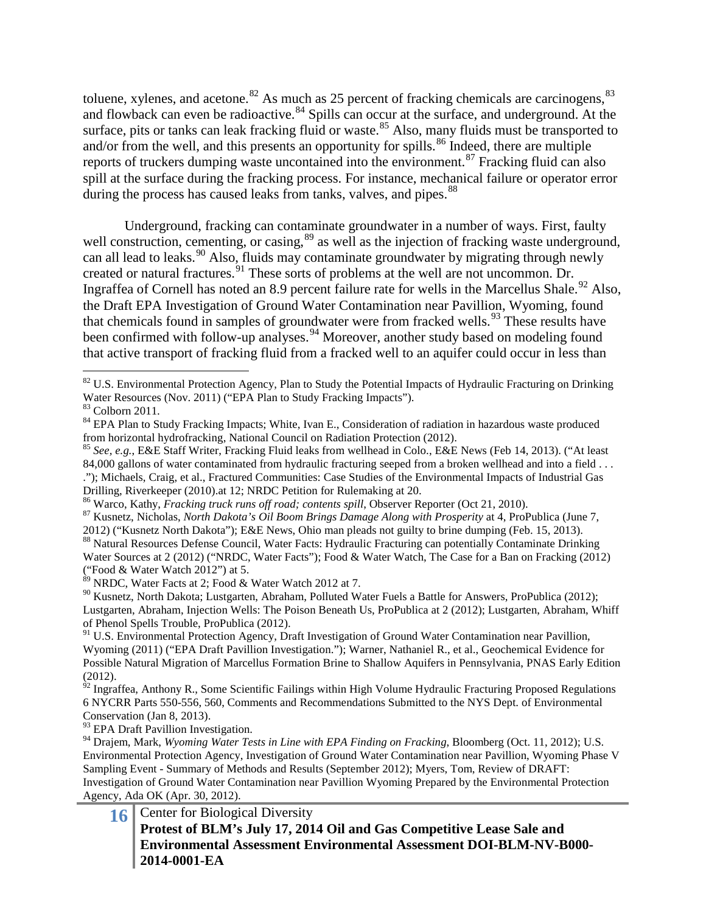toluene, xylenes, and acetone. $82$  As much as 25 percent of fracking chemicals are carcinogens,  $83$ and flowback can even be radioactive.<sup>[84](#page-15-2)</sup> Spills can occur at the surface, and underground. At the surface, pits or tanks can leak fracking fluid or waste.<sup>[85](#page-15-3)</sup> Also, many fluids must be transported to and/or from the well, and this presents an opportunity for spills.<sup>[86](#page-15-4)</sup> Indeed, there are multiple reports of truckers dumping waste uncontained into the environment.<sup>[87](#page-15-5)</sup> Fracking fluid can also spill at the surface during the fracking process. For instance, mechanical failure or operator error during the process has caused leaks from tanks, valves, and pipes.<sup>[88](#page-15-6)</sup>

Underground, fracking can contaminate groundwater in a number of ways. First, faulty well construction, cementing, or casing,<sup>[89](#page-15-7)</sup> as well as the injection of fracking waste underground, can all lead to leaks.<sup>[90](#page-15-8)</sup> Also, fluids may contaminate groundwater by migrating through newly created or natural fractures.  $91$  These sorts of problems at the well are not uncommon. Dr. Ingraffea of Cornell has noted an 8.9 percent failure rate for wells in the Marcellus Shale.<sup>[92](#page-15-10)</sup> Also, the Draft EPA Investigation of Ground Water Contamination near Pavillion, Wyoming, found that chemicals found in samples of groundwater were from fracked wells.<sup>[93](#page-15-11)</sup> These results have been confirmed with follow-up analyses.<sup>[94](#page-15-12)</sup> Moreover, another study based on modeling found that active transport of fracking fluid from a fracked well to an aquifer could occur in less than

<span id="page-15-8"></span><span id="page-15-7"></span><sup>90</sup> Kusnetz, North Dakota; Lustgarten, Abraham, Polluted Water Fuels a Battle for Answers, ProPublica (2012); Lustgarten, Abraham, Injection Wells: The Poison Beneath Us, ProPublica at 2 (2012); Lustgarten, Abraham, Whiff of Phenol Spells Trouble, ProPublica (2012).

<span id="page-15-11"></span><sup>93</sup> EPA Draft Pavillion Investigation.

<span id="page-15-12"></span><sup>94</sup> Draiem, Mark, *Wyoming Water Tests in Line with EPA Finding on Fracking*, Bloomberg (Oct. 11, 2012); U.S. Environmental Protection Agency, Investigation of Ground Water Contamination near Pavillion, Wyoming Phase V Sampling Event - Summary of Methods and Results (September 2012); Myers, Tom, Review of DRAFT: Investigation of Ground Water Contamination near Pavillion Wyoming Prepared by the Environmental Protection Agency, Ada OK (Apr. 30, 2012).

### **16** Center for Biological Diversity **Protest of BLM's July 17, 2014 Oil and Gas Competitive Lease Sale and Environmental Assessment Environmental Assessment DOI-BLM-NV-B000- 2014-0001-EA**

<span id="page-15-0"></span><sup>&</sup>lt;sup>82</sup> U.S. Environmental Protection Agency, Plan to Study the Potential Impacts of Hydraulic Fracturing on Drinking Water Resources (Nov. 2011) ("EPA Plan to Study Fracking Impacts"). <sup>83</sup> Colborn 2011.

<span id="page-15-1"></span>

<span id="page-15-2"></span><sup>&</sup>lt;sup>84</sup> EPA Plan to Study Fracking Impacts; White, Ivan E., Consideration of radiation in hazardous waste produced from horizontal hydrofracking, National Council on Radiation Protection (2012).

<span id="page-15-3"></span><sup>85</sup> *See, e.g.*, E&E Staff Writer, Fracking Fluid leaks from wellhead in Colo., E&E News (Feb 14, 2013). ("At least 84,000 gallons of water contaminated from hydraulic fracturing seeped from a broken wellhead and into a field . . . ."); Michaels, Craig, et al., Fractured Communities: Case Studies of the Environmental Impacts of Industrial Gas

Drilling, Riverkeeper (2010).at 12; NRDC Petition for Rulemaking at 20.<br><sup>86</sup> Warco, Kathy, *Fracking truck runs off road; contents spill*, Observer Reporter (Oct 21, 2010).

<span id="page-15-5"></span><span id="page-15-4"></span><sup>&</sup>lt;sup>87</sup> Kusnetz, Nicholas, *North Dakota's Oil Boom Brings Damage Along with Prosperity* at 4, ProPublica (June 7,

<span id="page-15-6"></span><sup>2012) (&</sup>quot;Kusnetz North Dakota"); E&E News, Ohio man pleads not guilty to brine dumping (Feb. 15, 2013). 88 Natural Resources Defense Council, Water Facts: Hydraulic Fracturing can potentially Contaminate Drinking Water Sources at 2 (2012) ("NRDC, Water Facts"); Food & Water Watch, The Case for a Ban on Fracking (2012) ("Food & Water Watch 2012") at 5.

 $89$  NRDC, Water Facts at 2; Food & Water Watch 2012 at 7.

<span id="page-15-9"></span><sup>&</sup>lt;sup>91</sup> U.S. Environmental Protection Agency, Draft Investigation of Ground Water Contamination near Pavillion, Wyoming (2011) ("EPA Draft Pavillion Investigation."); Warner, Nathaniel R., et al., Geochemical Evidence for Possible Natural Migration of Marcellus Formation Brine to Shallow Aquifers in Pennsylvania, PNAS Early Edition (2012).

<span id="page-15-10"></span> $\frac{\dot{\theta}^2}{2}$  Ingraffea, Anthony R., Some Scientific Failings within High Volume Hydraulic Fracturing Proposed Regulations 6 NYCRR Parts 550-556, 560, Comments and Recommendations Submitted to the NYS Dept. of Environmental Conservation (Jan 8, 2013).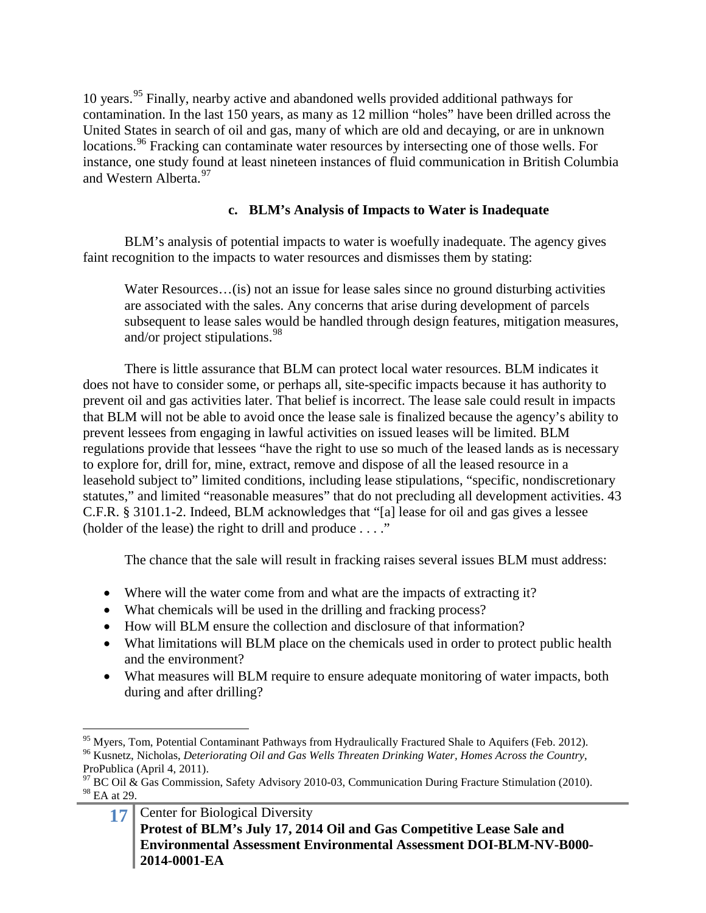10 years.[95](#page-16-0) Finally, nearby active and abandoned wells provided additional pathways for contamination. In the last 150 years, as many as 12 million "holes" have been drilled across the United States in search of oil and gas, many of which are old and decaying, or are in unknown locations.<sup>[96](#page-16-1)</sup> Fracking can contaminate water resources by intersecting one of those wells. For instance, one study found at least nineteen instances of fluid communication in British Columbia and Western Alberta.<sup>[97](#page-16-2)</sup>

# **c. BLM's Analysis of Impacts to Water is Inadequate**

BLM's analysis of potential impacts to water is woefully inadequate. The agency gives faint recognition to the impacts to water resources and dismisses them by stating:

Water Resources...(is) not an issue for lease sales since no ground disturbing activities are associated with the sales. Any concerns that arise during development of parcels subsequent to lease sales would be handled through design features, mitigation measures, and/or project stipulations.<sup>[98](#page-16-3)</sup>

There is little assurance that BLM can protect local water resources. BLM indicates it does not have to consider some, or perhaps all, site-specific impacts because it has authority to prevent oil and gas activities later. That belief is incorrect. The lease sale could result in impacts that BLM will not be able to avoid once the lease sale is finalized because the agency's ability to prevent lessees from engaging in lawful activities on issued leases will be limited. BLM regulations provide that lessees "have the right to use so much of the leased lands as is necessary to explore for, drill for, mine, extract, remove and dispose of all the leased resource in a leasehold subject to" limited conditions, including lease stipulations, "specific, nondiscretionary statutes," and limited "reasonable measures" that do not precluding all development activities. 43 C.F.R. § 3101.1-2. Indeed, BLM acknowledges that "[a] lease for oil and gas gives a lessee (holder of the lease) the right to drill and produce  $\dots$ ."

The chance that the sale will result in fracking raises several issues BLM must address:

- Where will the water come from and what are the impacts of extracting it?
- What chemicals will be used in the drilling and fracking process?
- How will BLM ensure the collection and disclosure of that information?
- What limitations will BLM place on the chemicals used in order to protect public health and the environment?
- What measures will BLM require to ensure adequate monitoring of water impacts, both during and after drilling?

<span id="page-16-1"></span><span id="page-16-0"></span><sup>&</sup>lt;sup>95</sup> Myers, Tom, Potential Contaminant Pathways from Hydraulically Fractured Shale to Aquifers (Feb. 2012).<br><sup>96</sup> Kusnetz, Nicholas, *Deteriorating Oil and Gas Wells Threaten Drinking Water, Homes Across the Country*, ProPublica (April 4, 2011).

<span id="page-16-3"></span><span id="page-16-2"></span> $97$  BC Oil & Gas Commission, Safety Advisory 2010-03, Communication During Fracture Stimulation (2010). <sup>98</sup> EA at 29.

**<sup>17</sup>** Center for Biological Diversity **Protest of BLM's July 17, 2014 Oil and Gas Competitive Lease Sale and Environmental Assessment Environmental Assessment DOI-BLM-NV-B000- 2014-0001-EA**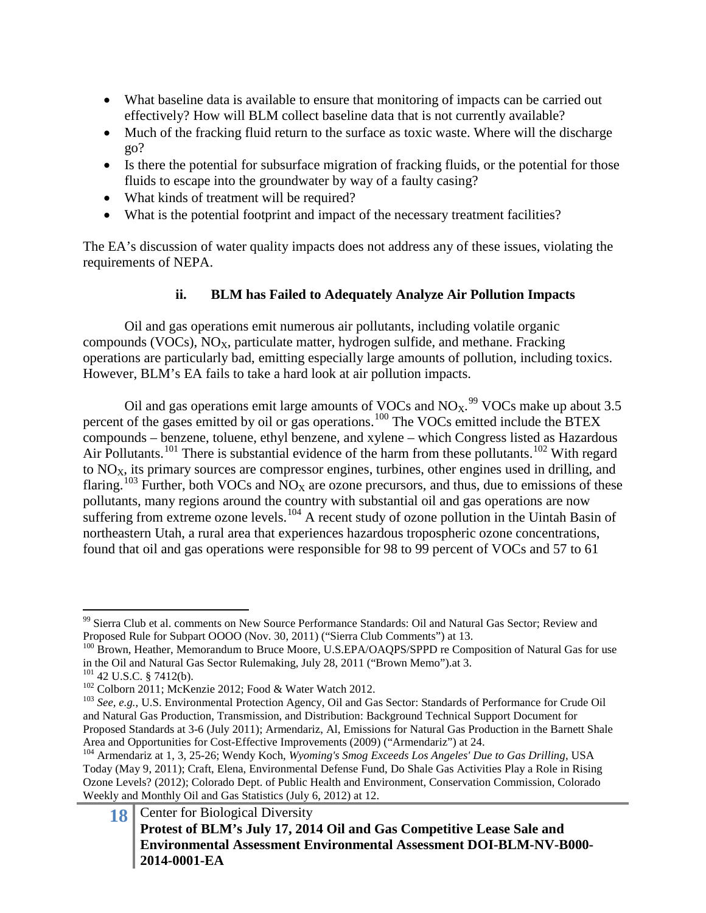- What baseline data is available to ensure that monitoring of impacts can be carried out effectively? How will BLM collect baseline data that is not currently available?
- Much of the fracking fluid return to the surface as toxic waste. Where will the discharge go?
- Is there the potential for subsurface migration of fracking fluids, or the potential for those fluids to escape into the groundwater by way of a faulty casing?
- What kinds of treatment will be required?
- What is the potential footprint and impact of the necessary treatment facilities?

The EA's discussion of water quality impacts does not address any of these issues, violating the requirements of NEPA.

# **ii. BLM has Failed to Adequately Analyze Air Pollution Impacts**

Oil and gas operations emit numerous air pollutants, including volatile organic compounds (VOCs),  $NO<sub>X</sub>$ , particulate matter, hydrogen sulfide, and methane. Fracking operations are particularly bad, emitting especially large amounts of pollution, including toxics. However, BLM's EA fails to take a hard look at air pollution impacts.

Oil and gas operations emit large amounts of VOCs and  $NO<sub>X</sub>$ <sup>[99](#page-17-0)</sup> VOCs make up about 3.5 percent of the gases emitted by oil or gas operations.<sup>[100](#page-17-1)</sup> The VOCs emitted include the BTEX compounds – benzene, toluene, ethyl benzene, and xylene – which Congress listed as Hazardous Air Pollutants.<sup>[101](#page-17-2)</sup> There is substantial evidence of the harm from these pollutants.<sup>[102](#page-17-3)</sup> With regard to  $NO<sub>X</sub>$ , its primary sources are compressor engines, turbines, other engines used in drilling, and flaring.<sup>[103](#page-17-4)</sup> Further, both VOCs and NO<sub>X</sub> are ozone precursors, and thus, due to emissions of these pollutants, many regions around the country with substantial oil and gas operations are now suffering from extreme ozone levels.<sup>[104](#page-17-5)</sup> A recent study of ozone pollution in the Uintah Basin of northeastern Utah, a rural area that experiences hazardous tropospheric ozone concentrations, found that oil and gas operations were responsible for 98 to 99 percent of VOCs and 57 to 61

<span id="page-17-0"></span><sup>&</sup>lt;sup>99</sup> Sierra Club et al. comments on New Source Performance Standards: Oil and Natural Gas Sector; Review and Proposed Rule for Subpart OOOO (Nov. 30, 2011) ("Sierra Club Comments") at 13.

<span id="page-17-1"></span><sup>&</sup>lt;sup>100</sup> Brown, Heather, Memorandum to Bruce Moore, U.S.EPA/OAQPS/SPPD re Composition of Natural Gas for use in the Oil and Natural Gas Sector Rulemaking, July 28, 2011 ("Brown Memo").at 3.<br><sup>101</sup> 42 U.S.C. § 7412(b).<br><sup>102</sup> Colborn 2011; McKenzie 2012; Food & Water Watch 2012.<br><sup>103</sup> See, e.g., U.S. Environmental Protection Agency,

<span id="page-17-2"></span>

<span id="page-17-4"></span><span id="page-17-3"></span>and Natural Gas Production, Transmission, and Distribution: Background Technical Support Document for Proposed Standards at 3-6 (July 2011); Armendariz, Al, Emissions for Natural Gas Production in the Barnett Shale Area and Opportunities for Cost-Effective Improvements (2009) ("Armendariz") at 24.

<span id="page-17-5"></span><sup>104</sup> Armendariz at 1, 3, 25-26; Wendy Koch, *Wyoming's Smog Exceeds Los Angeles' Due to Gas Drilling*, USA Today (May 9, 2011); Craft, Elena, Environmental Defense Fund, Do Shale Gas Activities Play a Role in Rising Ozone Levels? (2012); Colorado Dept. of Public Health and Environment, Conservation Commission, Colorado Weekly and Monthly Oil and Gas Statistics (July 6, 2012) at 12.

**<sup>18</sup>** Center for Biological Diversity **Protest of BLM's July 17, 2014 Oil and Gas Competitive Lease Sale and Environmental Assessment Environmental Assessment DOI-BLM-NV-B000- 2014-0001-EA**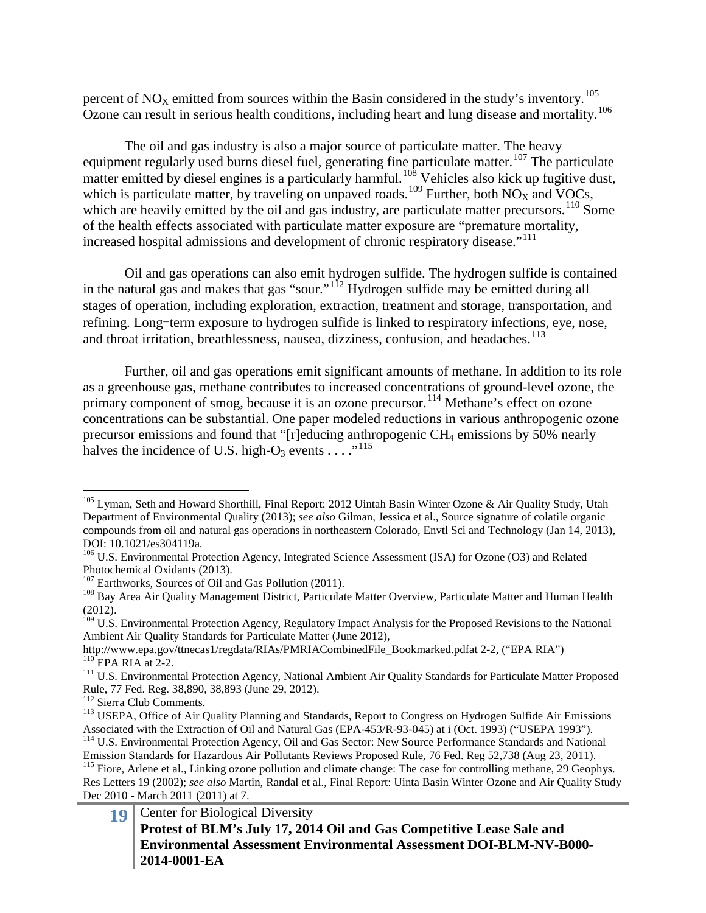percent of  $NO<sub>X</sub>$  emitted from sources within the Basin considered in the study's inventory.<sup>[105](#page-18-0)</sup> Ozone can result in serious health conditions, including heart and lung disease and mortality.<sup>[106](#page-18-1)</sup>

The oil and gas industry is also a major source of particulate matter. The heavy equipment regularly used burns diesel fuel, generating fine particulate matter.<sup>[107](#page-18-2)</sup> The particulate matter emitted by diesel engines is a particularly harmful.<sup>[108](#page-18-3)</sup> Vehicles also kick up fugitive dust, which is particulate matter, by traveling on unpaved roads.<sup>[109](#page-18-4)</sup> Further, both  $NO<sub>X</sub>$  and VOCs, which are heavily emitted by the oil and gas industry, are particulate matter precursors.<sup>[110](#page-18-5)</sup> Some of the health effects associated with particulate matter exposure are "premature mortality, increased hospital admissions and development of chronic respiratory disease."[111](#page-18-6)

Oil and gas operations can also emit hydrogen sulfide. The hydrogen sulfide is contained in the natural gas and makes that gas "sour."<sup>[112](#page-18-7)</sup> Hydrogen sulfide may be emitted during all stages of operation, including exploration, extraction, treatment and storage, transportation, and refining. Long-term exposure to hydrogen sulfide is linked to respiratory infections, eye, nose, and throat irritation, breathlessness, nausea, dizziness, confusion, and headaches.<sup>[113](#page-18-8)</sup>

Further, oil and gas operations emit significant amounts of methane. In addition to its role as a greenhouse gas, methane contributes to increased concentrations of ground-level ozone, the primary component of smog, because it is an ozone precursor.<sup>[114](#page-18-9)</sup> Methane's effect on ozone concentrations can be substantial. One paper modeled reductions in various anthropogenic ozone precursor emissions and found that "[r]educing anthropogenic CH4 emissions by 50% nearly halves the incidence of U.S. high-O<sub>3</sub> events  $\dots$ <sup>[115](#page-18-10)</sup>

<span id="page-18-0"></span><sup>&</sup>lt;sup>105</sup> Lyman, Seth and Howard Shorthill, Final Report: 2012 Uintah Basin Winter Ozone & Air Quality Study, Utah Department of Environmental Quality (2013); *see also* Gilman, Jessica et al., Source signature of colatile organic compounds from oil and natural gas operations in northeastern Colorado, Envtl Sci and Technology (Jan 14, 2013), DOI: 10.1021/es304119a.

<span id="page-18-1"></span><sup>&</sup>lt;sup>106</sup> U.S. Environmental Protection Agency, Integrated Science Assessment (ISA) for Ozone (O3) and Related Photochemical Oxidants (2013).

<span id="page-18-3"></span><span id="page-18-2"></span>

<sup>&</sup>lt;sup>107</sup> Earthworks, Sources of Oil and Gas Pollution (2011). <sup>108</sup> Bay Area Air Quality Management District, Particulate Matter Overview, Particulate Matter and Human Health (2012).

<span id="page-18-4"></span><sup>&</sup>lt;sup>109</sup> U.S. Environmental Protection Agency, Regulatory Impact Analysis for the Proposed Revisions to the National Ambient Air Quality Standards for Particulate Matter (June 2012),<br>http://www.epa.gov/ttnecas1/regdata/RIAs/PMRIACombinedFile Bookmarked.pdfat 2-2, ("EPA RIA")

<span id="page-18-6"></span><span id="page-18-5"></span><sup>&</sup>lt;sup>110</sup> EPA RIA at 2-2.<br><sup>111</sup> U.S. Environmental Protection Agency, National Ambient Air Quality Standards for Particulate Matter Proposed Rule, 77 Fed. Reg. 38,890, 38,893 (June 29, 2012).

<span id="page-18-8"></span><span id="page-18-7"></span><sup>&</sup>lt;sup>113</sup> USEPA, Office of Air Quality Planning and Standards, Report to Congress on Hydrogen Sulfide Air Emissions<br>Associated with the Extraction of Oil and Natural Gas (EPA-453/R-93-045) at i (Oct. 1993) ("USEPA 1993").

<span id="page-18-10"></span><span id="page-18-9"></span><sup>&</sup>lt;sup>114</sup> U.S. Environmental Protection Agency, Oil and Gas Sector: New Source Performance Standards and National Emission Standards for Hazardous Air Pollutants Reviews Proposed Rule, 76 Fed. Reg 52,738 (Aug 23, 2011). <sup>115</sup> Fiore, Arlene et al., Linking ozone pollution and climate change: The case for controlling methane, 29 Geophys. Res Letters 19 (2002); *see also* Martin, Randal et al., Final Report: Uinta Basin Winter Ozone and Air Quality Study Dec 2010 - March 2011 (2011) at 7.

**<sup>19</sup>** Center for Biological Diversity **Protest of BLM's July 17, 2014 Oil and Gas Competitive Lease Sale and Environmental Assessment Environmental Assessment DOI-BLM-NV-B000- 2014-0001-EA**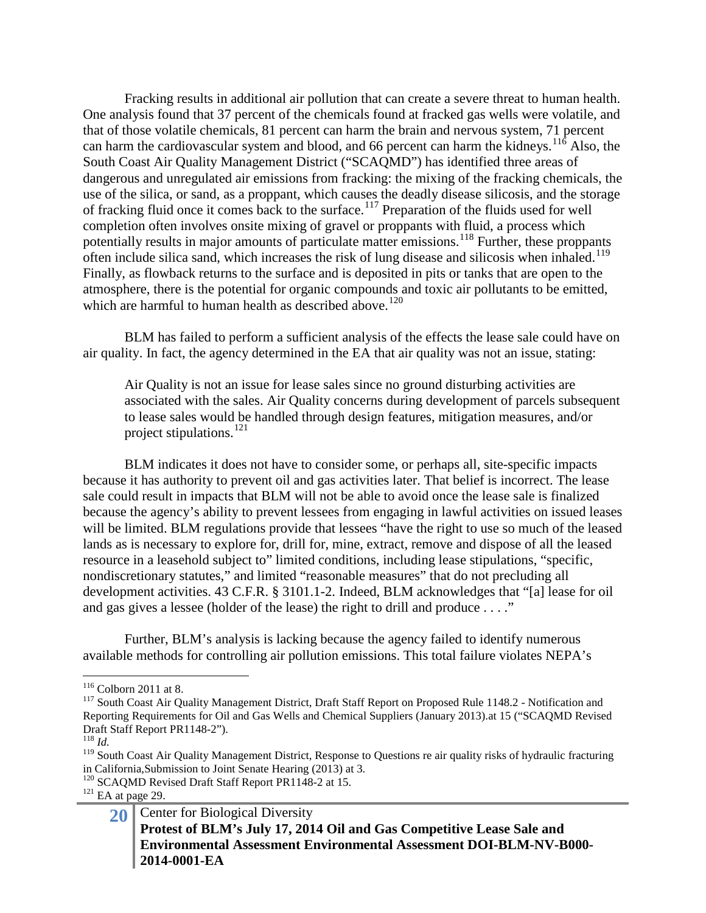Fracking results in additional air pollution that can create a severe threat to human health. One analysis found that 37 percent of the chemicals found at fracked gas wells were volatile, and that of those volatile chemicals, 81 percent can harm the brain and nervous system, 71 percent can harm the cardiovascular system and blood, and 66 percent can harm the kidneys.<sup>[116](#page-19-0)</sup> Also, the South Coast Air Quality Management District ("SCAQMD") has identified three areas of dangerous and unregulated air emissions from fracking: the mixing of the fracking chemicals, the use of the silica, or sand, as a proppant, which causes the deadly disease silicosis, and the storage of fracking fluid once it comes back to the surface.<sup>[117](#page-19-1)</sup> Preparation of the fluids used for well completion often involves onsite mixing of gravel or proppants with fluid, a process which potentially results in major amounts of particulate matter emissions.<sup>[118](#page-19-2)</sup> Further, these proppants often include silica sand, which increases the risk of lung disease and silicosis when inhaled.<sup>[119](#page-19-3)</sup> Finally, as flowback returns to the surface and is deposited in pits or tanks that are open to the atmosphere, there is the potential for organic compounds and toxic air pollutants to be emitted, which are harmful to human health as described above.<sup>[120](#page-19-4)</sup>

BLM has failed to perform a sufficient analysis of the effects the lease sale could have on air quality. In fact, the agency determined in the EA that air quality was not an issue, stating:

Air Quality is not an issue for lease sales since no ground disturbing activities are associated with the sales. Air Quality concerns during development of parcels subsequent to lease sales would be handled through design features, mitigation measures, and/or project stipulations.<sup>[121](#page-19-5)</sup>

BLM indicates it does not have to consider some, or perhaps all, site-specific impacts because it has authority to prevent oil and gas activities later. That belief is incorrect. The lease sale could result in impacts that BLM will not be able to avoid once the lease sale is finalized because the agency's ability to prevent lessees from engaging in lawful activities on issued leases will be limited. BLM regulations provide that lessees "have the right to use so much of the leased lands as is necessary to explore for, drill for, mine, extract, remove and dispose of all the leased resource in a leasehold subject to" limited conditions, including lease stipulations, "specific, nondiscretionary statutes," and limited "reasonable measures" that do not precluding all development activities. 43 C.F.R. § 3101.1-2. Indeed, BLM acknowledges that "[a] lease for oil and gas gives a lessee (holder of the lease) the right to drill and produce . . . ."

Further, BLM's analysis is lacking because the agency failed to identify numerous available methods for controlling air pollution emissions. This total failure violates NEPA's

<span id="page-19-1"></span><span id="page-19-0"></span><sup>&</sup>lt;sup>116</sup> Colborn 2011 at 8.<br><sup>117</sup> South Coast Air Quality Management District, Draft Staff Report on Proposed Rule 1148.2 - Notification and Reporting Requirements for Oil and Gas Wells and Chemical Suppliers (January 2013).at 15 ("SCAQMD Revised Draft Staff Report PR1148-2"). <sup>118</sup> *Id.*

<span id="page-19-3"></span><span id="page-19-2"></span><sup>&</sup>lt;sup>119</sup> South Coast Air Quality Management District, Response to Questions re air quality risks of hydraulic fracturing in California, Submission to Joint Senate Hearing (2013) at 3.

<span id="page-19-4"></span><sup>&</sup>lt;sup>120</sup> SCAQMD Revised Draft Staff Report PR1148-2 at 15. <sup>121</sup> EA at page 29.

<span id="page-19-5"></span>

<sup>20</sup> Center for Biological Diversity **Protest of BLM's July 17, 2014 Oil and Gas Competitive Lease Sale and Environmental Assessment Environmental Assessment DOI-BLM-NV-B000- 2014-0001-EA**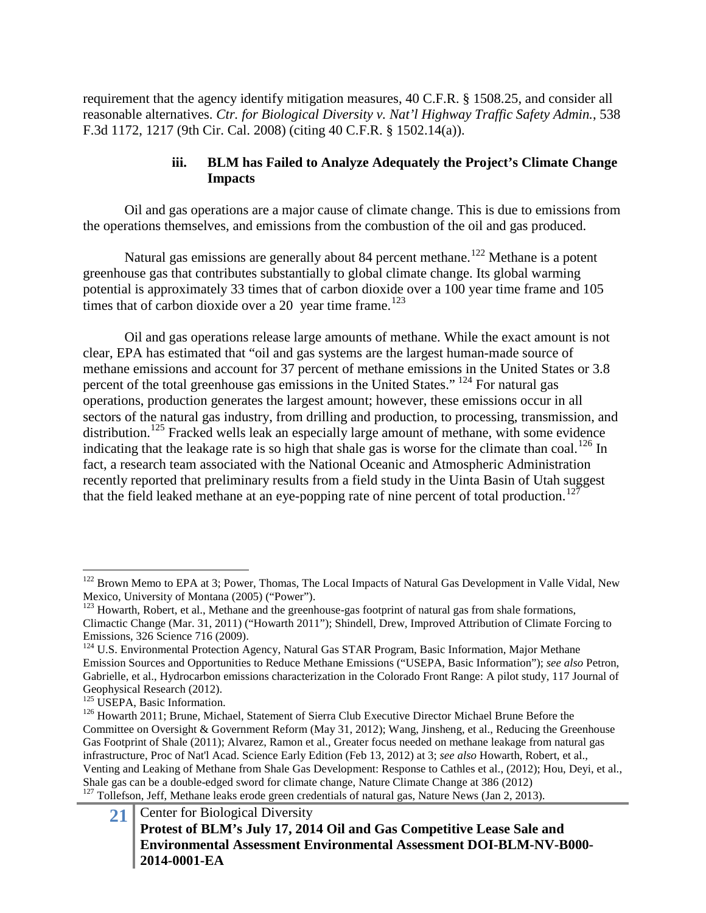requirement that the agency identify mitigation measures, 40 C.F.R. § 1508.25, and consider all reasonable alternatives. *Ctr. for Biological Diversity v. Nat'l Highway Traffic Safety Admin.*, 538 F.3d 1172, 1217 (9th Cir. Cal. 2008) (citing 40 C.F.R. § 1502.14(a)).

# **iii. BLM has Failed to Analyze Adequately the Project's Climate Change Impacts**

Oil and gas operations are a major cause of climate change. This is due to emissions from the operations themselves, and emissions from the combustion of the oil and gas produced.

Natural gas emissions are generally about 84 percent methane.<sup>[122](#page-20-0)</sup> Methane is a potent greenhouse gas that contributes substantially to global climate change. Its global warming potential is approximately 33 times that of carbon dioxide over a 100 year time frame and 105 times that of carbon dioxide over a 20 year time frame.<sup>[123](#page-20-1)</sup>

Oil and gas operations release large amounts of methane. While the exact amount is not clear, EPA has estimated that "oil and gas systems are the largest human-made source of methane emissions and account for 37 percent of methane emissions in the United States or 3.8 percent of the total greenhouse gas emissions in the United States." [124](#page-20-2) For natural gas operations, production generates the largest amount; however, these emissions occur in all sectors of the natural gas industry, from drilling and production, to processing, transmission, and distribution.<sup>[125](#page-20-3)</sup> Fracked wells leak an especially large amount of methane, with some evidence indicating that the leakage rate is so high that shale gas is worse for the climate than coal.<sup>[126](#page-20-4)</sup> In fact, a research team associated with the National Oceanic and Atmospheric Administration recently reported that preliminary results from a field study in the Uinta Basin of Utah suggest that the field leaked methane at an eye-popping rate of nine percent of total production.<sup>[127](#page-20-5)</sup>

<span id="page-20-0"></span><sup>&</sup>lt;sup>122</sup> Brown Memo to EPA at 3; Power, Thomas, The Local Impacts of Natural Gas Development in Valle Vidal, New Mexico, University of Montana (2005) ("Power").

<span id="page-20-1"></span><sup>&</sup>lt;sup>123</sup> Howarth, Robert, et al., Methane and the greenhouse-gas footprint of natural gas from shale formations, Climactic Change (Mar. 31, 2011) ("Howarth 2011"); Shindell, Drew, Improved Attribution of Climate Forcing to Emissions, 326 Science 716 (2009).

<span id="page-20-2"></span><sup>&</sup>lt;sup>124</sup> U.S. Environmental Protection Agency, Natural Gas STAR Program, Basic Information, Major Methane Emission Sources and Opportunities to Reduce Methane Emissions ("USEPA, Basic Information"); *see also* Petron, Gabrielle, et al., Hydrocarbon emissions characterization in the Colorado Front Range: A pilot study, 117 Journal of Geophysical Research (2012).<br><sup>125</sup> USEPA, Basic Information.

<span id="page-20-3"></span>

<span id="page-20-4"></span><sup>&</sup>lt;sup>126</sup> Howarth 2011; Brune, Michael, Statement of Sierra Club Executive Director Michael Brune Before the Committee on Oversight & Government Reform (May 31, 2012); Wang, Jinsheng, et al., Reducing the Greenhouse Gas Footprint of Shale (2011); Alvarez, Ramon et al., Greater focus needed on methane leakage from natural gas infrastructure, Proc of Nat'l Acad. Science Early Edition (Feb 13, 2012) at 3; *see also* Howarth, Robert, et al., Venting and Leaking of Methane from Shale Gas Development: Response to Cathles et al., (2012); Hou, Deyi, et al.,  $\frac{127}{127}$  Tollefson, Jeff, Methane leaks erode green credentials of natural gas, Nature News (Jan 2, 2013).

<span id="page-20-5"></span><sup>21</sup> Center for Biological Diversity **Protest of BLM's July 17, 2014 Oil and Gas Competitive Lease Sale and Environmental Assessment Environmental Assessment DOI-BLM-NV-B000- 2014-0001-EA**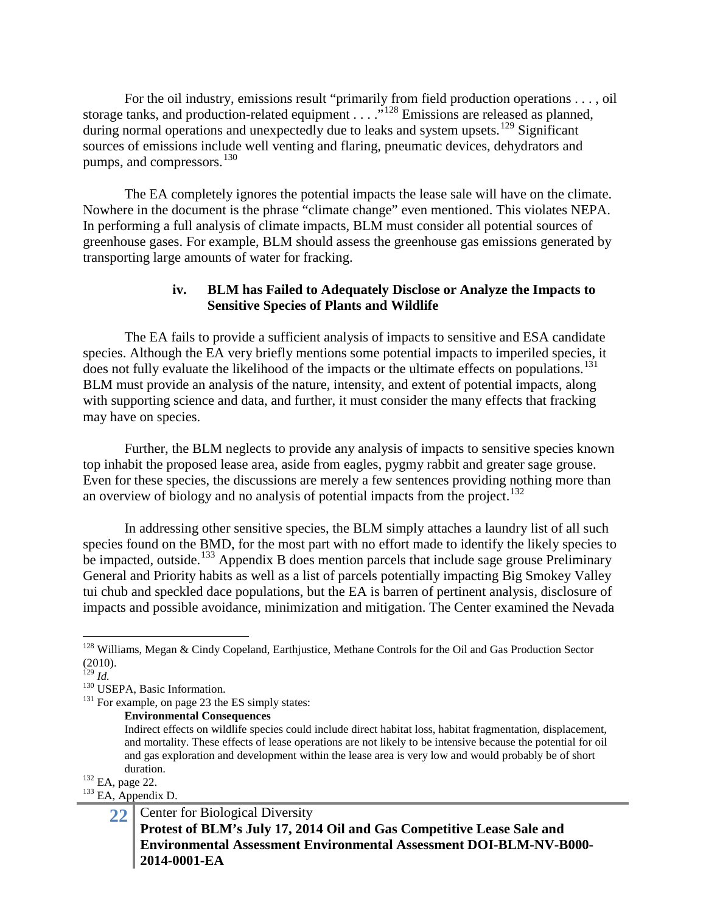For the oil industry, emissions result "primarily from field production operations . . . , oil storage tanks, and production-related equipment . . . . .<sup>\$[128](#page-21-0)</sup> Emissions are released as planned, during normal operations and unexpectedly due to leaks and system upsets.<sup>[129](#page-21-1)</sup> Significant sources of emissions include well venting and flaring, pneumatic devices, dehydrators and pumps, and compressors.<sup>[130](#page-21-2)</sup>

The EA completely ignores the potential impacts the lease sale will have on the climate. Nowhere in the document is the phrase "climate change" even mentioned. This violates NEPA. In performing a full analysis of climate impacts, BLM must consider all potential sources of greenhouse gases. For example, BLM should assess the greenhouse gas emissions generated by transporting large amounts of water for fracking.

### **iv. BLM has Failed to Adequately Disclose or Analyze the Impacts to Sensitive Species of Plants and Wildlife**

The EA fails to provide a sufficient analysis of impacts to sensitive and ESA candidate species. Although the EA very briefly mentions some potential impacts to imperiled species, it does not fully evaluate the likelihood of the impacts or the ultimate effects on populations.<sup>[131](#page-21-3)</sup> BLM must provide an analysis of the nature, intensity, and extent of potential impacts, along with supporting science and data, and further, it must consider the many effects that fracking may have on species.

Further, the BLM neglects to provide any analysis of impacts to sensitive species known top inhabit the proposed lease area, aside from eagles, pygmy rabbit and greater sage grouse. Even for these species, the discussions are merely a few sentences providing nothing more than an overview of biology and no analysis of potential impacts from the project.<sup>[132](#page-21-4)</sup>

In addressing other sensitive species, the BLM simply attaches a laundry list of all such species found on the BMD, for the most part with no effort made to identify the likely species to be impacted, outside.<sup>[133](#page-21-5)</sup> Appendix B does mention parcels that include sage grouse Preliminary General and Priority habits as well as a list of parcels potentially impacting Big Smokey Valley tui chub and speckled dace populations, but the EA is barren of pertinent analysis, disclosure of impacts and possible avoidance, minimization and mitigation. The Center examined the Nevada

**Environmental Consequences** 

Indirect effects on wildlife species could include direct habitat loss, habitat fragmentation, displacement, and mortality. These effects of lease operations are not likely to be intensive because the potential for oil and gas exploration and development within the lease area is very low and would probably be of short

<span id="page-21-5"></span><span id="page-21-4"></span>

duration.<br><sup>132</sup> EA, page 22.<br><sup>133</sup> EA, Appendix D.

<span id="page-21-0"></span><sup>&</sup>lt;sup>128</sup> Williams, Megan & Cindy Copeland, Earthjustice, Methane Controls for the Oil and Gas Production Sector  $^{(2010)}_{^{129}Id.}$ 

<span id="page-21-3"></span><span id="page-21-2"></span><span id="page-21-1"></span><sup>&</sup>lt;sup>130</sup> USEPA, Basic Information.<br><sup>131</sup> For example, on page 23 the ES simply states:

<sup>22</sup> Center for Biological Diversity **Protest of BLM's July 17, 2014 Oil and Gas Competitive Lease Sale and Environmental Assessment Environmental Assessment DOI-BLM-NV-B000- 2014-0001-EA**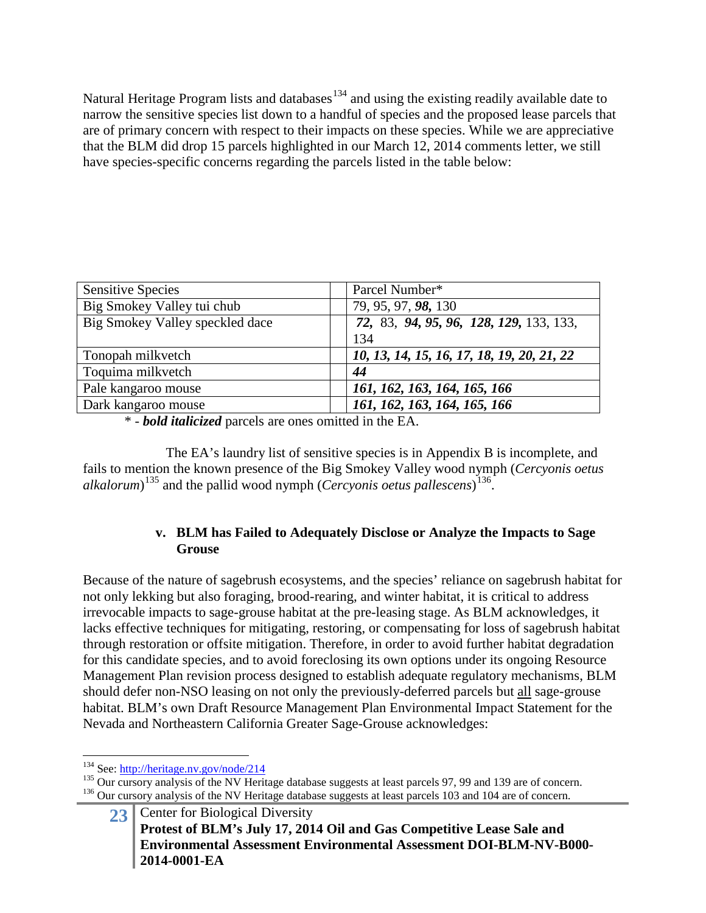Natural Heritage Program lists and databases<sup>[134](#page-22-0)</sup> and using the existing readily available date to narrow the sensitive species list down to a handful of species and the proposed lease parcels that are of primary concern with respect to their impacts on these species. While we are appreciative that the BLM did drop 15 parcels highlighted in our March 12, 2014 comments letter, we still have species-specific concerns regarding the parcels listed in the table below:

| <b>Sensitive Species</b>        | Parcel Number*                             |
|---------------------------------|--------------------------------------------|
| Big Smokey Valley tui chub      | 79, 95, 97, 98, 130                        |
| Big Smokey Valley speckled dace | 72, 83, 94, 95, 96, 128, 129, 133, 133,    |
|                                 | 134                                        |
| Tonopah milkvetch               | 10, 13, 14, 15, 16, 17, 18, 19, 20, 21, 22 |
| Toquima milkvetch               | 44                                         |
| Pale kangaroo mouse             | 161, 162, 163, 164, 165, 166               |
| Dark kangaroo mouse             | 161, 162, 163, 164, 165, 166               |

\* - *bold italicized* parcels are ones omitted in the EA.

The EA's laundry list of sensitive species is in Appendix B is incomplete, and fails to mention the known presence of the Big Smokey Valley wood nymph (*Cercyonis oetus alkalorum*) [135](#page-22-1) and the pallid wood nymph (*Cercyonis oetus pallescens*) [136](#page-22-2).

### **v. BLM has Failed to Adequately Disclose or Analyze the Impacts to Sage Grouse**

Because of the nature of sagebrush ecosystems, and the species' reliance on sagebrush habitat for not only lekking but also foraging, brood-rearing, and winter habitat, it is critical to address irrevocable impacts to sage-grouse habitat at the pre-leasing stage. As BLM acknowledges, it lacks effective techniques for mitigating, restoring, or compensating for loss of sagebrush habitat through restoration or offsite mitigation. Therefore, in order to avoid further habitat degradation for this candidate species, and to avoid foreclosing its own options under its ongoing Resource Management Plan revision process designed to establish adequate regulatory mechanisms, BLM should defer non-NSO leasing on not only the previously-deferred parcels but all sage-grouse habitat. BLM's own Draft Resource Management Plan Environmental Impact Statement for the Nevada and Northeastern California Greater Sage-Grouse acknowledges:

<span id="page-22-2"></span>

<span id="page-22-1"></span><span id="page-22-0"></span><sup>&</sup>lt;sup>134</sup> See:<http://heritage.nv.gov/node/214><br><sup>135</sup> Our cursory analysis of the NV Heritage database suggests at least parcels 97, 99 and 139 are of concern.<br><sup>136</sup> Our cursory analysis of the NV Heritage database suggests at

<sup>23</sup> Center for Biological Diversity **Protest of BLM's July 17, 2014 Oil and Gas Competitive Lease Sale and Environmental Assessment Environmental Assessment DOI-BLM-NV-B000- 2014-0001-EA**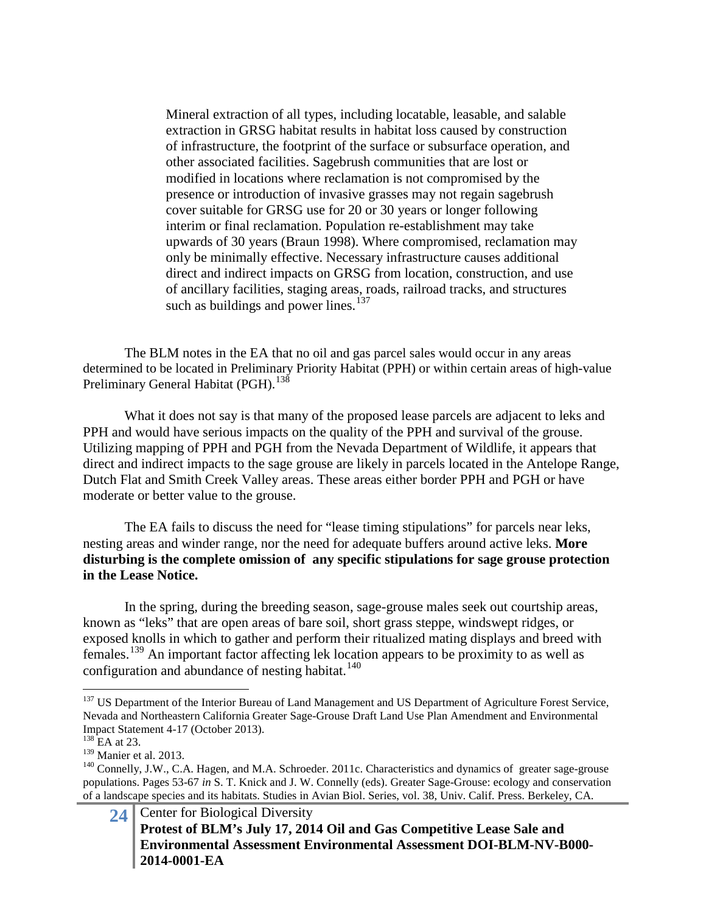Mineral extraction of all types, including locatable, leasable, and salable extraction in GRSG habitat results in habitat loss caused by construction of infrastructure, the footprint of the surface or subsurface operation, and other associated facilities. Sagebrush communities that are lost or modified in locations where reclamation is not compromised by the presence or introduction of invasive grasses may not regain sagebrush cover suitable for GRSG use for 20 or 30 years or longer following interim or final reclamation. Population re-establishment may take upwards of 30 years (Braun 1998). Where compromised, reclamation may only be minimally effective. Necessary infrastructure causes additional direct and indirect impacts on GRSG from location, construction, and use of ancillary facilities, staging areas, roads, railroad tracks, and structures such as buildings and power lines. $137$ 

The BLM notes in the EA that no oil and gas parcel sales would occur in any areas determined to be located in Preliminary Priority Habitat (PPH) or within certain areas of high-value Preliminary General Habitat (PGH).<sup>[138](#page-23-1)</sup>

What it does not say is that many of the proposed lease parcels are adjacent to leks and PPH and would have serious impacts on the quality of the PPH and survival of the grouse. Utilizing mapping of PPH and PGH from the Nevada Department of Wildlife, it appears that direct and indirect impacts to the sage grouse are likely in parcels located in the Antelope Range, Dutch Flat and Smith Creek Valley areas. These areas either border PPH and PGH or have moderate or better value to the grouse.

The EA fails to discuss the need for "lease timing stipulations" for parcels near leks, nesting areas and winder range, nor the need for adequate buffers around active leks. **More disturbing is the complete omission of any specific stipulations for sage grouse protection in the Lease Notice.**

In the spring, during the breeding season, sage-grouse males seek out courtship areas, known as "leks" that are open areas of bare soil, short grass steppe, windswept ridges, or exposed knolls in which to gather and perform their ritualized mating displays and breed with females.<sup>[139](#page-23-2)</sup> An important factor affecting lek location appears to be proximity to as well as configuration and abundance of nesting habitat. [140](#page-23-3)

<span id="page-23-0"></span><sup>&</sup>lt;sup>137</sup> US Department of the Interior Bureau of Land Management and US Department of Agriculture Forest Service, Nevada and Northeastern California Greater Sage-Grouse Draft Land Use Plan Amendment and Environmental Impact Statement 4-17 (October 2013).<br><sup>138</sup> EA at 23.<br><sup>139</sup> Manier et al. 2013.

<span id="page-23-1"></span>

<span id="page-23-3"></span><span id="page-23-2"></span> $140$  Connelly, J.W., C.A. Hagen, and M.A. Schroeder. 2011c. Characteristics and dynamics of greater sage-grouse populations. Pages 53-67 *in* S. T. Knick and J. W. Connelly (eds). Greater Sage-Grouse: ecology and conservation of a landscape species and its habitats. Studies in Avian Biol. Series, vol. 38, Univ. Calif. Press. Berkeley, CA.

<sup>24</sup> Center for Biological Diversity **Protest of BLM's July 17, 2014 Oil and Gas Competitive Lease Sale and Environmental Assessment Environmental Assessment DOI-BLM-NV-B000- 2014-0001-EA**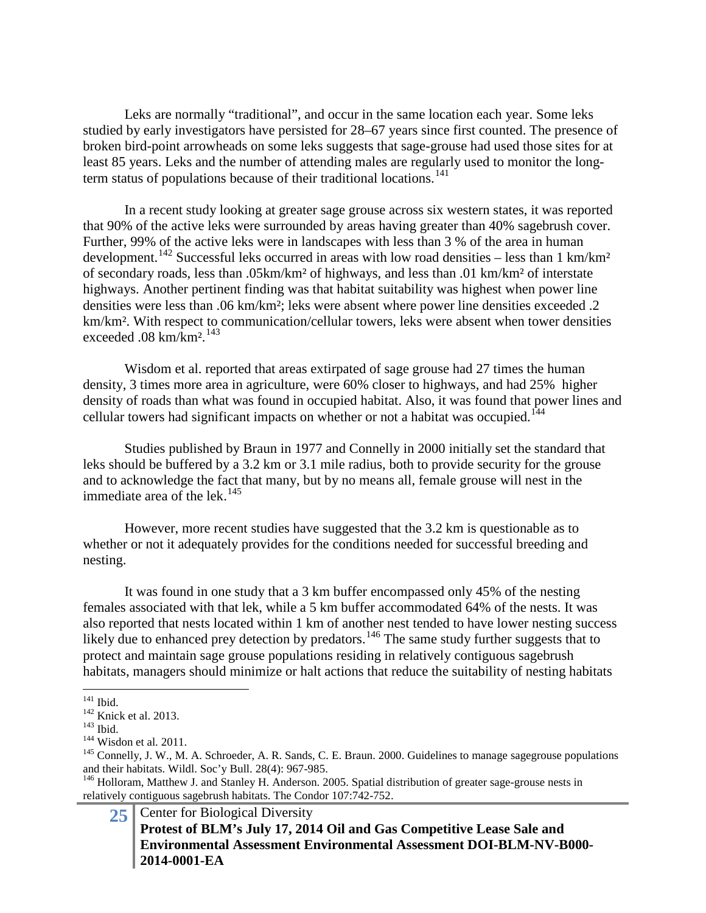Leks are normally "traditional", and occur in the same location each year. Some leks studied by early investigators have persisted for 28–67 years since first counted. The presence of broken bird-point arrowheads on some leks suggests that sage-grouse had used those sites for at least 85 years. Leks and the number of attending males are regularly used to monitor the longterm status of populations because of their traditional locations. [141](#page-24-0)

In a recent study looking at greater sage grouse across six western states, it was reported that 90% of the active leks were surrounded by areas having greater than 40% sagebrush cover. Further, 99% of the active leks were in landscapes with less than 3 % of the area in human development.<sup>[142](#page-24-1)</sup> Successful leks occurred in areas with low road densities – less than 1 km/km<sup>2</sup> of secondary roads, less than .05km/km² of highways, and less than .01 km/km² of interstate highways. Another pertinent finding was that habitat suitability was highest when power line densities were less than .06 km/km²; leks were absent where power line densities exceeded .2 km/km². With respect to communication/cellular towers, leks were absent when tower densities exceeded .08 km/km².[143](#page-24-2)

Wisdom et al. reported that areas extirpated of sage grouse had 27 times the human density, 3 times more area in agriculture, were 60% closer to highways, and had 25% higher density of roads than what was found in occupied habitat. Also, it was found that power lines and cellular towers had significant impacts on whether or not a habitat was occupied.<sup>[144](#page-24-3)</sup>

Studies published by Braun in 1977 and Connelly in 2000 initially set the standard that leks should be buffered by a 3.2 km or 3.1 mile radius, both to provide security for the grouse and to acknowledge the fact that many, but by no means all, female grouse will nest in the immediate area of the lek.<sup>[145](#page-24-4)</sup>

However, more recent studies have suggested that the 3.2 km is questionable as to whether or not it adequately provides for the conditions needed for successful breeding and nesting.

It was found in one study that a 3 km buffer encompassed only 45% of the nesting females associated with that lek, while a 5 km buffer accommodated 64% of the nests. It was also reported that nests located within 1 km of another nest tended to have lower nesting success likely due to enhanced prey detection by predators.<sup>[146](#page-24-5)</sup> The same study further suggests that to protect and maintain sage grouse populations residing in relatively contiguous sagebrush habitats, managers should minimize or halt actions that reduce the suitability of nesting habitats

25 Center for Biological Diversity **Protest of BLM's July 17, 2014 Oil and Gas Competitive Lease Sale and Environmental Assessment Environmental Assessment DOI-BLM-NV-B000- 2014-0001-EA**

<span id="page-24-0"></span> $141$  Ibid.<br> $142$  Knick et al. 2013.

<span id="page-24-4"></span>

<span id="page-24-3"></span><span id="page-24-2"></span><span id="page-24-1"></span><sup>&</sup>lt;sup>143</sup> Ibid.<br><sup>144</sup> Wisdon et al. 2011.<br><sup>145</sup> Connelly, J. W., M. A. Schroeder, A. R. Sands, C. E. Braun. 2000. Guidelines to manage sagegrouse populations and their habitats. Wildl. Soc'y Bull. 28(4): 967-985.<br><sup>146</sup> Holloram, Matthew J. and Stanley H. Anderson. 2005. Spatial distribution of greater sage-grouse nests in

<span id="page-24-5"></span>relatively contiguous sagebrush habitats. The Condor 107:742-752.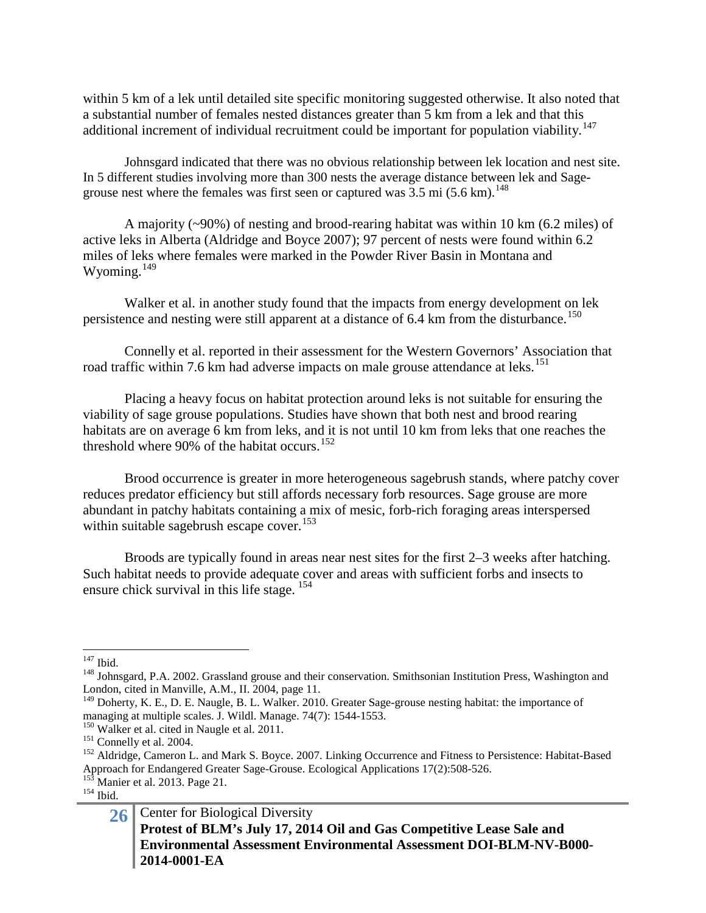within 5 km of a lek until detailed site specific monitoring suggested otherwise. It also noted that a substantial number of females nested distances greater than 5 km from a lek and that this additional increment of individual recruitment could be important for population viability.<sup>[147](#page-25-0)</sup>

Johnsgard indicated that there was no obvious relationship between lek location and nest site. In 5 different studies involving more than 300 nests the average distance between lek and Sagegrouse nest where the females was first seen or captured was  $3.5 \text{ mi} (5.6 \text{ km})$ .<sup>[148](#page-25-1)</sup>

A majority (~90%) of nesting and brood-rearing habitat was within 10 km (6.2 miles) of active leks in Alberta (Aldridge and Boyce 2007); 97 percent of nests were found within 6.2 miles of leks where females were marked in the Powder River Basin in Montana and Wyoming.<sup>[149](#page-25-2)</sup>

Walker et al. in another study found that the impacts from energy development on lek persistence and nesting were still apparent at a distance of  $6.4 \text{ km}$  from the disturbance.<sup>[150](#page-25-3)</sup>

Connelly et al. reported in their assessment for the Western Governors' Association that road traffic within 7.6 km had adverse impacts on male grouse attendance at leks.<sup>[151](#page-25-4)</sup>

Placing a heavy focus on habitat protection around leks is not suitable for ensuring the viability of sage grouse populations. Studies have shown that both nest and brood rearing habitats are on average 6 km from leks, and it is not until 10 km from leks that one reaches the threshold where  $90\%$  of the habitat occurs.<sup>[152](#page-25-5)</sup>

Brood occurrence is greater in more heterogeneous sagebrush stands, where patchy cover reduces predator efficiency but still affords necessary forb resources. Sage grouse are more abundant in patchy habitats containing a mix of mesic, forb-rich foraging areas interspersed within suitable sagebrush escape cover.<sup>[153](#page-25-6)</sup>

Broods are typically found in areas near nest sites for the first 2–3 weeks after hatching. Such habitat needs to provide adequate cover and areas with sufficient forbs and insects to ensure chick survival in this life stage.  $154$ 

<span id="page-25-1"></span><span id="page-25-0"></span> $147$  Ibid.<br><sup>148</sup> Johnsgard, P.A. 2002. Grassland grouse and their conservation. Smithsonian Institution Press, Washington and London, cited in Manville, A.M., II. 2004, page 11.

<span id="page-25-2"></span><sup>&</sup>lt;sup>149</sup> Doherty, K. E., D. E. Naugle, B. L. Walker. 2010. Greater Sage-grouse nesting habitat: the importance of managing at multiple scales. J. Wildl. Manage. 74(7): 1544-1553.<br><sup>150</sup> Walker et al. cited in Naugle et al. 2011.<br><sup>151</sup> Connelly et al. 2004.<br><sup>151</sup> Aldridge, Cameron L. and Mark S. Boyce. 2007. Linking Occurrence and Fitne

<span id="page-25-3"></span>

<span id="page-25-5"></span><span id="page-25-4"></span>Approach for Endangered Greater Sage-Grouse. Ecological Applications 17(2):508-526.<br>
<sup>153</sup> Manier et al. 2013. Page 21.<br>
<sup>154</sup> Ibid.

<span id="page-25-6"></span>

<span id="page-25-7"></span>

<sup>26</sup> Center for Biological Diversity **Protest of BLM's July 17, 2014 Oil and Gas Competitive Lease Sale and Environmental Assessment Environmental Assessment DOI-BLM-NV-B000- 2014-0001-EA**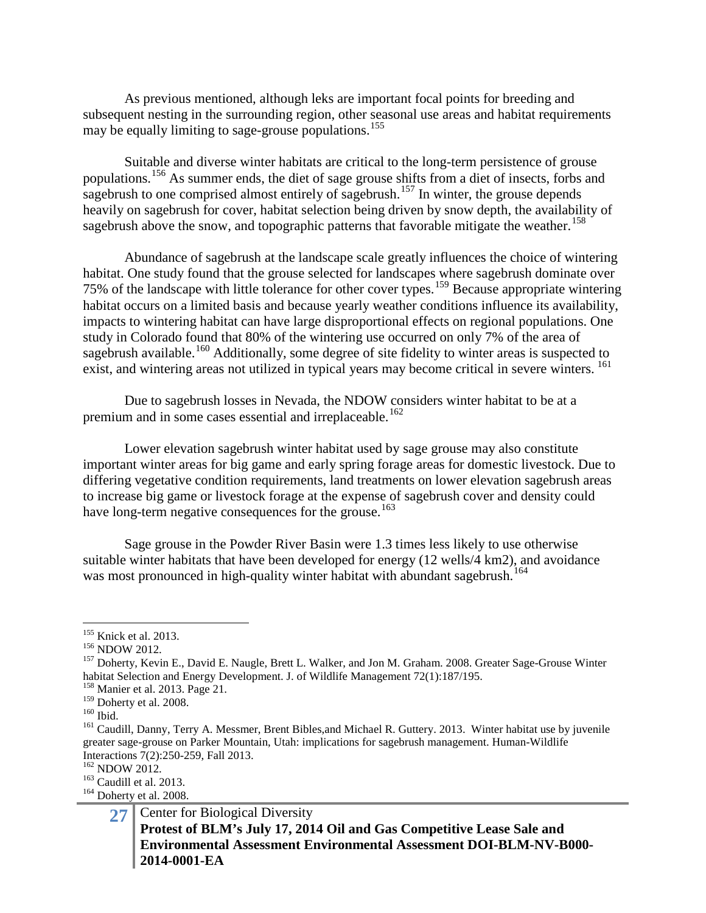As previous mentioned, although leks are important focal points for breeding and subsequent nesting in the surrounding region, other seasonal use areas and habitat requirements may be equally limiting to sage-grouse populations.<sup>[155](#page-26-0)</sup>

Suitable and diverse winter habitats are critical to the long-term persistence of grouse populations.<sup>[156](#page-26-1)</sup> As summer ends, the diet of sage grouse shifts from a diet of insects, forbs and sagebrush to one comprised almost entirely of sagebrush.<sup>[157](#page-26-2)</sup> In winter, the grouse depends heavily on sagebrush for cover, habitat selection being driven by snow depth, the availability of sagebrush above the snow, and topographic patterns that favorable mitigate the weather.<sup>[158](#page-26-3)</sup>

Abundance of sagebrush at the landscape scale greatly influences the choice of wintering habitat. One study found that the grouse selected for landscapes where sagebrush dominate over 75% of the landscape with little tolerance for other cover types.[159](#page-26-4) Because appropriate wintering habitat occurs on a limited basis and because yearly weather conditions influence its availability, impacts to wintering habitat can have large disproportional effects on regional populations. One study in Colorado found that 80% of the wintering use occurred on only 7% of the area of sagebrush available.<sup>[160](#page-26-5)</sup> Additionally, some degree of site fidelity to winter areas is suspected to exist, and wintering areas not utilized in typical years may become critical in severe winters. <sup>[161](#page-26-6)</sup>

Due to sagebrush losses in Nevada, the NDOW considers winter habitat to be at a premium and in some cases essential and irreplaceable.<sup>[162](#page-26-7)</sup>

Lower elevation sagebrush winter habitat used by sage grouse may also constitute important winter areas for big game and early spring forage areas for domestic livestock. Due to differing vegetative condition requirements, land treatments on lower elevation sagebrush areas to increase big game or livestock forage at the expense of sagebrush cover and density could have long-term negative consequences for the grouse.<sup>[163](#page-26-8)</sup>

Sage grouse in the Powder River Basin were 1.3 times less likely to use otherwise suitable winter habitats that have been developed for energy (12 wells/4 km2), and avoidance was most pronounced in high-quality winter habitat with abundant sagebrush. [164](#page-26-9)

<span id="page-26-2"></span>

<span id="page-26-1"></span><span id="page-26-0"></span><sup>&</sup>lt;sup>155</sup> Knick et al. 2013.<br><sup>156</sup> NDOW 2012.<br><sup>157</sup> Doherty, Kevin E., David E. Naugle, Brett L. Walker, and Jon M. Graham. 2008. Greater Sage-Grouse Winter habitat Selection and Energy Development. J. of Wildlife Management 72(1):187/195.<br><sup>158</sup> Manier et al. 2013. Page 21.<br><sup>159</sup> Doherty et al. 2008.

<span id="page-26-3"></span>

<span id="page-26-6"></span>

<span id="page-26-5"></span><span id="page-26-4"></span><sup>160</sup> Ibid.<br><sup>160</sup> Ibid. 161 Caudill, Danny, Terry A. Messmer, Brent Bibles, and Michael R. Guttery. 2013. Winter habitat use by juvenile greater sage-grouse on Parker Mountain, Utah: implications for sagebrush management. Human-Wildlife Interactions 7(2):250-259, Fall 2013.<br><sup>162</sup> NDOW 2012.<br><sup>163</sup> Caudill et al. 2013.<br><sup>164</sup> Doherty et al. 2008.

<span id="page-26-7"></span>

<span id="page-26-8"></span>

<span id="page-26-9"></span>

<sup>27</sup> Center for Biological Diversity **Protest of BLM's July 17, 2014 Oil and Gas Competitive Lease Sale and Environmental Assessment Environmental Assessment DOI-BLM-NV-B000- 2014-0001-EA**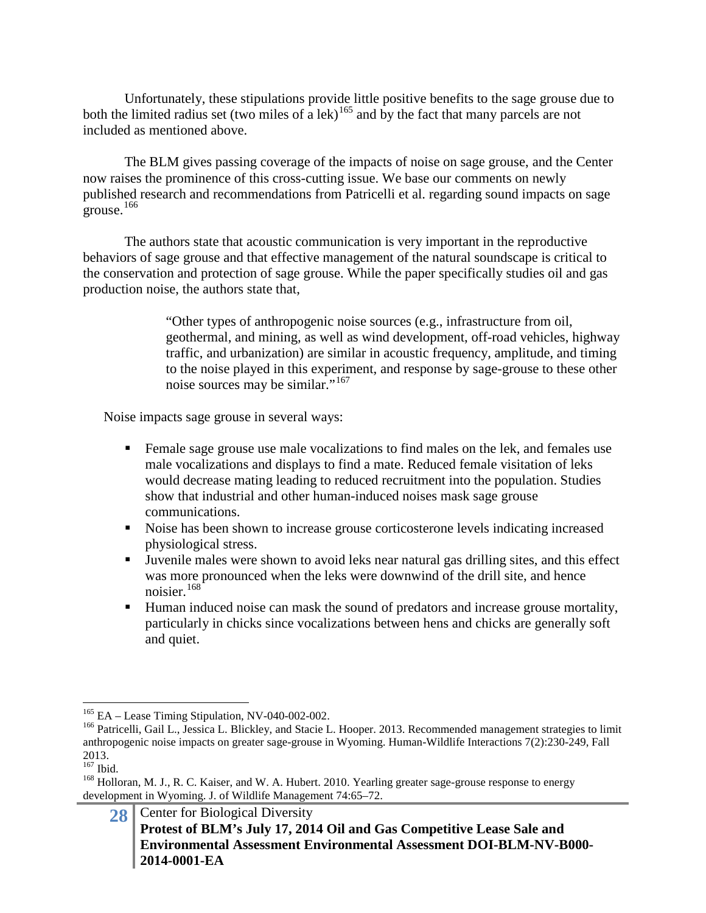Unfortunately, these stipulations provide little positive benefits to the sage grouse due to both the limited radius set (two miles of a lek)<sup>[165](#page-27-0)</sup> and by the fact that many parcels are not included as mentioned above.

The BLM gives passing coverage of the impacts of noise on sage grouse, and the Center now raises the prominence of this cross-cutting issue. We base our comments on newly published research and recommendations from Patricelli et al. regarding sound impacts on sage grouse. $166$ 

The authors state that acoustic communication is very important in the reproductive behaviors of sage grouse and that effective management of the natural soundscape is critical to the conservation and protection of sage grouse. While the paper specifically studies oil and gas production noise, the authors state that,

> "Other types of anthropogenic noise sources (e.g., infrastructure from oil, geothermal, and mining, as well as wind development, off-road vehicles, highway traffic, and urbanization) are similar in acoustic frequency, amplitude, and timing to the noise played in this experiment, and response by sage-grouse to these other noise sources may be similar."[167](#page-27-2)

Noise impacts sage grouse in several ways:

- Female sage grouse use male vocalizations to find males on the lek, and females use male vocalizations and displays to find a mate. Reduced female visitation of leks would decrease mating leading to reduced recruitment into the population. Studies show that industrial and other human-induced noises mask sage grouse communications.
- Noise has been shown to increase grouse corticosterone levels indicating increased physiological stress.
- Juvenile males were shown to avoid leks near natural gas drilling sites, and this effect was more pronounced when the leks were downwind of the drill site, and hence noisier.<sup>[168](#page-27-3)</sup>
- Human induced noise can mask the sound of predators and increase grouse mortality, particularly in chicks since vocalizations between hens and chicks are generally soft and quiet.

<span id="page-27-1"></span><span id="page-27-0"></span><sup>&</sup>lt;sup>165</sup> EA – Lease Timing Stipulation, NV-040-002-002.<br><sup>166</sup> Patricelli, Gail L., Jessica L. Blickley, and Stacie L. Hooper. 2013. Recommended management strategies to limit anthropogenic noise impacts on greater sage-grouse in Wyoming. Human-Wildlife Interactions 7(2):230-249, Fall  $^{2013.}_{^{167}}$  Ibid.

<span id="page-27-3"></span><span id="page-27-2"></span><sup>&</sup>lt;sup>168</sup> Holloran, M. J., R. C. Kaiser, and W. A. Hubert. 2010. Yearling greater sage-grouse response to energy development in Wyoming. J. of Wildlife Management 74:65–72.

<sup>28</sup> Center for Biological Diversity **Protest of BLM's July 17, 2014 Oil and Gas Competitive Lease Sale and Environmental Assessment Environmental Assessment DOI-BLM-NV-B000- 2014-0001-EA**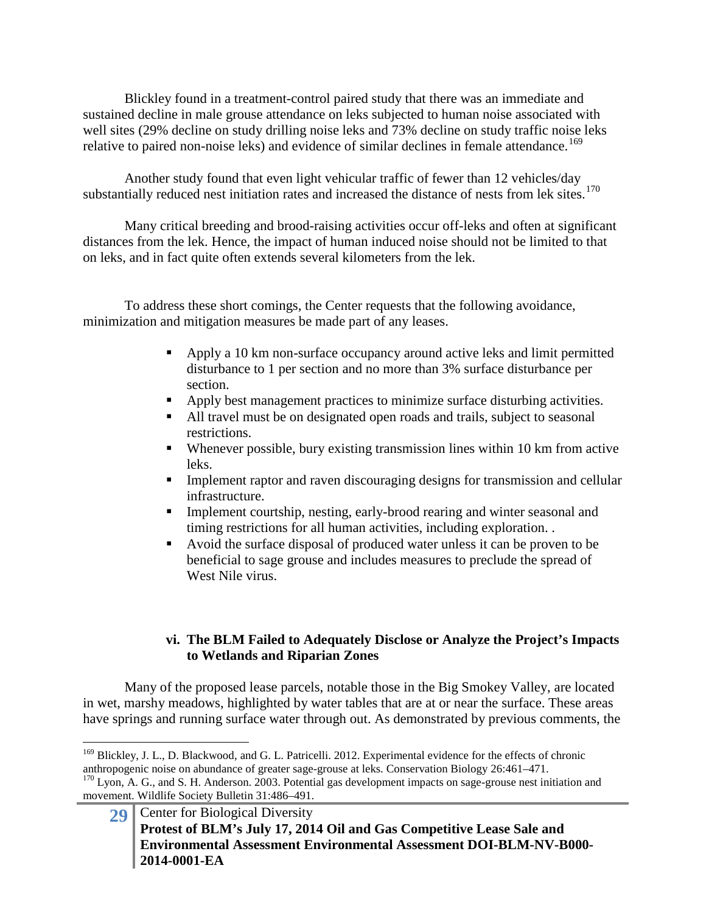Blickley found in a treatment-control paired study that there was an immediate and sustained decline in male grouse attendance on leks subjected to human noise associated with well sites (29% decline on study drilling noise leks and 73% decline on study traffic noise leks relative to paired non-noise leks) and evidence of similar declines in female attendance.<sup>[169](#page-28-0)</sup>

Another study found that even light vehicular traffic of fewer than 12 vehicles/day substantially reduced nest initiation rates and increased the distance of nests from lek sites. $170$ 

Many critical breeding and brood-raising activities occur off-leks and often at significant distances from the lek. Hence, the impact of human induced noise should not be limited to that on leks, and in fact quite often extends several kilometers from the lek.

To address these short comings, the Center requests that the following avoidance, minimization and mitigation measures be made part of any leases.

- **•** Apply a 10 km non-surface occupancy around active leks and limit permitted disturbance to 1 per section and no more than 3% surface disturbance per section.
- Apply best management practices to minimize surface disturbing activities.
- All travel must be on designated open roads and trails, subject to seasonal restrictions.
- Whenever possible, bury existing transmission lines within 10 km from active leks.
- Implement raptor and raven discouraging designs for transmission and cellular infrastructure.
- Implement courtship, nesting, early-brood rearing and winter seasonal and timing restrictions for all human activities, including exploration. .
- Avoid the surface disposal of produced water unless it can be proven to be beneficial to sage grouse and includes measures to preclude the spread of West Nile virus.

# **vi. The BLM Failed to Adequately Disclose or Analyze the Project's Impacts to Wetlands and Riparian Zones**

Many of the proposed lease parcels, notable those in the Big Smokey Valley, are located in wet, marshy meadows, highlighted by water tables that are at or near the surface. These areas have springs and running surface water through out. As demonstrated by previous comments, the

<span id="page-28-1"></span>movement. Wildlife Society Bulletin 31:486–491.

<span id="page-28-0"></span><sup>&</sup>lt;sup>169</sup> Blickley, J. L., D. Blackwood, and G. L. Patricelli. 2012. Experimental evidence for the effects of chronic anthropogenic noise on abundance of greater sage-grouse at leks. Conservation Biology 26:461–471.<br><sup>170</sup> Lyon, A. G., and S. H. Anderson. 2003. Potential gas development impacts on sage-grouse nest initiation and

<sup>29</sup> Center for Biological Diversity **Protest of BLM's July 17, 2014 Oil and Gas Competitive Lease Sale and Environmental Assessment Environmental Assessment DOI-BLM-NV-B000- 2014-0001-EA**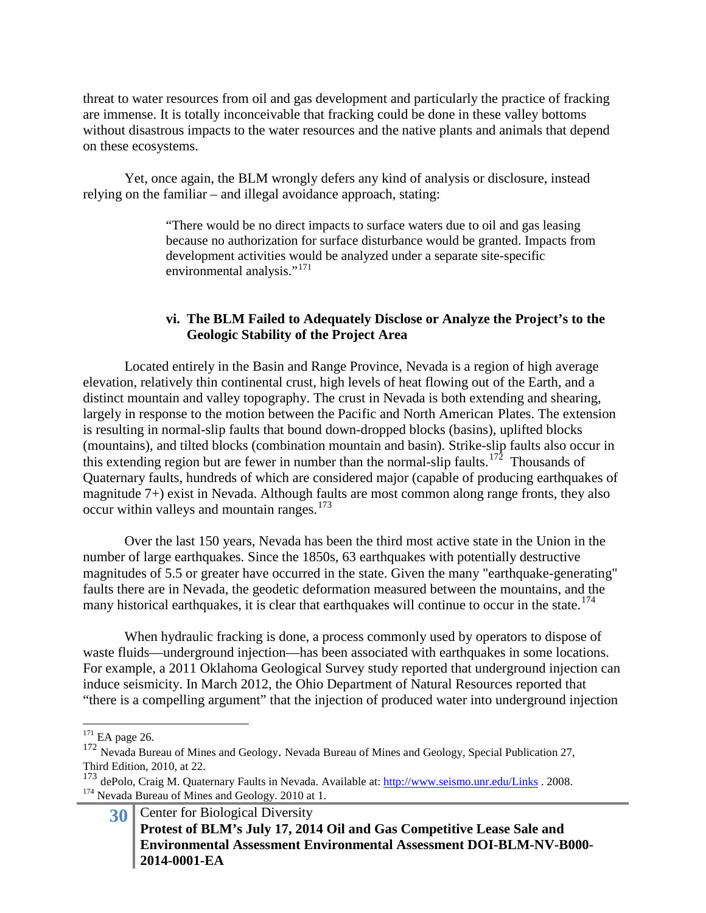threat to water resources from oil and gas development and particularly the practice of fracking are immense. It is totally inconceivable that fracking could be done in these valley bottoms without disastrous impacts to the water resources and the native plants and animals that depend on these ecosystems.

Yet, once again, the BLM wrongly defers any kind of analysis or disclosure, instead relying on the familiar – and illegal avoidance approach, stating:

> "There would be no direct impacts to surface waters due to oil and gas leasing because no authorization for surface disturbance would be granted. Impacts from development activities would be analyzed under a separate site-specific environmental analysis."<sup>[171](#page-29-0)</sup>

### **vi. The BLM Failed to Adequately Disclose or Analyze the Project's to the Geologic Stability of the Project Area**

Located entirely in the Basin and Range Province, Nevada is a region of high average elevation, relatively thin continental crust, high levels of heat flowing out of the Earth, and a distinct mountain and valley topography. The crust in Nevada is both extending and shearing, largely in response to the motion between the Pacific and North American Plates. The extension is resulting in normal-slip faults that bound down-dropped blocks (basins), uplifted blocks (mountains), and tilted blocks (combination mountain and basin). Strike-slip faults also occur in this extending region but are fewer in number than the normal-slip faults.<sup>172</sup> Thousands of Quaternary faults, hundreds of which are considered major (capable of producing earthquakes of magnitude 7+) exist in Nevada. Although faults are most common along range fronts, they also occur within valleys and mountain ranges.<sup>[173](#page-29-2)</sup>

Over the last 150 years, Nevada has been the third most active state in the Union in the number of large earthquakes. Since the 1850s, 63 earthquakes with potentially destructive magnitudes of 5.5 or greater have occurred in the state. Given the many "earthquake-generating" faults there are in Nevada, the geodetic deformation measured between the mountains, and the many historical earthquakes, it is clear that earthquakes will continue to occur in the state.<sup>[174](#page-29-3)</sup>

When hydraulic fracking is done, a process commonly used by operators to dispose of waste fluids—underground injection—has been associated with earthquakes in some locations. For example, a 2011 Oklahoma Geological Survey study reported that underground injection can induce seismicity. In March 2012, the Ohio Department of Natural Resources reported that "there is a compelling argument" that the injection of produced water into underground injection

<span id="page-29-0"></span> $171$  EA page 26.

<span id="page-29-1"></span><sup>172</sup> Nevada Bureau of Mines and Geology. Nevada Bureau of Mines and Geology, Special Publication 27, Third Edition, 2010, at 22.

<span id="page-29-3"></span><span id="page-29-2"></span><sup>173</sup> dePolo, Craig M. Quaternary Faults in Nevada. Available at[: http://www.seismo.unr.edu/Links](http://www.seismo.unr.edu/Links) . 2008. <sup>174</sup> Nevada Bureau of Mines and Geology. 2010 at 1.

**<sup>30</sup>** Center for Biological Diversity **Protest of BLM's July 17, 2014 Oil and Gas Competitive Lease Sale and Environmental Assessment Environmental Assessment DOI-BLM-NV-B000- 2014-0001-EA**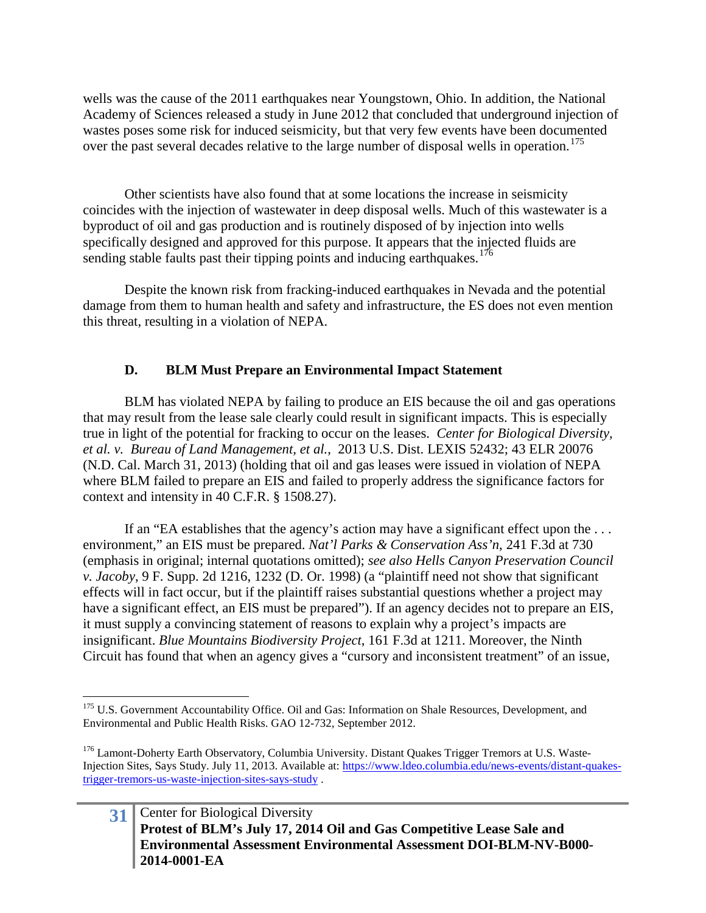wells was the cause of the 2011 earthquakes near Youngstown, Ohio. In addition, the National Academy of Sciences released a study in June 2012 that concluded that underground injection of wastes poses some risk for induced seismicity, but that very few events have been documented over the past several decades relative to the large number of disposal wells in operation.<sup>[175](#page-30-0)</sup>

Other scientists have also found that at some locations the increase in seismicity coincides with the injection of wastewater in deep disposal wells. Much of this wastewater is a byproduct of oil and gas production and is routinely disposed of by injection into wells specifically designed and approved for this purpose. It appears that the injected fluids are sending stable faults past their tipping points and inducing earthquakes.<sup>[176](#page-30-1)</sup>

Despite the known risk from fracking-induced earthquakes in Nevada and the potential damage from them to human health and safety and infrastructure, the ES does not even mention this threat, resulting in a violation of NEPA.

# **D. BLM Must Prepare an Environmental Impact Statement**

BLM has violated NEPA by failing to produce an EIS because the oil and gas operations that may result from the lease sale clearly could result in significant impacts. This is especially true in light of the potential for fracking to occur on the leases. *Center for Biological Diversity, et al. v. Bureau of Land Management, et al.*, 2013 U.S. Dist. LEXIS 52432; 43 ELR 20076 (N.D. Cal. March 31, 2013) (holding that oil and gas leases were issued in violation of NEPA where BLM failed to prepare an EIS and failed to properly address the significance factors for context and intensity in 40 C.F.R. § 1508.27).

If an "EA establishes that the agency's action may have a significant effect upon the . . . environment," an EIS must be prepared. *Nat'l Parks & Conservation Ass'n*, 241 F.3d at 730 (emphasis in original; internal quotations omitted); *see also Hells Canyon Preservation Council v. Jacoby*, 9 F. Supp. 2d 1216, 1232 (D. Or. 1998) (a "plaintiff need not show that significant effects will in fact occur, but if the plaintiff raises substantial questions whether a project may have a significant effect, an EIS must be prepared"). If an agency decides not to prepare an EIS, it must supply a convincing statement of reasons to explain why a project's impacts are insignificant. *Blue Mountains Biodiversity Project*, 161 F.3d at 1211. Moreover, the Ninth Circuit has found that when an agency gives a "cursory and inconsistent treatment" of an issue,

# **31** Center for Biological Diversity **Protest of BLM's July 17, 2014 Oil and Gas Competitive Lease Sale and Environmental Assessment Environmental Assessment DOI-BLM-NV-B000- 2014-0001-EA**

<span id="page-30-0"></span><sup>&</sup>lt;sup>175</sup> U.S. Government Accountability Office. Oil and Gas: Information on Shale Resources, Development, and Environmental and Public Health Risks. GAO 12-732, September 2012.

<span id="page-30-1"></span><sup>&</sup>lt;sup>176</sup> Lamont-Doherty Earth Observatory, Columbia University. Distant Quakes Trigger Tremors at U.S. Waste-Injection Sites, Says Study. July 11, 2013. Available at: [https://www.ldeo.columbia.edu/news-events/distant-quakes](https://www.ldeo.columbia.edu/news-events/distant-quakes-trigger-tremors-us-waste-injection-sites-says-study)[trigger-tremors-us-waste-injection-sites-says-study](https://www.ldeo.columbia.edu/news-events/distant-quakes-trigger-tremors-us-waste-injection-sites-says-study) .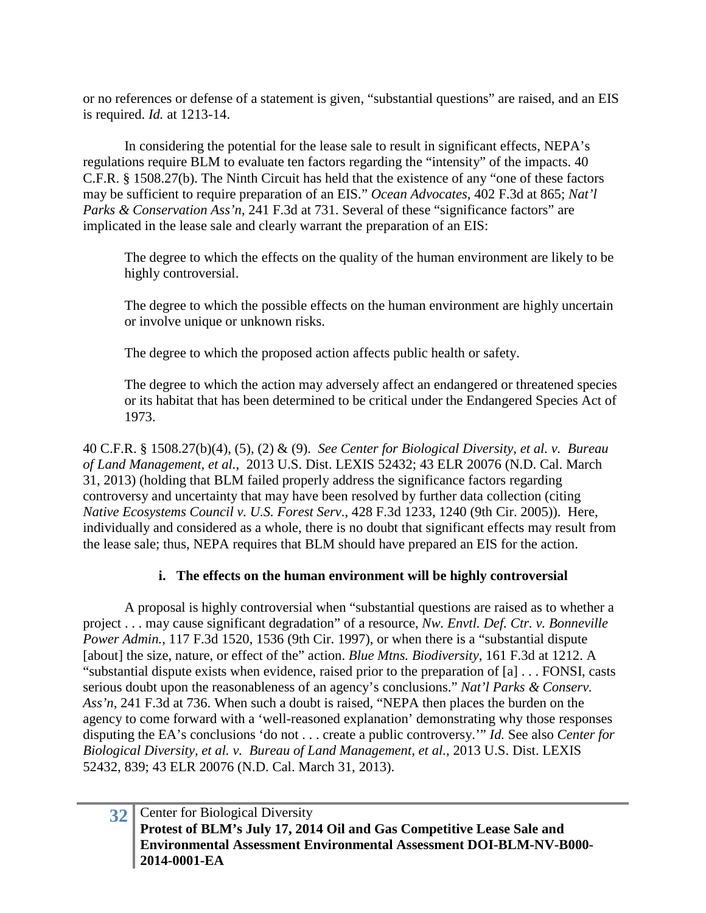or no references or defense of a statement is given, "substantial questions" are raised, and an EIS is required. *Id.* at 1213-14.

In considering the potential for the lease sale to result in significant effects, NEPA's regulations require BLM to evaluate ten factors regarding the "intensity" of the impacts. 40 C.F.R. § 1508.27(b). The Ninth Circuit has held that the existence of any "one of these factors may be sufficient to require preparation of an EIS." *Ocean Advocates*, 402 F.3d at 865; *Nat'l Parks & Conservation Ass'n*, 241 F.3d at 731. Several of these "significance factors" are implicated in the lease sale and clearly warrant the preparation of an EIS:

The degree to which the effects on the quality of the human environment are likely to be highly controversial.

The degree to which the possible effects on the human environment are highly uncertain or involve unique or unknown risks.

The degree to which the proposed action affects public health or safety.

The degree to which the action may adversely affect an endangered or threatened species or its habitat that has been determined to be critical under the Endangered Species Act of 1973.

40 C.F.R. § 1508.27(b)(4), (5), (2) & (9). *See Center for Biological Diversity, et al. v. Bureau of Land Management, et al.*, 2013 U.S. Dist. LEXIS 52432; 43 ELR 20076 (N.D. Cal. March 31, 2013) (holding that BLM failed properly address the significance factors regarding controversy and uncertainty that may have been resolved by further data collection (citing *Native Ecosystems Council v. U.S. Forest Serv*., 428 F.3d 1233, 1240 (9th Cir. 2005)). Here, individually and considered as a whole, there is no doubt that significant effects may result from the lease sale; thus, NEPA requires that BLM should have prepared an EIS for the action.

# **i. The effects on the human environment will be highly controversial**

A proposal is highly controversial when "substantial questions are raised as to whether a project . . . may cause significant degradation" of a resource, *Nw. Envtl. Def. Ctr. v. Bonneville Power Admin.*, 117 F.3d 1520, 1536 (9th Cir. 1997), or when there is a "substantial dispute [about] the size, nature, or effect of the" action. *Blue Mtns. Biodiversity*, 161 F.3d at 1212. A "substantial dispute exists when evidence, raised prior to the preparation of [a] . . . FONSI, casts serious doubt upon the reasonableness of an agency's conclusions." *Nat'l Parks & Conserv. Ass'n*, 241 F.3d at 736. When such a doubt is raised, "NEPA then places the burden on the agency to come forward with a 'well-reasoned explanation' demonstrating why those responses disputing the EA's conclusions 'do not . . . create a public controversy.'" *Id.* See also *Center for Biological Diversity, et al. v. Bureau of Land Management, et al.*, 2013 U.S. Dist. LEXIS 52432, 839; 43 ELR 20076 (N.D. Cal. March 31, 2013).

# **32** Center for Biological Diversity **Protest of BLM's July 17, 2014 Oil and Gas Competitive Lease Sale and Environmental Assessment Environmental Assessment DOI-BLM-NV-B000- 2014-0001-EA**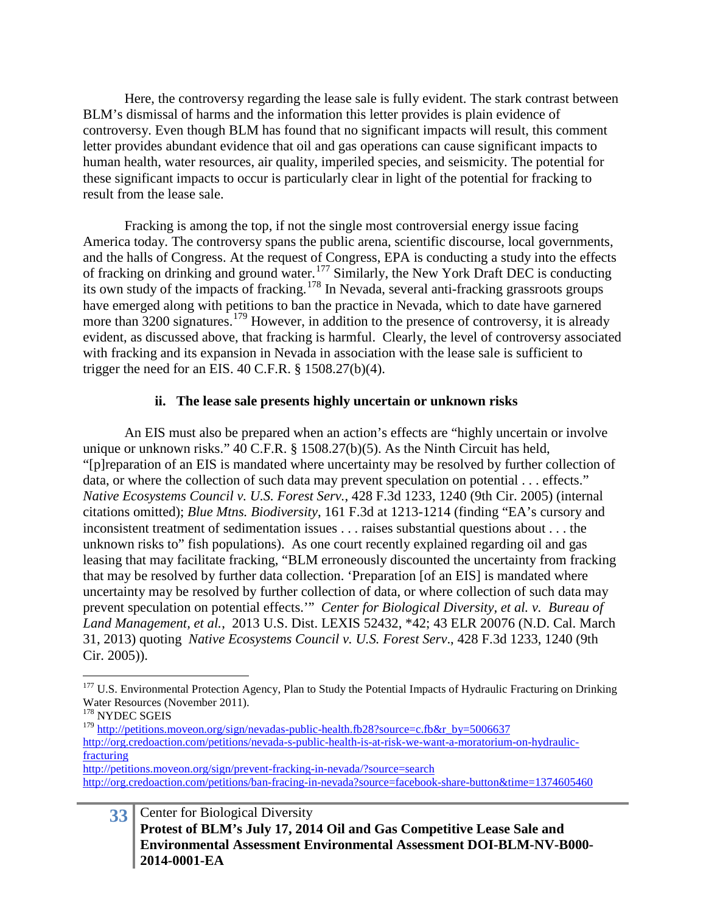Here, the controversy regarding the lease sale is fully evident. The stark contrast between BLM's dismissal of harms and the information this letter provides is plain evidence of controversy. Even though BLM has found that no significant impacts will result, this comment letter provides abundant evidence that oil and gas operations can cause significant impacts to human health, water resources, air quality, imperiled species, and seismicity. The potential for these significant impacts to occur is particularly clear in light of the potential for fracking to result from the lease sale.

Fracking is among the top, if not the single most controversial energy issue facing America today. The controversy spans the public arena, scientific discourse, local governments, and the halls of Congress. At the request of Congress, EPA is conducting a study into the effects of fracking on drinking and ground water.<sup>[177](#page-32-0)</sup> Similarly, the New York Draft DEC is conducting its own study of the impacts of fracking.<sup>[178](#page-32-1)</sup> In Nevada, several anti-fracking grassroots groups have emerged along with petitions to ban the practice in Nevada, which to date have garnered more than  $3200$  signatures.<sup>[179](#page-32-2)</sup> However, in addition to the presence of controversy, it is already evident, as discussed above, that fracking is harmful. Clearly, the level of controversy associated with fracking and its expansion in Nevada in association with the lease sale is sufficient to trigger the need for an EIS. 40 C.F.R.  $\S$  1508.27(b)(4).

### **ii. The lease sale presents highly uncertain or unknown risks**

An EIS must also be prepared when an action's effects are "highly uncertain or involve unique or unknown risks." 40 C.F.R. § 1508.27(b)(5). As the Ninth Circuit has held, "[p]reparation of an EIS is mandated where uncertainty may be resolved by further collection of data, or where the collection of such data may prevent speculation on potential . . . effects." *Native Ecosystems Council v. U.S. Forest Serv.*, 428 F.3d 1233, 1240 (9th Cir. 2005) (internal citations omitted); *Blue Mtns. Biodiversity*, 161 F.3d at 1213-1214 (finding "EA's cursory and inconsistent treatment of sedimentation issues . . . raises substantial questions about . . . the unknown risks to" fish populations). As one court recently explained regarding oil and gas leasing that may facilitate fracking, "BLM erroneously discounted the uncertainty from fracking that may be resolved by further data collection. 'Preparation [of an EIS] is mandated where uncertainty may be resolved by further collection of data, or where collection of such data may prevent speculation on potential effects.'" *Center for Biological Diversity, et al. v. Bureau of Land Management, et al.*, 2013 U.S. Dist. LEXIS 52432, \*42; 43 ELR 20076 (N.D. Cal. March 31, 2013) quoting *Native Ecosystems Council v. U.S. Forest Serv*., 428 F.3d 1233, 1240 (9th Cir. 2005)).

<span id="page-32-0"></span><sup>&</sup>lt;sup>177</sup> U.S. Environmental Protection Agency, Plan to Study the Potential Impacts of Hydraulic Fracturing on Drinking Water Resources (November 2011).

<span id="page-32-1"></span> $^{178}\,$  NYDEC SGEIS

<span id="page-32-2"></span><sup>&</sup>lt;sup>179</sup> [http://petitions.moveon.org/sign/nevadas-public-health.fb28?source=c.fb&r\\_by=5006637](http://petitions.moveon.org/sign/nevadas-public-health.fb28?source=c.fb&r_by=5006637) [http://org.credoaction.com/petitions/nevada-s-public-health-is-at-risk-we-want-a-moratorium-on-hydraulic](http://org.credoaction.com/petitions/nevada-s-public-health-is-at-risk-we-want-a-moratorium-on-hydraulic-fracturing)[fracturing](http://org.credoaction.com/petitions/nevada-s-public-health-is-at-risk-we-want-a-moratorium-on-hydraulic-fracturing)

<http://petitions.moveon.org/sign/prevent-fracking-in-nevada/?source=search> <http://org.credoaction.com/petitions/ban-fracing-in-nevada?source=facebook-share-button&time=1374605460>

**<sup>33</sup>** Center for Biological Diversity **Protest of BLM's July 17, 2014 Oil and Gas Competitive Lease Sale and Environmental Assessment Environmental Assessment DOI-BLM-NV-B000- 2014-0001-EA**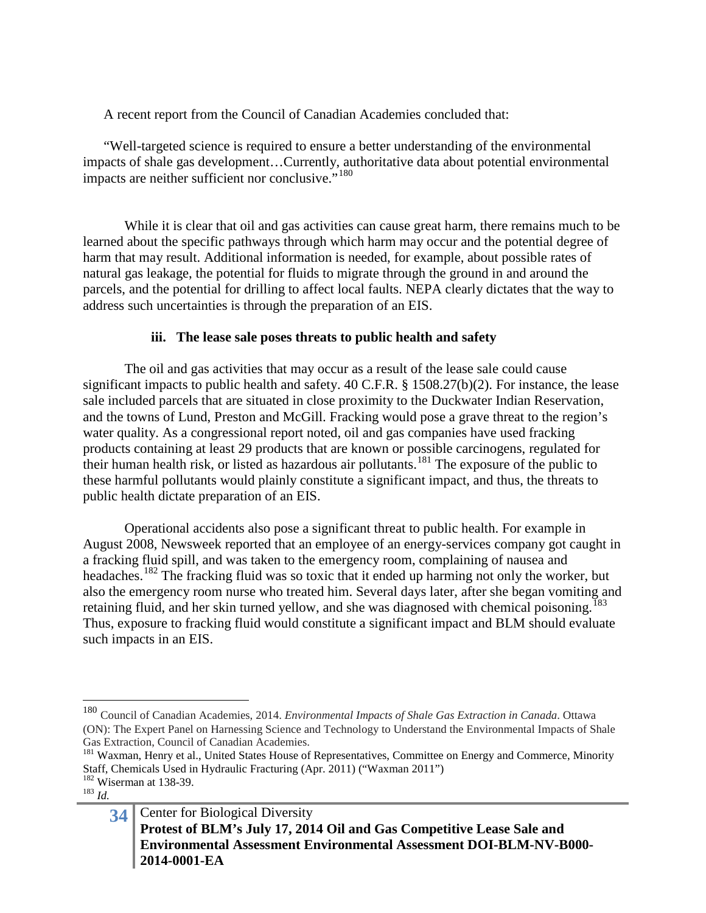A recent report from the Council of Canadian Academies concluded that:

"Well-targeted science is required to ensure a better understanding of the environmental impacts of shale gas development…Currently, authoritative data about potential environmental impacts are neither sufficient nor conclusive."<sup>[180](#page-33-0)</sup>

While it is clear that oil and gas activities can cause great harm, there remains much to be learned about the specific pathways through which harm may occur and the potential degree of harm that may result. Additional information is needed, for example, about possible rates of natural gas leakage, the potential for fluids to migrate through the ground in and around the parcels, and the potential for drilling to affect local faults. NEPA clearly dictates that the way to address such uncertainties is through the preparation of an EIS.

# **iii. The lease sale poses threats to public health and safety**

The oil and gas activities that may occur as a result of the lease sale could cause significant impacts to public health and safety. 40 C.F.R. § 1508.27(b)(2). For instance, the lease sale included parcels that are situated in close proximity to the Duckwater Indian Reservation, and the towns of Lund, Preston and McGill. Fracking would pose a grave threat to the region's water quality. As a congressional report noted, oil and gas companies have used fracking products containing at least 29 products that are known or possible carcinogens, regulated for their human health risk, or listed as hazardous air pollutants.<sup>[181](#page-33-1)</sup> The exposure of the public to these harmful pollutants would plainly constitute a significant impact, and thus, the threats to public health dictate preparation of an EIS.

Operational accidents also pose a significant threat to public health. For example in August 2008, Newsweek reported that an employee of an energy-services company got caught in a fracking fluid spill, and was taken to the emergency room, complaining of nausea and headaches.<sup>[182](#page-33-2)</sup> The fracking fluid was so toxic that it ended up harming not only the worker, but also the emergency room nurse who treated him. Several days later, after she began vomiting and retaining fluid, and her skin turned yellow, and she was diagnosed with chemical poisoning.<sup>[183](#page-33-3)</sup> Thus, exposure to fracking fluid would constitute a significant impact and BLM should evaluate such impacts in an EIS.

<span id="page-33-0"></span> <sup>180</sup> Council of Canadian Academies, 2014. *Environmental Impacts of Shale Gas Extraction in Canada*. Ottawa (ON): The Expert Panel on Harnessing Science and Technology to Understand the Environmental Impacts of Shale Gas Extraction, Council of Canadian Academies.

<span id="page-33-1"></span><sup>&</sup>lt;sup>181</sup> Waxman, Henry et al., United States House of Representatives, Committee on Energy and Commerce, Minority Staff, Chemicals Used in Hydraulic Fracturing (Apr. 2011) ("Waxman 2011") <sup>182</sup> Wiserman at 138-39.<br><sup>183</sup> *Id.* 

<span id="page-33-3"></span><span id="page-33-2"></span>

**<sup>34</sup>** Center for Biological Diversity **Protest of BLM's July 17, 2014 Oil and Gas Competitive Lease Sale and Environmental Assessment Environmental Assessment DOI-BLM-NV-B000- 2014-0001-EA**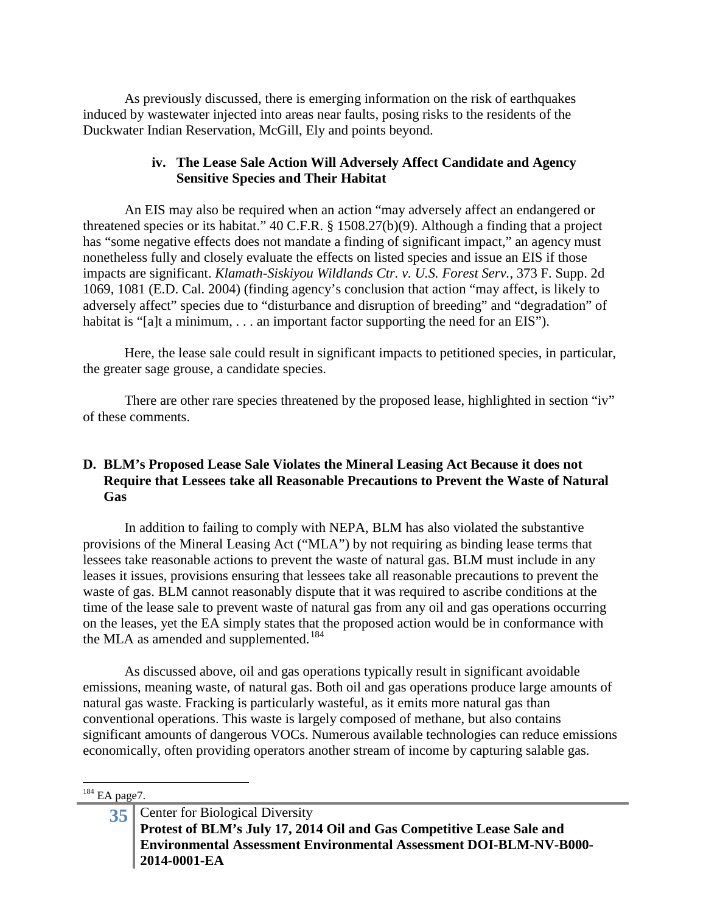As previously discussed, there is emerging information on the risk of earthquakes induced by wastewater injected into areas near faults, posing risks to the residents of the Duckwater Indian Reservation, McGill, Ely and points beyond.

### **iv. The Lease Sale Action Will Adversely Affect Candidate and Agency Sensitive Species and Their Habitat**

An EIS may also be required when an action "may adversely affect an endangered or threatened species or its habitat." 40 C.F.R. § 1508.27(b)(9). Although a finding that a project has "some negative effects does not mandate a finding of significant impact," an agency must nonetheless fully and closely evaluate the effects on listed species and issue an EIS if those impacts are significant. *Klamath-Siskiyou Wildlands Ctr. v. U.S. Forest Serv.*, 373 F. Supp. 2d 1069, 1081 (E.D. Cal. 2004) (finding agency's conclusion that action "may affect, is likely to adversely affect" species due to "disturbance and disruption of breeding" and "degradation" of habitat is "[a]t a minimum, . . . an important factor supporting the need for an EIS").

Here, the lease sale could result in significant impacts to petitioned species, in particular, the greater sage grouse, a candidate species.

There are other rare species threatened by the proposed lease, highlighted in section "iv" of these comments.

### **D. BLM's Proposed Lease Sale Violates the Mineral Leasing Act Because it does not Require that Lessees take all Reasonable Precautions to Prevent the Waste of Natural Gas**

In addition to failing to comply with NEPA, BLM has also violated the substantive provisions of the Mineral Leasing Act ("MLA") by not requiring as binding lease terms that lessees take reasonable actions to prevent the waste of natural gas. BLM must include in any leases it issues, provisions ensuring that lessees take all reasonable precautions to prevent the waste of gas. BLM cannot reasonably dispute that it was required to ascribe conditions at the time of the lease sale to prevent waste of natural gas from any oil and gas operations occurring on the leases, yet the EA simply states that the proposed action would be in conformance with the MLA as amended and supplemented.<sup>[184](#page-34-0)</sup>

As discussed above, oil and gas operations typically result in significant avoidable emissions, meaning waste, of natural gas. Both oil and gas operations produce large amounts of natural gas waste. Fracking is particularly wasteful, as it emits more natural gas than conventional operations. This waste is largely composed of methane, but also contains significant amounts of dangerous VOCs. Numerous available technologies can reduce emissions economically, often providing operators another stream of income by capturing salable gas.

#### <span id="page-34-0"></span> $184$  EA page7.

**<sup>35</sup>** Center for Biological Diversity **Protest of BLM's July 17, 2014 Oil and Gas Competitive Lease Sale and Environmental Assessment Environmental Assessment DOI-BLM-NV-B000- 2014-0001-EA**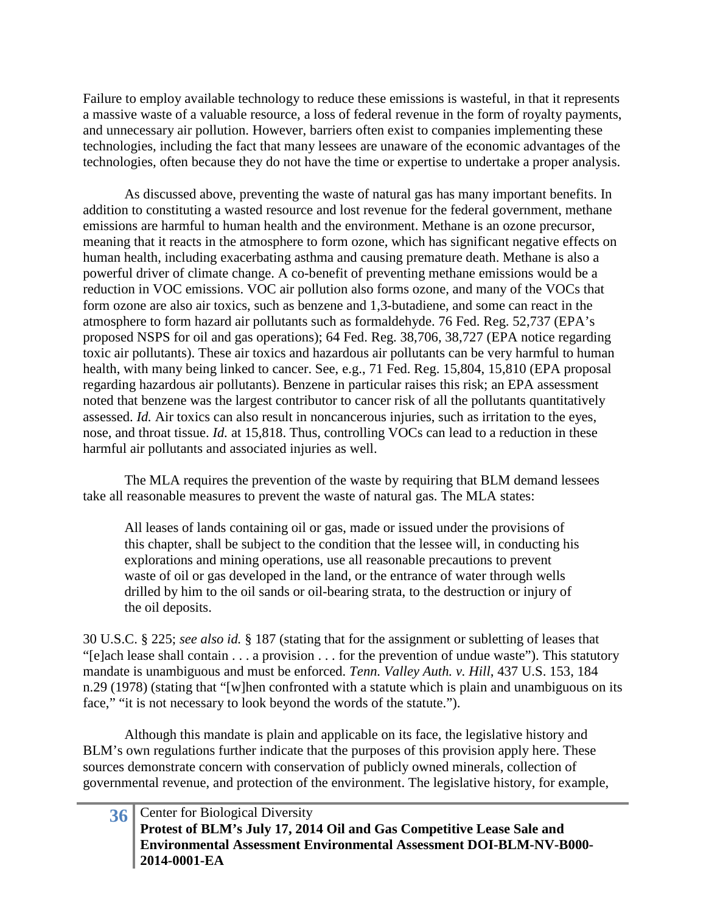Failure to employ available technology to reduce these emissions is wasteful, in that it represents a massive waste of a valuable resource, a loss of federal revenue in the form of royalty payments, and unnecessary air pollution. However, barriers often exist to companies implementing these technologies, including the fact that many lessees are unaware of the economic advantages of the technologies, often because they do not have the time or expertise to undertake a proper analysis.

As discussed above, preventing the waste of natural gas has many important benefits. In addition to constituting a wasted resource and lost revenue for the federal government, methane emissions are harmful to human health and the environment. Methane is an ozone precursor, meaning that it reacts in the atmosphere to form ozone, which has significant negative effects on human health, including exacerbating asthma and causing premature death. Methane is also a powerful driver of climate change. A co-benefit of preventing methane emissions would be a reduction in VOC emissions. VOC air pollution also forms ozone, and many of the VOCs that form ozone are also air toxics, such as benzene and 1,3-butadiene, and some can react in the atmosphere to form hazard air pollutants such as formaldehyde. 76 Fed. Reg. 52,737 (EPA's proposed NSPS for oil and gas operations); 64 Fed. Reg. 38,706, 38,727 (EPA notice regarding toxic air pollutants). These air toxics and hazardous air pollutants can be very harmful to human health, with many being linked to cancer. See, e.g., 71 Fed. Reg. 15,804, 15,810 (EPA proposal regarding hazardous air pollutants). Benzene in particular raises this risk; an EPA assessment noted that benzene was the largest contributor to cancer risk of all the pollutants quantitatively assessed. *Id.* Air toxics can also result in noncancerous injuries, such as irritation to the eyes, nose, and throat tissue. *Id.* at 15,818. Thus, controlling VOCs can lead to a reduction in these harmful air pollutants and associated injuries as well.

The MLA requires the prevention of the waste by requiring that BLM demand lessees take all reasonable measures to prevent the waste of natural gas. The MLA states:

All leases of lands containing oil or gas, made or issued under the provisions of this chapter, shall be subject to the condition that the lessee will, in conducting his explorations and mining operations, use all reasonable precautions to prevent waste of oil or gas developed in the land, or the entrance of water through wells drilled by him to the oil sands or oil-bearing strata, to the destruction or injury of the oil deposits.

30 U.S.C. § 225; *see also id.* § 187 (stating that for the assignment or subletting of leases that "[e]ach lease shall contain . . . a provision . . . for the prevention of undue waste"). This statutory mandate is unambiguous and must be enforced. *Tenn. Valley Auth. v. Hill*, 437 U.S. 153, 184 n.29 (1978) (stating that "[w]hen confronted with a statute which is plain and unambiguous on its face," "it is not necessary to look beyond the words of the statute.").

Although this mandate is plain and applicable on its face, the legislative history and BLM's own regulations further indicate that the purposes of this provision apply here. These sources demonstrate concern with conservation of publicly owned minerals, collection of governmental revenue, and protection of the environment. The legislative history, for example,

| 36 Center for Biological Diversity                                    |
|-----------------------------------------------------------------------|
| Protest of BLM's July 17, 2014 Oil and Gas Competitive Lease Sale and |
| Environmental Assessment Environmental Assessment DOI-BLM-NV-B000-    |
| $2014-0001-EA$                                                        |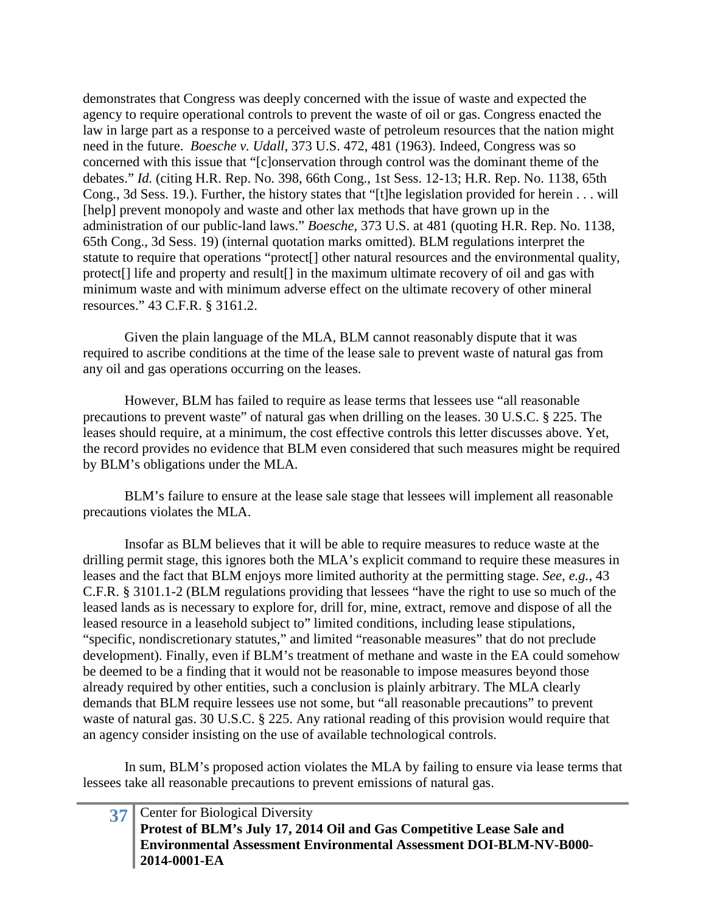demonstrates that Congress was deeply concerned with the issue of waste and expected the agency to require operational controls to prevent the waste of oil or gas. Congress enacted the law in large part as a response to a perceived waste of petroleum resources that the nation might need in the future. *Boesche v. Udall*, 373 U.S. 472, 481 (1963). Indeed, Congress was so concerned with this issue that "[c]onservation through control was the dominant theme of the debates." *Id.* (citing H.R. Rep. No. 398, 66th Cong., 1st Sess. 12-13; H.R. Rep. No. 1138, 65th Cong., 3d Sess. 19.). Further, the history states that "[t]he legislation provided for herein . . . will [help] prevent monopoly and waste and other lax methods that have grown up in the administration of our public-land laws." *Boesche*, 373 U.S. at 481 (quoting H.R. Rep. No. 1138, 65th Cong., 3d Sess. 19) (internal quotation marks omitted). BLM regulations interpret the statute to require that operations "protect[] other natural resources and the environmental quality, protect[] life and property and result[] in the maximum ultimate recovery of oil and gas with minimum waste and with minimum adverse effect on the ultimate recovery of other mineral resources." 43 C.F.R. § 3161.2.

Given the plain language of the MLA, BLM cannot reasonably dispute that it was required to ascribe conditions at the time of the lease sale to prevent waste of natural gas from any oil and gas operations occurring on the leases.

However, BLM has failed to require as lease terms that lessees use "all reasonable precautions to prevent waste" of natural gas when drilling on the leases. 30 U.S.C. § 225. The leases should require, at a minimum, the cost effective controls this letter discusses above. Yet, the record provides no evidence that BLM even considered that such measures might be required by BLM's obligations under the MLA.

BLM's failure to ensure at the lease sale stage that lessees will implement all reasonable precautions violates the MLA.

Insofar as BLM believes that it will be able to require measures to reduce waste at the drilling permit stage, this ignores both the MLA's explicit command to require these measures in leases and the fact that BLM enjoys more limited authority at the permitting stage. *See, e.g.*, 43 C.F.R. § 3101.1-2 (BLM regulations providing that lessees "have the right to use so much of the leased lands as is necessary to explore for, drill for, mine, extract, remove and dispose of all the leased resource in a leasehold subject to" limited conditions, including lease stipulations, "specific, nondiscretionary statutes," and limited "reasonable measures" that do not preclude development). Finally, even if BLM's treatment of methane and waste in the EA could somehow be deemed to be a finding that it would not be reasonable to impose measures beyond those already required by other entities, such a conclusion is plainly arbitrary. The MLA clearly demands that BLM require lessees use not some, but "all reasonable precautions" to prevent waste of natural gas. 30 U.S.C. § 225. Any rational reading of this provision would require that an agency consider insisting on the use of available technological controls.

In sum, BLM's proposed action violates the MLA by failing to ensure via lease terms that lessees take all reasonable precautions to prevent emissions of natural gas.

| 37 Center for Biological Diversity                                        |
|---------------------------------------------------------------------------|
| Protest of BLM's July 17, 2014 Oil and Gas Competitive Lease Sale and     |
| <b>Environmental Assessment Environmental Assessment DOI-BLM-NV-B000-</b> |
| 2014-0001-EA                                                              |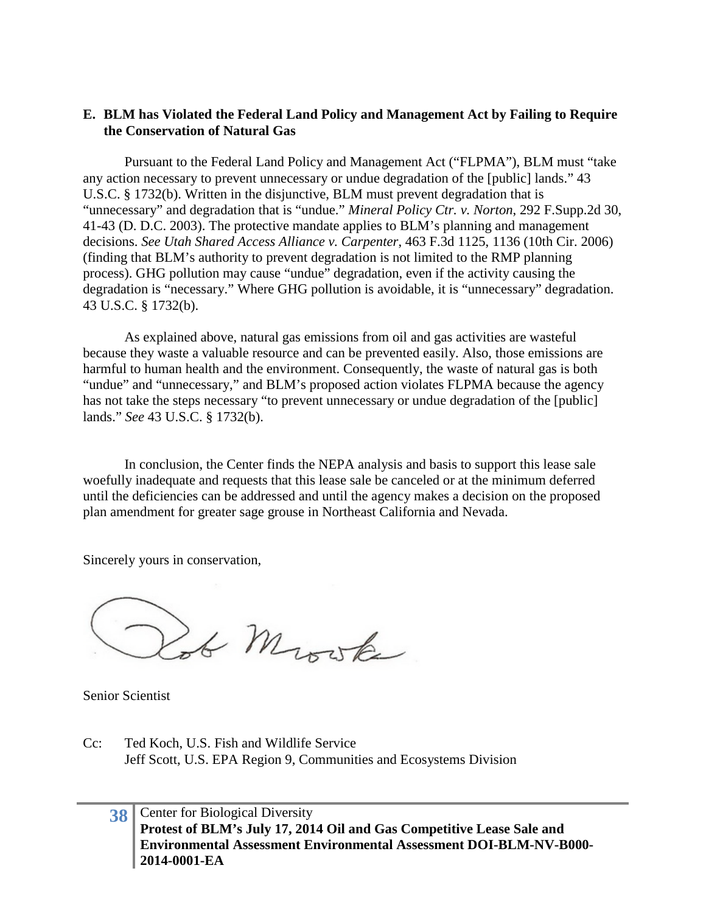### **E. BLM has Violated the Federal Land Policy and Management Act by Failing to Require the Conservation of Natural Gas**

Pursuant to the Federal Land Policy and Management Act ("FLPMA"), BLM must "take any action necessary to prevent unnecessary or undue degradation of the [public] lands." 43 U.S.C. § 1732(b). Written in the disjunctive, BLM must prevent degradation that is "unnecessary" and degradation that is "undue." *Mineral Policy Ctr. v. Norton*, 292 F.Supp.2d 30, 41-43 (D. D.C. 2003). The protective mandate applies to BLM's planning and management decisions. *See Utah Shared Access Alliance v. Carpenter*, 463 F.3d 1125, 1136 (10th Cir. 2006) (finding that BLM's authority to prevent degradation is not limited to the RMP planning process). GHG pollution may cause "undue" degradation, even if the activity causing the degradation is "necessary." Where GHG pollution is avoidable, it is "unnecessary" degradation. 43 U.S.C. § 1732(b).

As explained above, natural gas emissions from oil and gas activities are wasteful because they waste a valuable resource and can be prevented easily. Also, those emissions are harmful to human health and the environment. Consequently, the waste of natural gas is both "undue" and "unnecessary," and BLM's proposed action violates FLPMA because the agency has not take the steps necessary "to prevent unnecessary or undue degradation of the [public] lands." *See* 43 U.S.C. § 1732(b).

In conclusion, the Center finds the NEPA analysis and basis to support this lease sale woefully inadequate and requests that this lease sale be canceled or at the minimum deferred until the deficiencies can be addressed and until the agency makes a decision on the proposed plan amendment for greater sage grouse in Northeast California and Nevada.

Sincerely yours in conservation,

Lot Moste

Senior Scientist

Cc: Ted Koch, U.S. Fish and Wildlife Service Jeff Scott, U.S. EPA Region 9, Communities and Ecosystems Division

# **38** Center for Biological Diversity **Protest of BLM's July 17, 2014 Oil and Gas Competitive Lease Sale and Environmental Assessment Environmental Assessment DOI-BLM-NV-B000- 2014-0001-EA**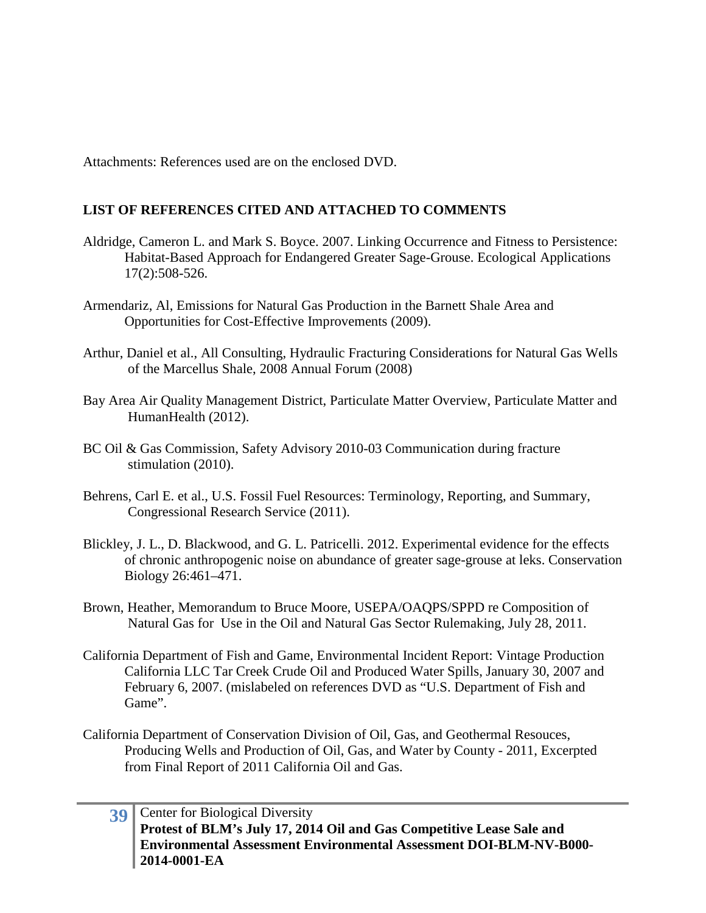Attachments: References used are on the enclosed DVD.

# **LIST OF REFERENCES CITED AND ATTACHED TO COMMENTS**

- Aldridge, Cameron L. and Mark S. Boyce. 2007. Linking Occurrence and Fitness to Persistence: Habitat-Based Approach for Endangered Greater Sage-Grouse. Ecological Applications 17(2):508-526.
- Armendariz, Al, Emissions for Natural Gas Production in the Barnett Shale Area and Opportunities for Cost-Effective Improvements (2009).
- Arthur, Daniel et al., All Consulting, Hydraulic Fracturing Considerations for Natural Gas Wells of the Marcellus Shale, 2008 Annual Forum (2008)
- Bay Area Air Quality Management District, Particulate Matter Overview, Particulate Matter and HumanHealth (2012).
- BC Oil & Gas Commission, Safety Advisory 2010-03 Communication during fracture stimulation (2010).
- Behrens, Carl E. et al., U.S. Fossil Fuel Resources: Terminology, Reporting, and Summary, Congressional Research Service (2011).
- Blickley, J. L., D. Blackwood, and G. L. Patricelli. 2012. Experimental evidence for the effects of chronic anthropogenic noise on abundance of greater sage-grouse at leks. Conservation Biology 26:461–471.
- Brown, Heather, Memorandum to Bruce Moore, USEPA/OAQPS/SPPD re Composition of Natural Gas for Use in the Oil and Natural Gas Sector Rulemaking, July 28, 2011.
- California Department of Fish and Game, Environmental Incident Report: Vintage Production California LLC Tar Creek Crude Oil and Produced Water Spills, January 30, 2007 and February 6, 2007. (mislabeled on references DVD as "U.S. Department of Fish and Game".
- California Department of Conservation Division of Oil, Gas, and Geothermal Resouces, Producing Wells and Production of Oil, Gas, and Water by County - 2011, Excerpted from Final Report of 2011 California Oil and Gas.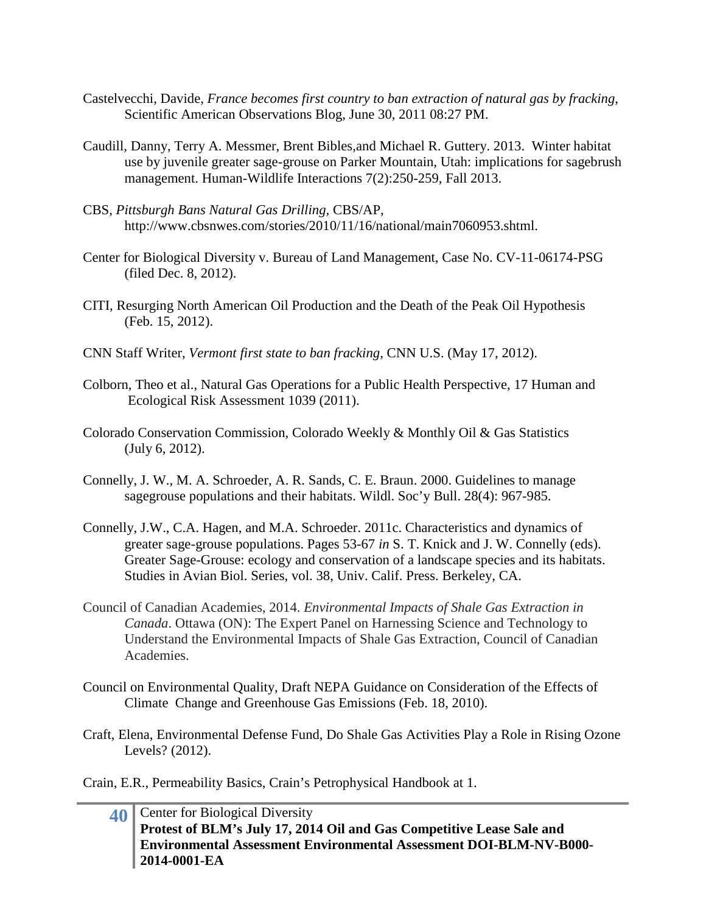- Castelvecchi, Davide, *France becomes first country to ban extraction of natural gas by fracking*, Scientific American Observations Blog, June 30, 2011 08:27 PM.
- Caudill, Danny, Terry A. Messmer, Brent Bibles,and Michael R. Guttery. 2013. Winter habitat use by juvenile greater sage-grouse on Parker Mountain, Utah: implications for sagebrush management. Human-Wildlife Interactions 7(2):250-259, Fall 2013.
- CBS, *Pittsburgh Bans Natural Gas Drilling,* CBS/AP, http://www.cbsnwes.com/stories/2010/11/16/national/main7060953.shtml.
- Center for Biological Diversity v. Bureau of Land Management, Case No. CV-11-06174-PSG (filed Dec. 8, 2012).
- CITI, Resurging North American Oil Production and the Death of the Peak Oil Hypothesis (Feb. 15, 2012).
- CNN Staff Writer, *Vermont first state to ban fracking*, CNN U.S. (May 17, 2012).
- Colborn, Theo et al., Natural Gas Operations for a Public Health Perspective, 17 Human and Ecological Risk Assessment 1039 (2011).
- Colorado Conservation Commission, Colorado Weekly & Monthly Oil & Gas Statistics (July 6, 2012).
- Connelly, J. W., M. A. Schroeder, A. R. Sands, C. E. Braun. 2000. Guidelines to manage sagegrouse populations and their habitats. Wildl. Soc'y Bull. 28(4): 967-985.
- Connelly, J.W., C.A. Hagen, and M.A. Schroeder. 2011c. Characteristics and dynamics of greater sage-grouse populations. Pages 53-67 *in* S. T. Knick and J. W. Connelly (eds). Greater Sage-Grouse: ecology and conservation of a landscape species and its habitats. Studies in Avian Biol. Series, vol. 38, Univ. Calif. Press. Berkeley, CA.
- Council of Canadian Academies, 2014. *Environmental Impacts of Shale Gas Extraction in Canada*. Ottawa (ON): The Expert Panel on Harnessing Science and Technology to Understand the Environmental Impacts of Shale Gas Extraction, Council of Canadian Academies.
- Council on Environmental Quality, Draft NEPA Guidance on Consideration of the Effects of Climate Change and Greenhouse Gas Emissions (Feb. 18, 2010).
- Craft, Elena, Environmental Defense Fund, Do Shale Gas Activities Play a Role in Rising Ozone Levels? (2012).

Crain, E.R., Permeability Basics, Crain's Petrophysical Handbook at 1.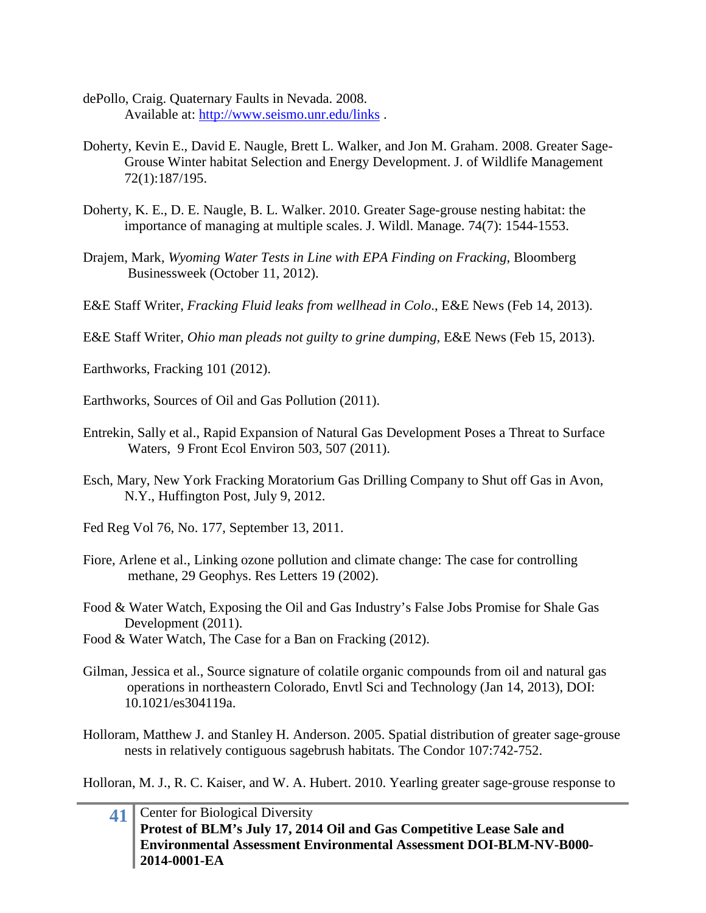- dePollo, Craig. Quaternary Faults in Nevada. 2008. Available at:<http://www.seismo.unr.edu/links> .
- Doherty, Kevin E., David E. Naugle, Brett L. Walker, and Jon M. Graham. 2008. Greater Sage-Grouse Winter habitat Selection and Energy Development. J. of Wildlife Management 72(1):187/195.
- Doherty, K. E., D. E. Naugle, B. L. Walker. 2010. Greater Sage-grouse nesting habitat: the importance of managing at multiple scales. J. Wildl. Manage. 74(7): 1544-1553.
- Drajem, Mark, *Wyoming Water Tests in Line with EPA Finding on Fracking*, Bloomberg Businessweek (October 11, 2012).
- E&E Staff Writer, *Fracking Fluid leaks from wellhead in Colo*., E&E News (Feb 14, 2013).

E&E Staff Writer, *Ohio man pleads not guilty to grine dumping,* E&E News (Feb 15, 2013).

- Earthworks, Fracking 101 (2012).
- Earthworks, Sources of Oil and Gas Pollution (2011).
- Entrekin, Sally et al., Rapid Expansion of Natural Gas Development Poses a Threat to Surface Waters, 9 Front Ecol Environ 503, 507 (2011).
- Esch, Mary, New York Fracking Moratorium Gas Drilling Company to Shut off Gas in Avon, N.Y., Huffington Post, July 9, 2012.
- Fed Reg Vol 76, No. 177, September 13, 2011.
- Fiore, Arlene et al., Linking ozone pollution and climate change: The case for controlling methane, 29 Geophys. Res Letters 19 (2002).
- Food & Water Watch, Exposing the Oil and Gas Industry's False Jobs Promise for Shale Gas Development (2011).
- Food & Water Watch, The Case for a Ban on Fracking (2012).
- Gilman, Jessica et al., Source signature of colatile organic compounds from oil and natural gas operations in northeastern Colorado, Envtl Sci and Technology (Jan 14, 2013), DOI: 10.1021/es304119a.
- Holloram, Matthew J. and Stanley H. Anderson. 2005. Spatial distribution of greater sage-grouse nests in relatively contiguous sagebrush habitats. The Condor 107:742-752.

Holloran, M. J., R. C. Kaiser, and W. A. Hubert. 2010. Yearling greater sage-grouse response to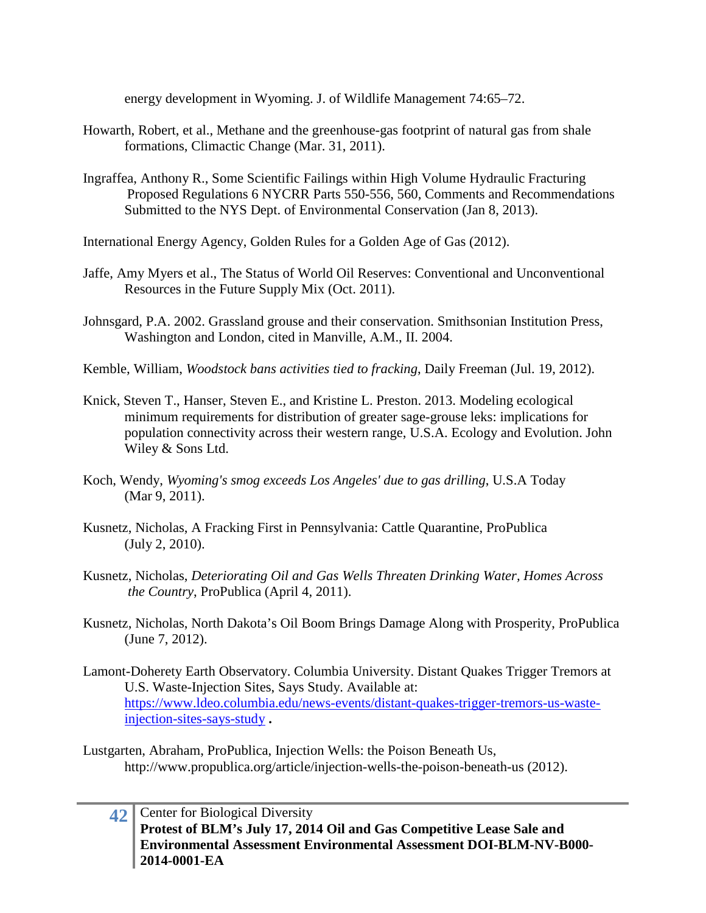energy development in Wyoming. J. of Wildlife Management 74:65–72.

- Howarth, Robert, et al., Methane and the greenhouse-gas footprint of natural gas from shale formations, Climactic Change (Mar. 31, 2011).
- Ingraffea, Anthony R., Some Scientific Failings within High Volume Hydraulic Fracturing Proposed Regulations 6 NYCRR Parts 550-556, 560, Comments and Recommendations Submitted to the NYS Dept. of Environmental Conservation (Jan 8, 2013).
- International Energy Agency, Golden Rules for a Golden Age of Gas (2012).
- Jaffe, Amy Myers et al., The Status of World Oil Reserves: Conventional and Unconventional Resources in the Future Supply Mix (Oct. 2011).
- Johnsgard, P.A. 2002. Grassland grouse and their conservation. Smithsonian Institution Press, Washington and London, cited in Manville, A.M., II. 2004.
- Kemble, William, *Woodstock bans activities tied to fracking*, Daily Freeman (Jul. 19, 2012).
- Knick, Steven T., Hanser, Steven E., and Kristine L. Preston. 2013. Modeling ecological minimum requirements for distribution of greater sage-grouse leks: implications for population connectivity across their western range, U.S.A. Ecology and Evolution. John Wiley & Sons Ltd.
- Koch, Wendy, *Wyoming's smog exceeds Los Angeles' due to gas drilling*, U.S.A Today (Mar 9, 2011).
- Kusnetz, Nicholas, A Fracking First in Pennsylvania: Cattle Quarantine, ProPublica (July 2, 2010).
- Kusnetz, Nicholas, *Deteriorating Oil and Gas Wells Threaten Drinking Water, Homes Across the Country*, ProPublica (April 4, 2011).
- Kusnetz, Nicholas, North Dakota's Oil Boom Brings Damage Along with Prosperity, ProPublica (June 7, 2012).
- Lamont-Doherety Earth Observatory. Columbia University. Distant Quakes Trigger Tremors at U.S. Waste-Injection Sites, Says Study. Available at: [https://www.ldeo.columbia.edu/news-events/distant-quakes-trigger-tremors-us-waste](https://www.ldeo.columbia.edu/news-events/distant-quakes-trigger-tremors-us-waste-injection-sites-says-study)[injection-sites-says-study](https://www.ldeo.columbia.edu/news-events/distant-quakes-trigger-tremors-us-waste-injection-sites-says-study) **.**

Lustgarten, Abraham, ProPublica, Injection Wells: the Poison Beneath Us, http://www.propublica.org/article/injection-wells-the-poison-beneath-us (2012).

**<sup>42</sup>** Center for Biological Diversity **Protest of BLM's July 17, 2014 Oil and Gas Competitive Lease Sale and Environmental Assessment Environmental Assessment DOI-BLM-NV-B000- 2014-0001-EA**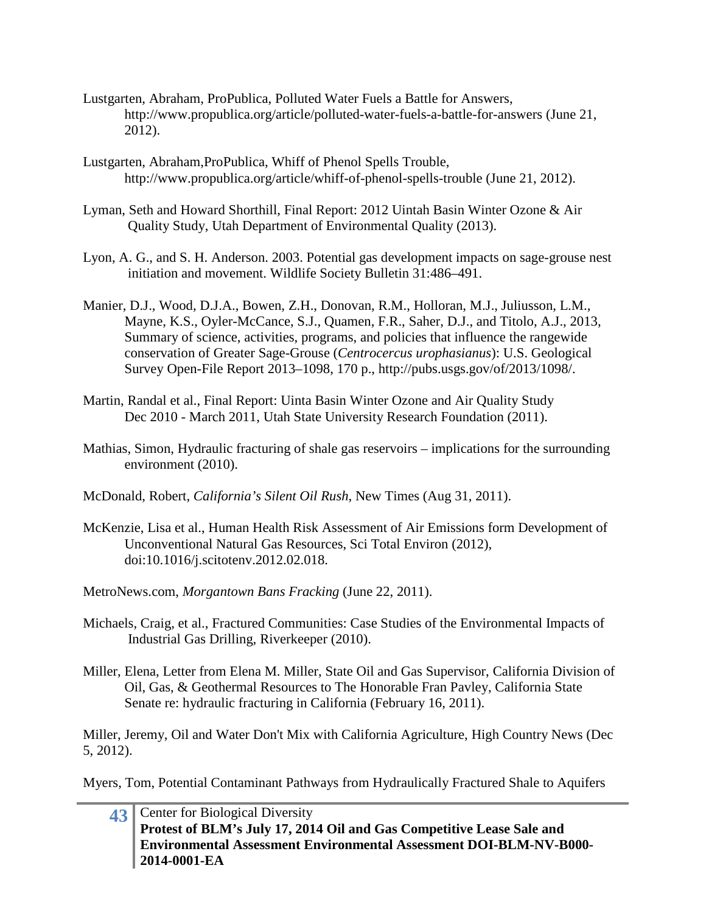- Lustgarten, Abraham, ProPublica, Polluted Water Fuels a Battle for Answers, http://www.propublica.org/article/polluted-water-fuels-a-battle-for-answers (June 21, 2012).
- Lustgarten, Abraham,ProPublica, Whiff of Phenol Spells Trouble, http://www.propublica.org/article/whiff-of-phenol-spells-trouble (June 21, 2012).
- Lyman, Seth and Howard Shorthill, Final Report: 2012 Uintah Basin Winter Ozone & Air Quality Study, Utah Department of Environmental Quality (2013).
- Lyon, A. G., and S. H. Anderson. 2003. Potential gas development impacts on sage-grouse nest initiation and movement. Wildlife Society Bulletin 31:486–491.
- Manier, D.J., Wood, D.J.A., Bowen, Z.H., Donovan, R.M., Holloran, M.J., Juliusson, L.M., Mayne, K.S., Oyler-McCance, S.J., Quamen, F.R., Saher, D.J., and Titolo, A.J., 2013, Summary of science, activities, programs, and policies that influence the rangewide conservation of Greater Sage-Grouse (*Centrocercus urophasianus*): U.S. Geological Survey Open-File Report 2013–1098, 170 p., http://pubs.usgs.gov/of/2013/1098/.
- Martin, Randal et al., Final Report: Uinta Basin Winter Ozone and Air Quality Study Dec 2010 - March 2011, Utah State University Research Foundation (2011).
- Mathias, Simon, Hydraulic fracturing of shale gas reservoirs implications for the surrounding environment (2010).
- McDonald, Robert, *California's Silent Oil Rush*, New Times (Aug 31, 2011).
- McKenzie, Lisa et al., Human Health Risk Assessment of Air Emissions form Development of Unconventional Natural Gas Resources, Sci Total Environ (2012), doi:10.1016/j.scitotenv.2012.02.018.
- MetroNews.com, *Morgantown Bans Fracking* (June 22, 2011).
- Michaels, Craig, et al., Fractured Communities: Case Studies of the Environmental Impacts of Industrial Gas Drilling, Riverkeeper (2010).
- Miller, Elena, Letter from Elena M. Miller, State Oil and Gas Supervisor, California Division of Oil, Gas, & Geothermal Resources to The Honorable Fran Pavley, California State Senate re: hydraulic fracturing in California (February 16, 2011).

Miller, Jeremy, Oil and Water Don't Mix with California Agriculture, High Country News (Dec 5, 2012).

Myers, Tom, Potential Contaminant Pathways from Hydraulically Fractured Shale to Aquifers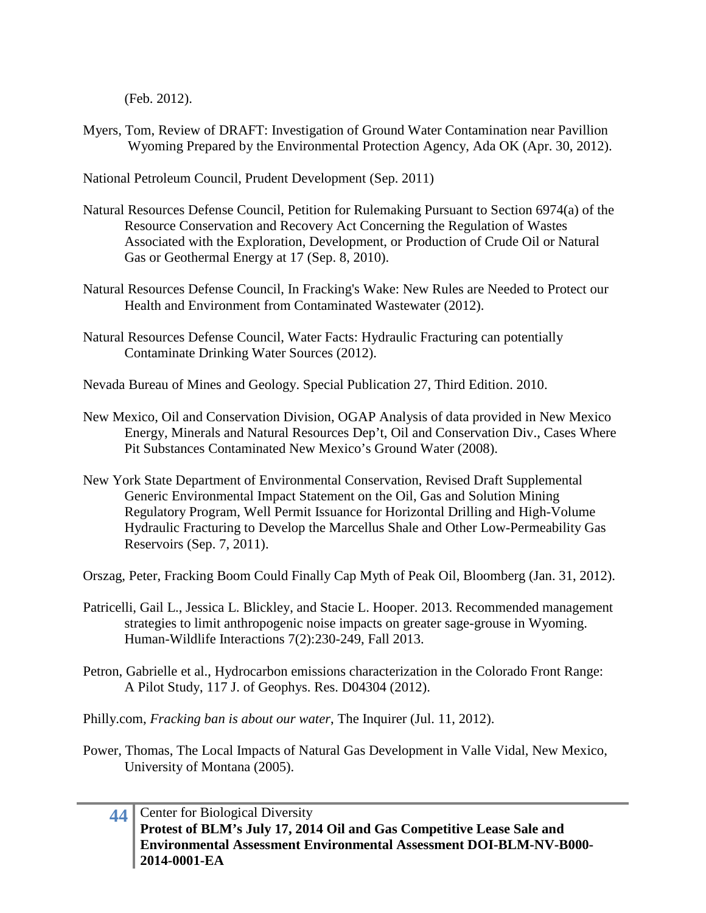(Feb. 2012).

Myers, Tom, Review of DRAFT: Investigation of Ground Water Contamination near Pavillion Wyoming Prepared by the Environmental Protection Agency, Ada OK (Apr. 30, 2012).

National Petroleum Council, Prudent Development (Sep. 2011)

- Natural Resources Defense Council, Petition for Rulemaking Pursuant to Section 6974(a) of the Resource Conservation and Recovery Act Concerning the Regulation of Wastes Associated with the Exploration, Development, or Production of Crude Oil or Natural Gas or Geothermal Energy at 17 (Sep. 8, 2010).
- Natural Resources Defense Council, In Fracking's Wake: New Rules are Needed to Protect our Health and Environment from Contaminated Wastewater (2012).
- Natural Resources Defense Council, Water Facts: Hydraulic Fracturing can potentially Contaminate Drinking Water Sources (2012).
- Nevada Bureau of Mines and Geology. Special Publication 27, Third Edition. 2010.
- New Mexico, Oil and Conservation Division, OGAP Analysis of data provided in New Mexico Energy, Minerals and Natural Resources Dep't, Oil and Conservation Div., Cases Where Pit Substances Contaminated New Mexico's Ground Water (2008).
- New York State Department of Environmental Conservation, Revised Draft Supplemental Generic Environmental Impact Statement on the Oil, Gas and Solution Mining Regulatory Program, Well Permit Issuance for Horizontal Drilling and High-Volume Hydraulic Fracturing to Develop the Marcellus Shale and Other Low-Permeability Gas Reservoirs (Sep. 7, 2011).
- Orszag, Peter, Fracking Boom Could Finally Cap Myth of Peak Oil, Bloomberg (Jan. 31, 2012).
- Patricelli, Gail L., Jessica L. Blickley, and Stacie L. Hooper. 2013. Recommended management strategies to limit anthropogenic noise impacts on greater sage-grouse in Wyoming. Human-Wildlife Interactions 7(2):230-249, Fall 2013.
- Petron, Gabrielle et al., Hydrocarbon emissions characterization in the Colorado Front Range: A Pilot Study, 117 J. of Geophys. Res. D04304 (2012).

Philly.com, *Fracking ban is about our water*, The Inquirer (Jul. 11, 2012).

Power, Thomas, The Local Impacts of Natural Gas Development in Valle Vidal, New Mexico, University of Montana (2005).

# **44** Center for Biological Diversity **Protest of BLM's July 17, 2014 Oil and Gas Competitive Lease Sale and Environmental Assessment Environmental Assessment DOI-BLM-NV-B000- 2014-0001-EA**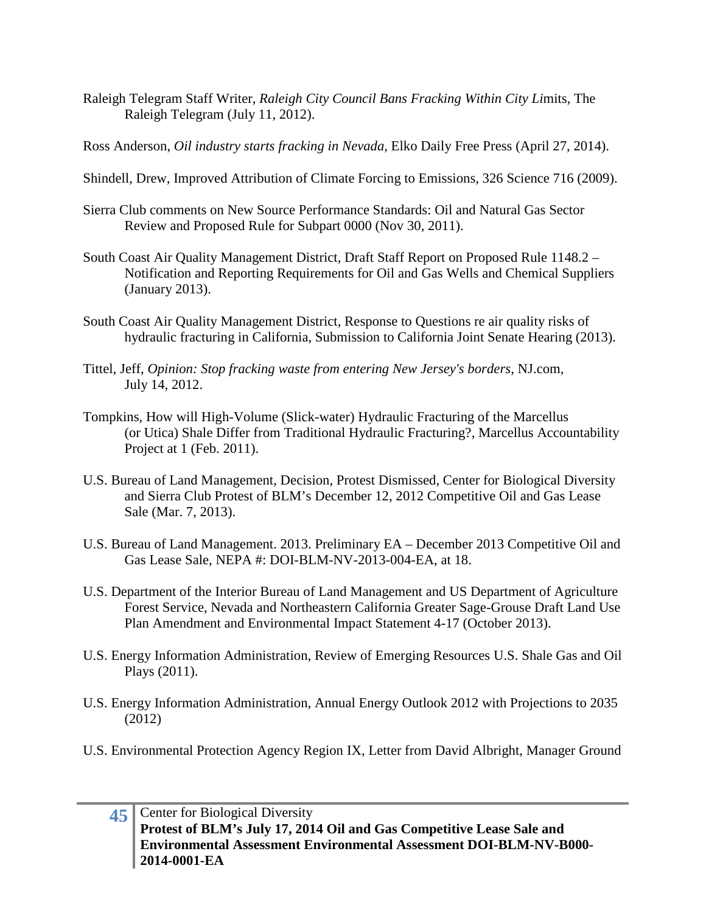Raleigh Telegram Staff Writer, *Raleigh City Council Bans Fracking Within City Li*mits, The Raleigh Telegram (July 11, 2012).

Ross Anderson, *Oil industry starts fracking in Nevada*, Elko Daily Free Press (April 27, 2014).

- Shindell, Drew, Improved Attribution of Climate Forcing to Emissions, 326 Science 716 (2009).
- Sierra Club comments on New Source Performance Standards: Oil and Natural Gas Sector Review and Proposed Rule for Subpart 0000 (Nov 30, 2011).
- South Coast Air Quality Management District, Draft Staff Report on Proposed Rule 1148.2 Notification and Reporting Requirements for Oil and Gas Wells and Chemical Suppliers (January 2013).
- South Coast Air Quality Management District, Response to Questions re air quality risks of hydraulic fracturing in California, Submission to California Joint Senate Hearing (2013).
- Tittel, Jeff, *Opinion: Stop fracking waste from entering New Jersey's borders*, NJ.com, July 14, 2012.
- Tompkins, How will High-Volume (Slick-water) Hydraulic Fracturing of the Marcellus (or Utica) Shale Differ from Traditional Hydraulic Fracturing?, Marcellus Accountability Project at 1 (Feb. 2011).
- U.S. Bureau of Land Management, Decision, Protest Dismissed, Center for Biological Diversity and Sierra Club Protest of BLM's December 12, 2012 Competitive Oil and Gas Lease Sale (Mar. 7, 2013).
- U.S. Bureau of Land Management. 2013. Preliminary EA December 2013 Competitive Oil and Gas Lease Sale, NEPA #: DOI-BLM-NV-2013-004-EA, at 18.
- U.S. Department of the Interior Bureau of Land Management and US Department of Agriculture Forest Service, Nevada and Northeastern California Greater Sage-Grouse Draft Land Use Plan Amendment and Environmental Impact Statement 4-17 (October 2013).
- U.S. Energy Information Administration, Review of Emerging Resources U.S. Shale Gas and Oil Plays (2011).
- U.S. Energy Information Administration, Annual Energy Outlook 2012 with Projections to 2035 (2012)
- U.S. Environmental Protection Agency Region IX, Letter from David Albright, Manager Ground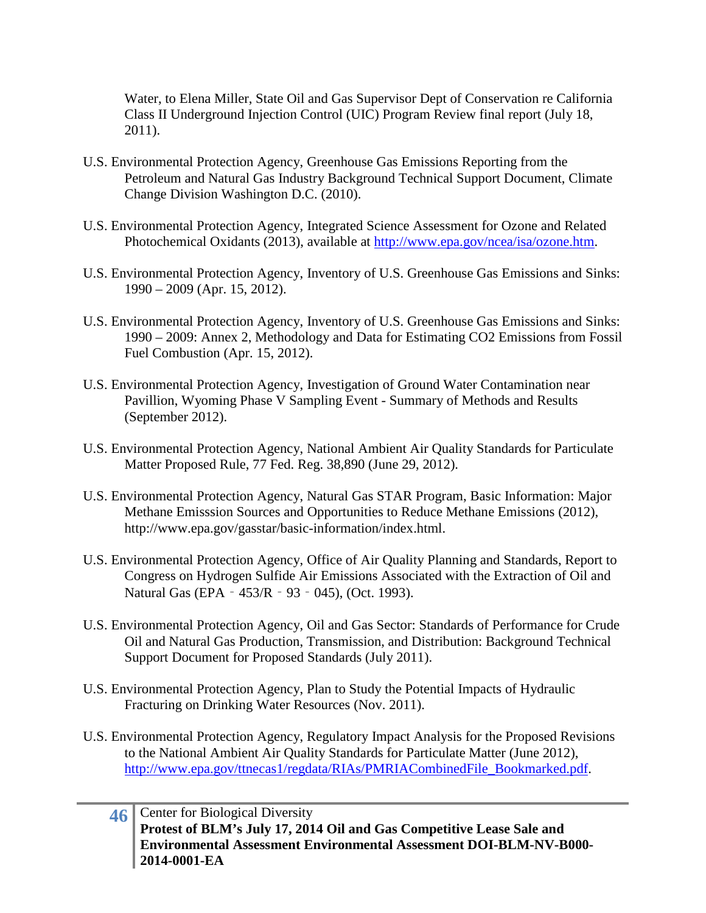Water, to Elena Miller, State Oil and Gas Supervisor Dept of Conservation re California Class II Underground Injection Control (UIC) Program Review final report (July 18, 2011).

- U.S. Environmental Protection Agency, Greenhouse Gas Emissions Reporting from the Petroleum and Natural Gas Industry Background Technical Support Document, Climate Change Division Washington D.C. (2010).
- U.S. Environmental Protection Agency, Integrated Science Assessment for Ozone and Related Photochemical Oxidants (2013), available at [http://www.epa.gov/ncea/isa/ozone.htm.](http://www.epa.gov/ncea/isa/ozone.htm)
- U.S. Environmental Protection Agency, Inventory of U.S. Greenhouse Gas Emissions and Sinks: 1990 – 2009 (Apr. 15, 2012).
- U.S. Environmental Protection Agency, Inventory of U.S. Greenhouse Gas Emissions and Sinks: 1990 – 2009: Annex 2, Methodology and Data for Estimating CO2 Emissions from Fossil Fuel Combustion (Apr. 15, 2012).
- U.S. Environmental Protection Agency, Investigation of Ground Water Contamination near Pavillion, Wyoming Phase V Sampling Event - Summary of Methods and Results (September 2012).
- U.S. Environmental Protection Agency, National Ambient Air Quality Standards for Particulate Matter Proposed Rule, 77 Fed. Reg. 38,890 (June 29, 2012).
- U.S. Environmental Protection Agency, Natural Gas STAR Program, Basic Information: Major Methane Emisssion Sources and Opportunities to Reduce Methane Emissions (2012), http://www.epa.gov/gasstar/basic-information/index.html.
- U.S. Environmental Protection Agency, Office of Air Quality Planning and Standards, Report to Congress on Hydrogen Sulfide Air Emissions Associated with the Extraction of Oil and Natural Gas (EPA - 453/R - 93 - 045), (Oct. 1993).
- U.S. Environmental Protection Agency, Oil and Gas Sector: Standards of Performance for Crude Oil and Natural Gas Production, Transmission, and Distribution: Background Technical Support Document for Proposed Standards (July 2011).
- U.S. Environmental Protection Agency, Plan to Study the Potential Impacts of Hydraulic Fracturing on Drinking Water Resources (Nov. 2011).
- U.S. Environmental Protection Agency, Regulatory Impact Analysis for the Proposed Revisions to the National Ambient Air Quality Standards for Particulate Matter (June 2012), [http://www.epa.gov/ttnecas1/regdata/RIAs/PMRIACombinedFile\\_Bookmarked.pdf.](http://www.epa.gov/ttnecas1/regdata/RIAs/PMRIACombinedFile_Bookmarked.pdf)

# **46** Center for Biological Diversity **Protest of BLM's July 17, 2014 Oil and Gas Competitive Lease Sale and Environmental Assessment Environmental Assessment DOI-BLM-NV-B000- 2014-0001-EA**